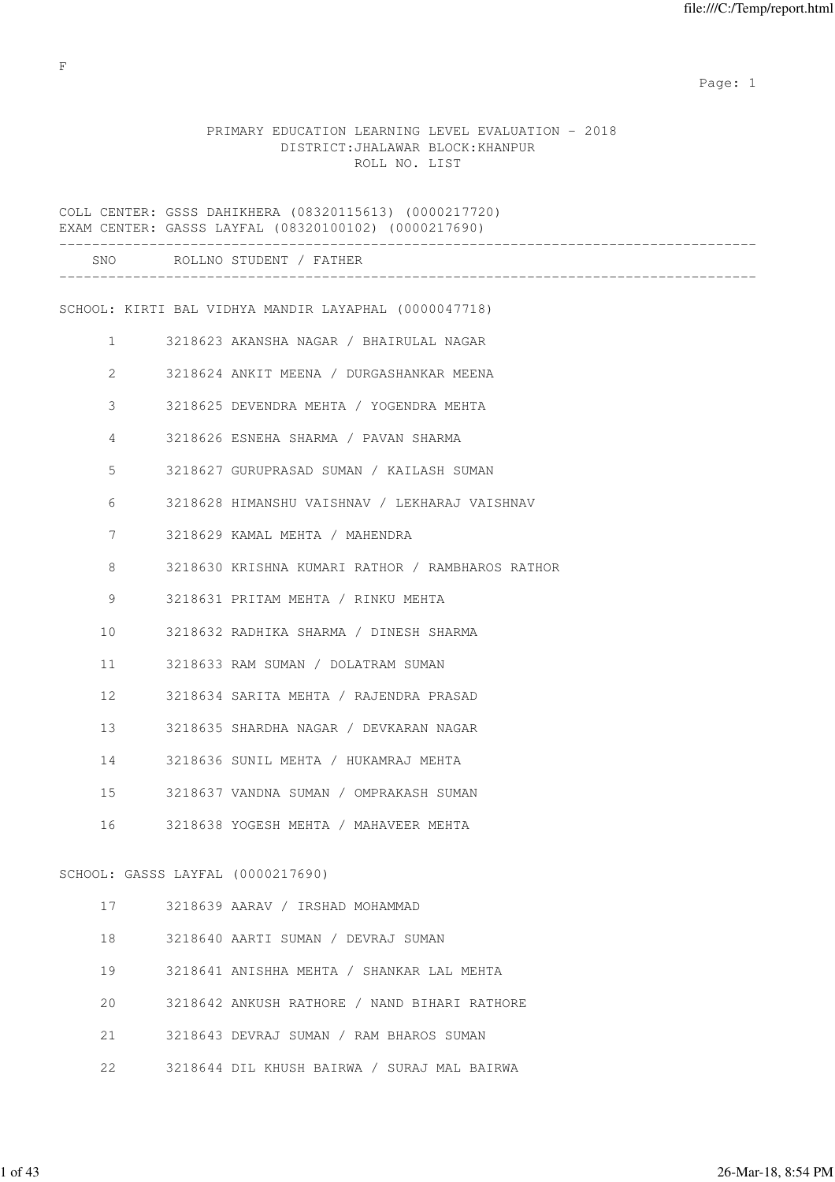### PRIMARY EDUCATION LEARNING LEVEL EVALUATION - 2018 DISTRICT:JHALAWAR BLOCK:KHANPUR ROLL NO. LIST

COLL CENTER: GSSS DAHIKHERA (08320115613) (0000217720) EXAM CENTER: GASSS LAYFAL (08320100102) (0000217690) ------------------------------------------------------------------------------------- SNO ROLLNO STUDENT / FATHER ------------------------------------------------------------------------------------- SCHOOL: KIRTI BAL VIDHYA MANDIR LAYAPHAL (0000047718) 1 3218623 AKANSHA NAGAR / BHAIRULAL NAGAR 2 3218624 ANKIT MEENA / DURGASHANKAR MEENA 3 3218625 DEVENDRA MEHTA / YOGENDRA MEHTA 4 3218626 ESNEHA SHARMA / PAVAN SHARMA 5 3218627 GURUPRASAD SUMAN / KAILASH SUMAN 6 3218628 HIMANSHU VAISHNAV / LEKHARAJ VAISHNAV 7 3218629 KAMAL MEHTA / MAHENDRA 8 3218630 KRISHNA KUMARI RATHOR / RAMBHAROS RATHOR 9 3218631 PRITAM MEHTA / RINKU MEHTA 10 3218632 RADHIKA SHARMA / DINESH SHARMA 11 3218633 RAM SUMAN / DOLATRAM SUMAN 12 3218634 SARITA MEHTA / RAJENDRA PRASAD 13 3218635 SHARDHA NAGAR / DEVKARAN NAGAR 14 3218636 SUNIL MEHTA / HUKAMRAJ MEHTA 15 3218637 VANDNA SUMAN / OMPRAKASH SUMAN 16 3218638 YOGESH MEHTA / MAHAVEER MEHTA SCHOOL: GASSS LAYFAL (0000217690) 17 3218639 AARAV / IRSHAD MOHAMMAD 18 3218640 AARTI SUMAN / DEVRAJ SUMAN 19 3218641 ANISHHA MEHTA / SHANKAR LAL MEHTA 20 3218642 ANKUSH RATHORE / NAND BIHARI RATHORE 21 3218643 DEVRAJ SUMAN / RAM BHAROS SUMAN 22 3218644 DIL KHUSH BAIRWA / SURAJ MAL BAIRWA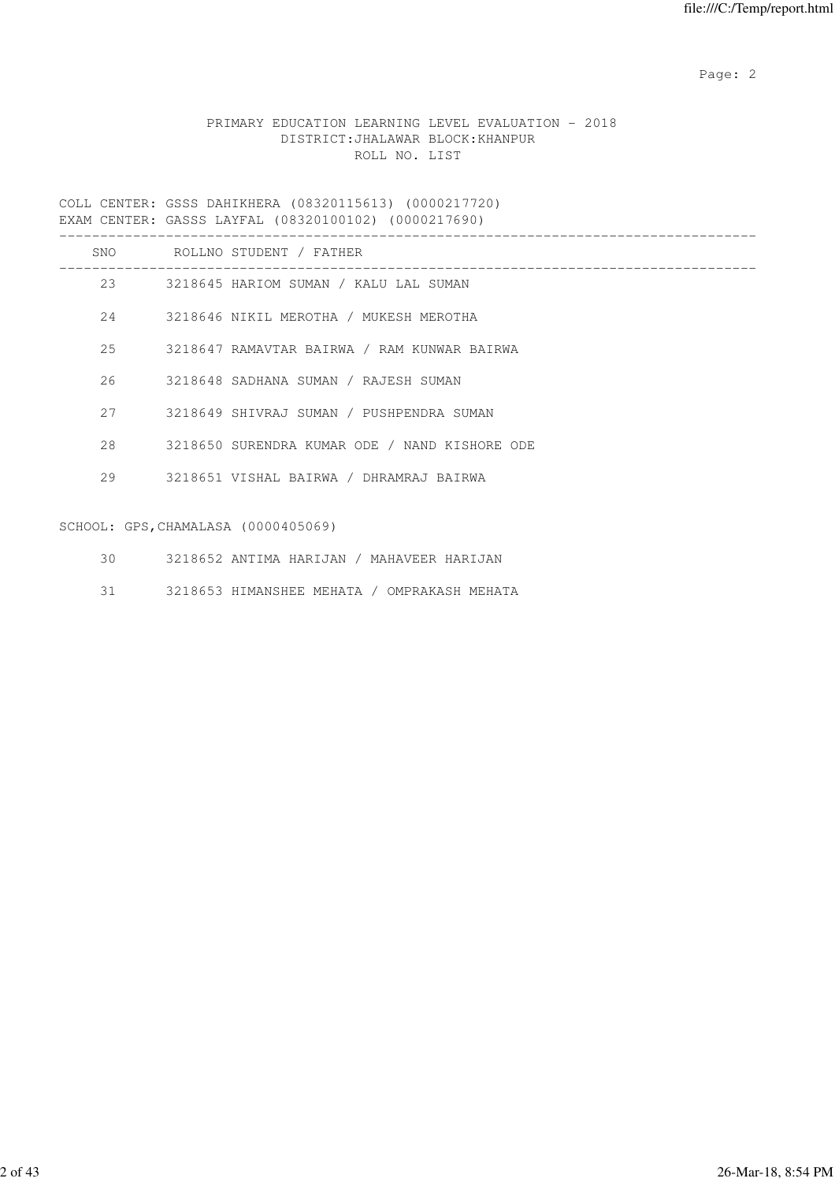## PRIMARY EDUCATION LEARNING LEVEL EVALUATION - 2018 DISTRICT:JHALAWAR BLOCK:KHANPUR ROLL NO. LIST

COLL CENTER: GSSS DAHIKHERA (08320115613) (0000217720) EXAM CENTER: GASSS LAYFAL (08320100102) (0000217690)

| SNO | ROLLNO STUDENT / FATHER                       |
|-----|-----------------------------------------------|
| 23  | 3218645 HARIOM SUMAN / KALU LAL SUMAN         |
| 24  | 3218646 NIKIL MEROTHA / MUKESH MEROTHA        |
| 2.5 | 3218647 RAMAVTAR BAIRWA / RAM KUNWAR BAIRWA   |
| 26  | 3218648 SADHANA SUMAN / RAJESH SUMAN          |
| 27  | 3218649 SHIVRAJ SUMAN / PUSHPENDRA SUMAN      |
| 2.8 | 3218650 SURENDRA KUMAR ODE / NAND KISHORE ODE |
| 29  | 3218651 VISHAL BAIRWA / DHRAMRAJ BAIRWA       |
|     |                                               |

# SCHOOL: GPS,CHAMALASA (0000405069)

- 30 3218652 ANTIMA HARIJAN / MAHAVEER HARIJAN
- 31 3218653 HIMANSHEE MEHATA / OMPRAKASH MEHATA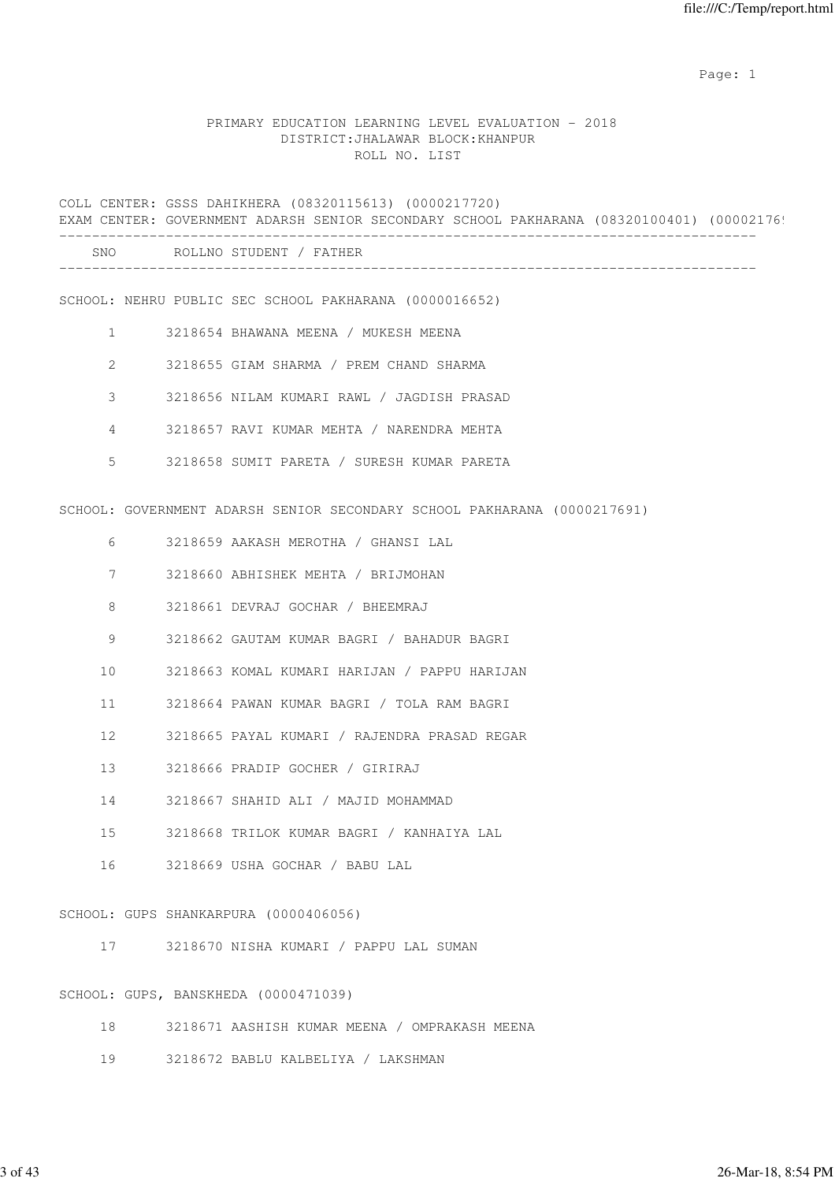### PRIMARY EDUCATION LEARNING LEVEL EVALUATION - 2018 DISTRICT:JHALAWAR BLOCK:KHANPUR ROLL NO. LIST

COLL CENTER: GSSS DAHIKHERA (08320115613) (0000217720) EXAM CENTER: GOVERNMENT ADARSH SENIOR SECONDARY SCHOOL PAKHARANA (08320100401) (00002176! ------------------------------------------------------------------------------------- SNO ROLLNO STUDENT / FATHER ------------------------------------------------------------------------------------- SCHOOL: NEHRU PUBLIC SEC SCHOOL PAKHARANA (0000016652) 1 3218654 BHAWANA MEENA / MUKESH MEENA 2 3218655 GIAM SHARMA / PREM CHAND SHARMA 3 3218656 NILAM KUMARI RAWL / JAGDISH PRASAD 4 3218657 RAVI KUMAR MEHTA / NARENDRA MEHTA 5 3218658 SUMIT PARETA / SURESH KUMAR PARETA SCHOOL: GOVERNMENT ADARSH SENIOR SECONDARY SCHOOL PAKHARANA (0000217691) 6 3218659 AAKASH MEROTHA / GHANSI LAL 7 3218660 ABHISHEK MEHTA / BRIJMOHAN 8 3218661 DEVRAJ GOCHAR / BHEEMRAJ 9 3218662 GAUTAM KUMAR BAGRI / BAHADUR BAGRI 10 3218663 KOMAL KUMARI HARIJAN / PAPPU HARIJAN 11 3218664 PAWAN KUMAR BAGRI / TOLA RAM BAGRI 12 3218665 PAYAL KUMARI / RAJENDRA PRASAD REGAR 13 3218666 PRADIP GOCHER / GIRIRAJ 14 3218667 SHAHID ALI / MAJID MOHAMMAD 15 3218668 TRILOK KUMAR BAGRI / KANHAIYA LAL 16 3218669 USHA GOCHAR / BABU LAL SCHOOL: GUPS SHANKARPURA (0000406056) 17 3218670 NISHA KUMARI / PAPPU LAL SUMAN

SCHOOL: GUPS, BANSKHEDA (0000471039)

- 18 3218671 AASHISH KUMAR MEENA / OMPRAKASH MEENA
- 19 3218672 BABLU KALBELIYA / LAKSHMAN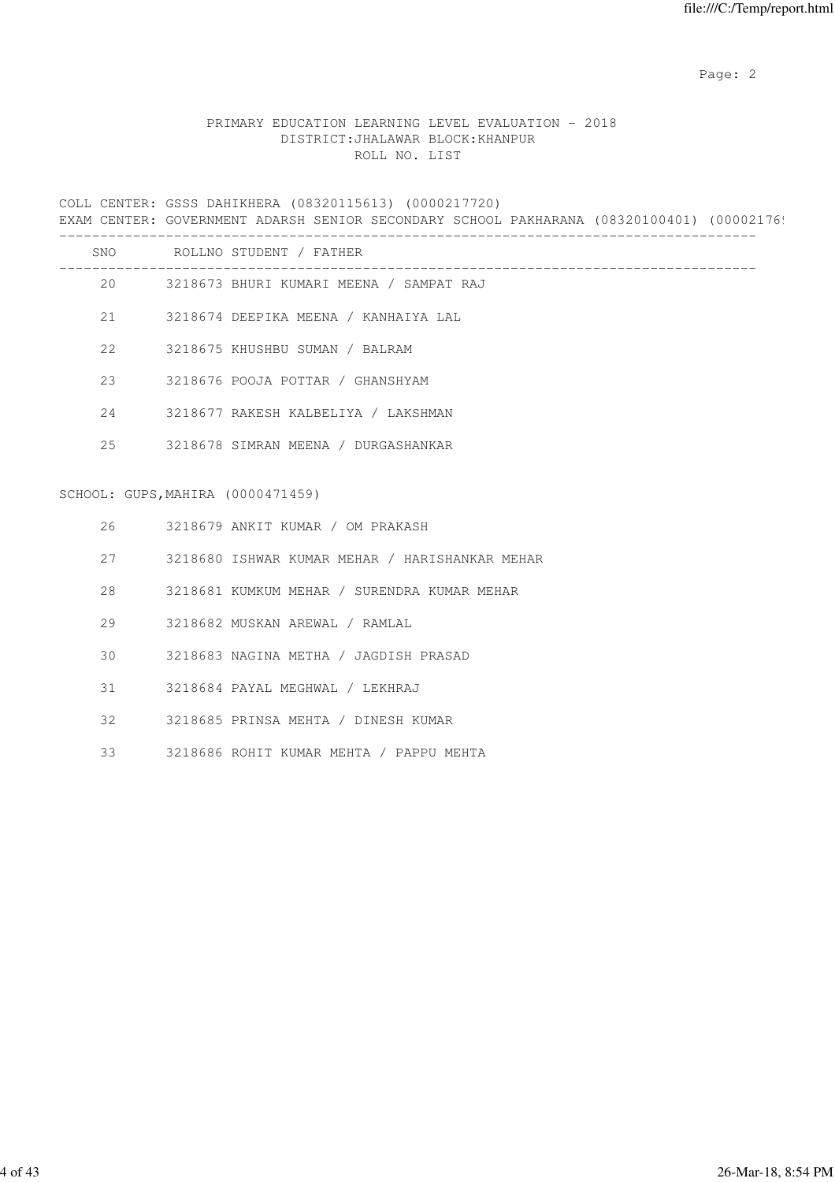## PRIMARY EDUCATION LEARNING LEVEL EVALUATION - 2018 DISTRICT:JHALAWAR BLOCK:KHANPUR ROLL NO. LIST

COLL CENTER: GSSS DAHIKHERA (08320115613) (0000217720) EXAM CENTER: GOVERNMENT ADARSH SENIOR SECONDARY SCHOOL PAKHARANA (08320100401) (00002176!

|     |                                   | SNO ROLLNO STUDENT / FATHER                    |
|-----|-----------------------------------|------------------------------------------------|
|     |                                   | 20 3218673 BHURI KUMARI MEENA / SAMPAT RAJ     |
| 21  |                                   | 3218674 DEEPIKA MEENA / KANHAIYA LAL           |
| 22  |                                   | 3218675 KHUSHBU SUMAN / BALRAM                 |
| 2.3 |                                   | 3218676 POOJA POTTAR / GHANSHYAM               |
| 24  |                                   | 3218677 RAKESH KALBELIYA / LAKSHMAN            |
| 25  |                                   | 3218678 SIMRAN MEENA / DURGASHANKAR            |
|     | SCHOOL: GUPS, MAHIRA (0000471459) |                                                |
| 26  |                                   | 3218679 ANKIT KUMAR / OM PRAKASH               |
| 2.7 |                                   | 3218680 ISHWAR KUMAR MEHAR / HARISHANKAR MEHAR |
| 28  |                                   | 3218681 KUMKUM MEHAR / SURENDRA KUMAR MEHAR    |
| 29  |                                   | 3218682 MUSKAN AREWAL / RAMLAL                 |
| 30  |                                   | 3218683 NAGINA METHA / JAGDISH PRASAD          |
| 31  |                                   | 3218684 PAYAL MEGHWAL / LEKHRAJ                |
| 32  |                                   | 3218685 PRINSA MEHTA / DINESH KUMAR            |

33 3218686 ROHIT KUMAR MEHTA / PAPPU MEHTA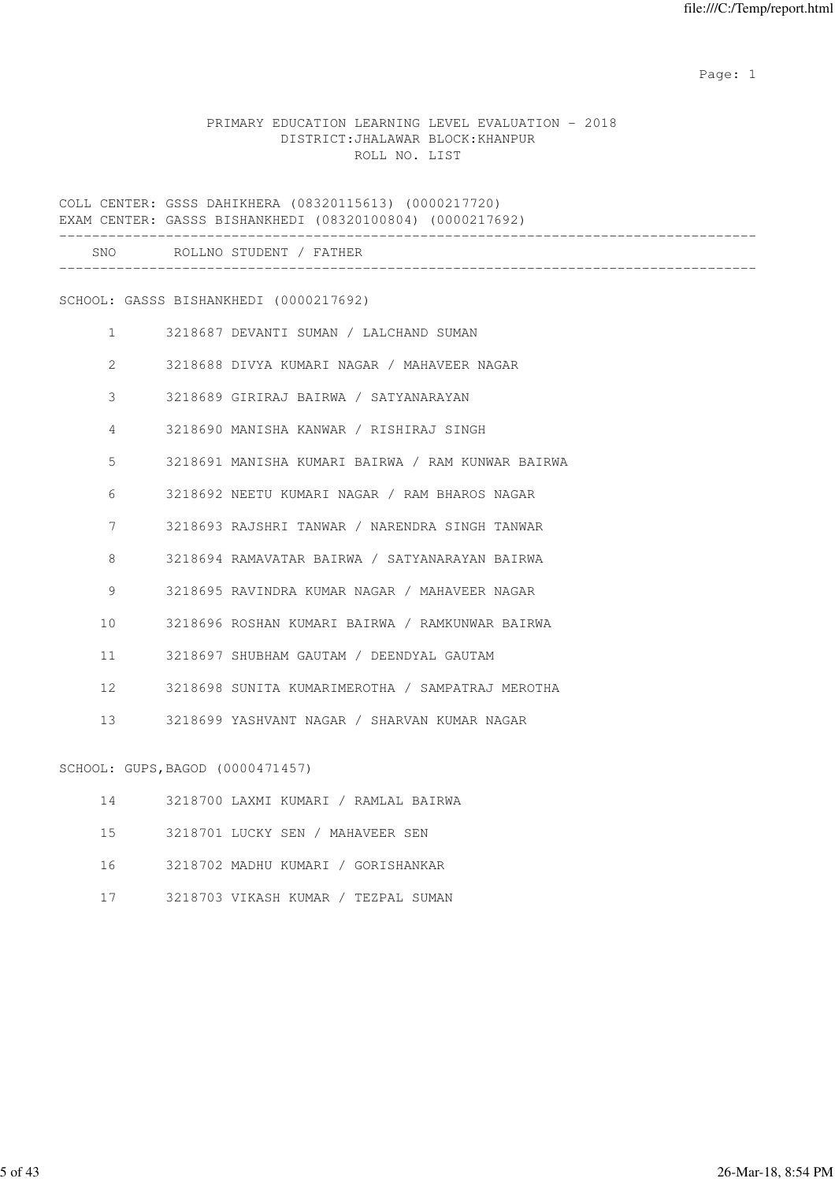### PRIMARY EDUCATION LEARNING LEVEL EVALUATION - 2018 DISTRICT:JHALAWAR BLOCK:KHANPUR ROLL NO. LIST

COLL CENTER: GSSS DAHIKHERA (08320115613) (0000217720) EXAM CENTER: GASSS BISHANKHEDI (08320100804) (0000217692) ------------------------------------------------------------------------------------- SNO ROLLNO STUDENT / FATHER ------------------------------------------------------------------------------------- SCHOOL: GASSS BISHANKHEDI (0000217692) 1 3218687 DEVANTI SUMAN / LALCHAND SUMAN 2 3218688 DIVYA KUMARI NAGAR / MAHAVEER NAGAR 3 3218689 GIRIRAJ BAIRWA / SATYANARAYAN 4 3218690 MANISHA KANWAR / RISHIRAJ SINGH 5 3218691 MANISHA KUMARI BAIRWA / RAM KUNWAR BAIRWA 6 3218692 NEETU KUMARI NAGAR / RAM BHAROS NAGAR 7 3218693 RAJSHRI TANWAR / NARENDRA SINGH TANWAR 8 3218694 RAMAVATAR BAIRWA / SATYANARAYAN BAIRWA 9 3218695 RAVINDRA KUMAR NAGAR / MAHAVEER NAGAR 10 3218696 ROSHAN KUMARI BAIRWA / RAMKUNWAR BAIRWA 11 3218697 SHUBHAM GAUTAM / DEENDYAL GAUTAM 12 3218698 SUNITA KUMARIMEROTHA / SAMPATRAJ MEROTHA 13 3218699 YASHVANT NAGAR / SHARVAN KUMAR NAGAR SCHOOL: GUPS,BAGOD (0000471457)

|     | 3218700 LAXMI KUMARI / RAMLAL BAIRWA |  |  |  |
|-----|--------------------------------------|--|--|--|
| 1.5 | 3218701 LUCKY SEN / MAHAVEER SEN     |  |  |  |

16 3218702 MADHU KUMARI / GORISHANKAR

17 3218703 VIKASH KUMAR / TEZPAL SUMAN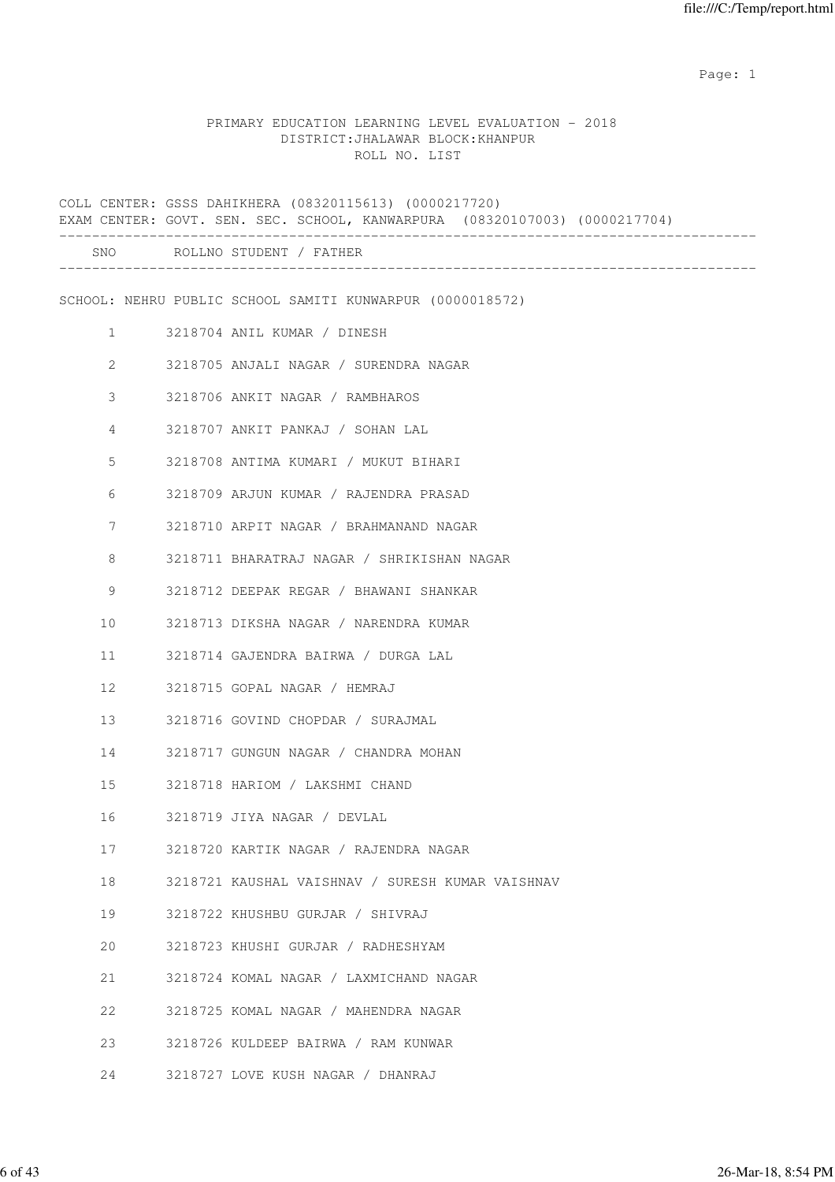### PRIMARY EDUCATION LEARNING LEVEL EVALUATION - 2018 DISTRICT:JHALAWAR BLOCK:KHANPUR ROLL NO. LIST

COLL CENTER: GSSS DAHIKHERA (08320115613) (0000217720) EXAM CENTER: GOVT. SEN. SEC. SCHOOL, KANWARPURA (08320107003) (0000217704) ------------------------------------------------------------------------------------- SNO ROLLNO STUDENT / FATHER ------------------------------------------------------------------------------------- SCHOOL: NEHRU PUBLIC SCHOOL SAMITI KUNWARPUR (0000018572) 1 3218704 ANIL KUMAR / DINESH 2 3218705 ANJALI NAGAR / SURENDRA NAGAR 3 3218706 ANKIT NAGAR / RAMBHAROS 4 3218707 ANKIT PANKAJ / SOHAN LAL 5 3218708 ANTIMA KUMARI / MUKUT BIHARI 6 3218709 ARJUN KUMAR / RAJENDRA PRASAD 7 3218710 ARPIT NAGAR / BRAHMANAND NAGAR 8 3218711 BHARATRAJ NAGAR / SHRIKISHAN NAGAR 9 3218712 DEEPAK REGAR / BHAWANI SHANKAR 10 3218713 DIKSHA NAGAR / NARENDRA KUMAR 11 3218714 GAJENDRA BAIRWA / DURGA LAL 12 3218715 GOPAL NAGAR / HEMRAJ 13 3218716 GOVIND CHOPDAR / SURAJMAL 14 3218717 GUNGUN NAGAR / CHANDRA MOHAN 15 3218718 HARIOM / LAKSHMI CHAND 16 3218719 JIYA NAGAR / DEVLAL 17 3218720 KARTIK NAGAR / RAJENDRA NAGAR 18 3218721 KAUSHAL VAISHNAV / SURESH KUMAR VAISHNAV 19 3218722 KHUSHBU GURJAR / SHIVRAJ 20 3218723 KHUSHI GURJAR / RADHESHYAM 21 3218724 KOMAL NAGAR / LAXMICHAND NAGAR 22 3218725 KOMAL NAGAR / MAHENDRA NAGAR 23 3218726 KULDEEP BAIRWA / RAM KUNWAR 24 3218727 LOVE KUSH NAGAR / DHANRAJ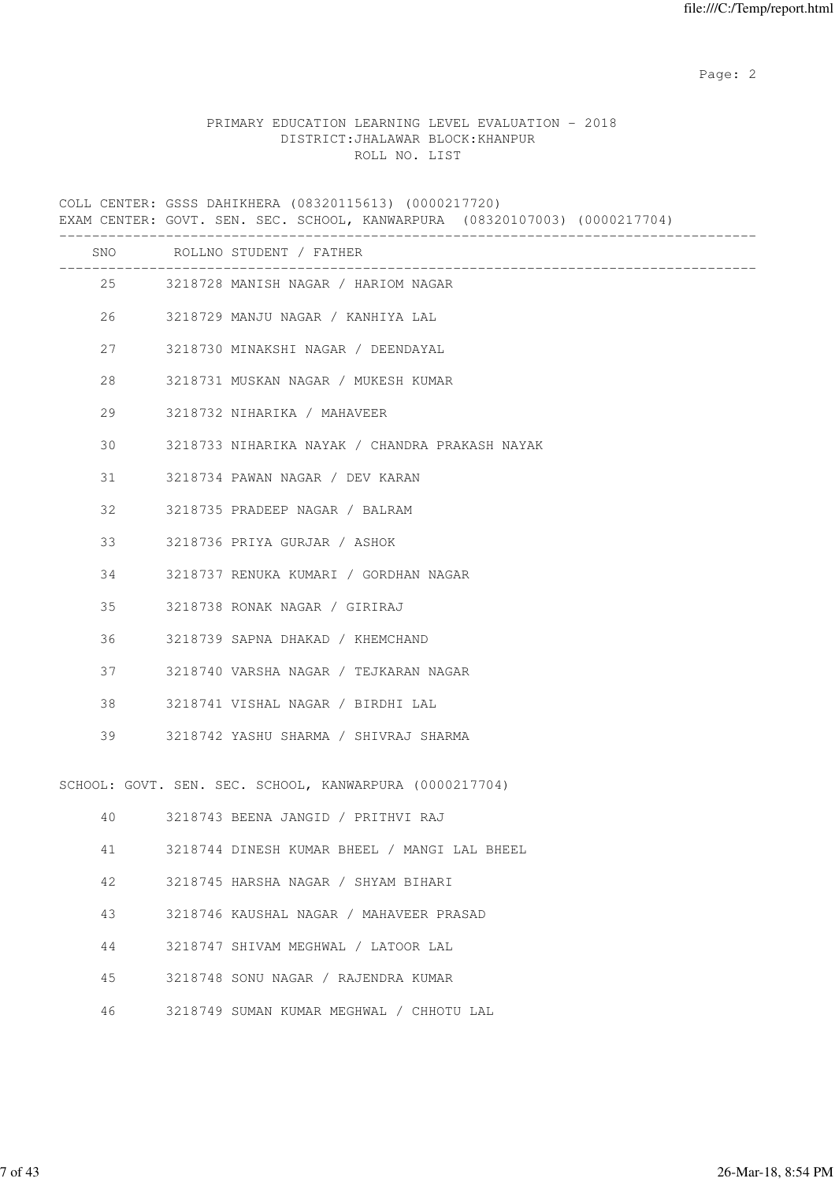### PRIMARY EDUCATION LEARNING LEVEL EVALUATION - 2018 DISTRICT:JHALAWAR BLOCK:KHANPUR ROLL NO. LIST

COLL CENTER: GSSS DAHIKHERA (08320115613) (0000217720) EXAM CENTER: GOVT. SEN. SEC. SCHOOL, KANWARPURA (08320107003) (0000217704) ------------------------------------------------------------------------------------- SNO ROLLNO STUDENT / FATHER ------------------------------------------------------------------------------------- 25 3218728 MANISH NAGAR / HARIOM NAGAR 26 3218729 MANJU NAGAR / KANHIYA LAL 27 3218730 MINAKSHI NAGAR / DEENDAYAL 28 3218731 MUSKAN NAGAR / MUKESH KUMAR 29 3218732 NIHARIKA / MAHAVEER 30 3218733 NIHARIKA NAYAK / CHANDRA PRAKASH NAYAK 31 3218734 PAWAN NAGAR / DEV KARAN 32 3218735 PRADEEP NAGAR / BALRAM 33 3218736 PRIYA GURJAR / ASHOK 34 3218737 RENUKA KUMARI / GORDHAN NAGAR 35 3218738 RONAK NAGAR / GIRIRAJ 36 3218739 SAPNA DHAKAD / KHEMCHAND 37 3218740 VARSHA NAGAR / TEJKARAN NAGAR 38 3218741 VISHAL NAGAR / BIRDHI LAL 39 3218742 YASHU SHARMA / SHIVRAJ SHARMA SCHOOL: GOVT. SEN. SEC. SCHOOL, KANWARPURA (0000217704) 40 3218743 BEENA JANGID / PRITHVI RAJ 41 3218744 DINESH KUMAR BHEEL / MANGI LAL BHEEL 42 3218745 HARSHA NAGAR / SHYAM BIHARI 43 3218746 KAUSHAL NAGAR / MAHAVEER PRASAD 44 3218747 SHIVAM MEGHWAL / LATOOR LAL 45 3218748 SONU NAGAR / RAJENDRA KUMAR 46 3218749 SUMAN KUMAR MEGHWAL / CHHOTU LAL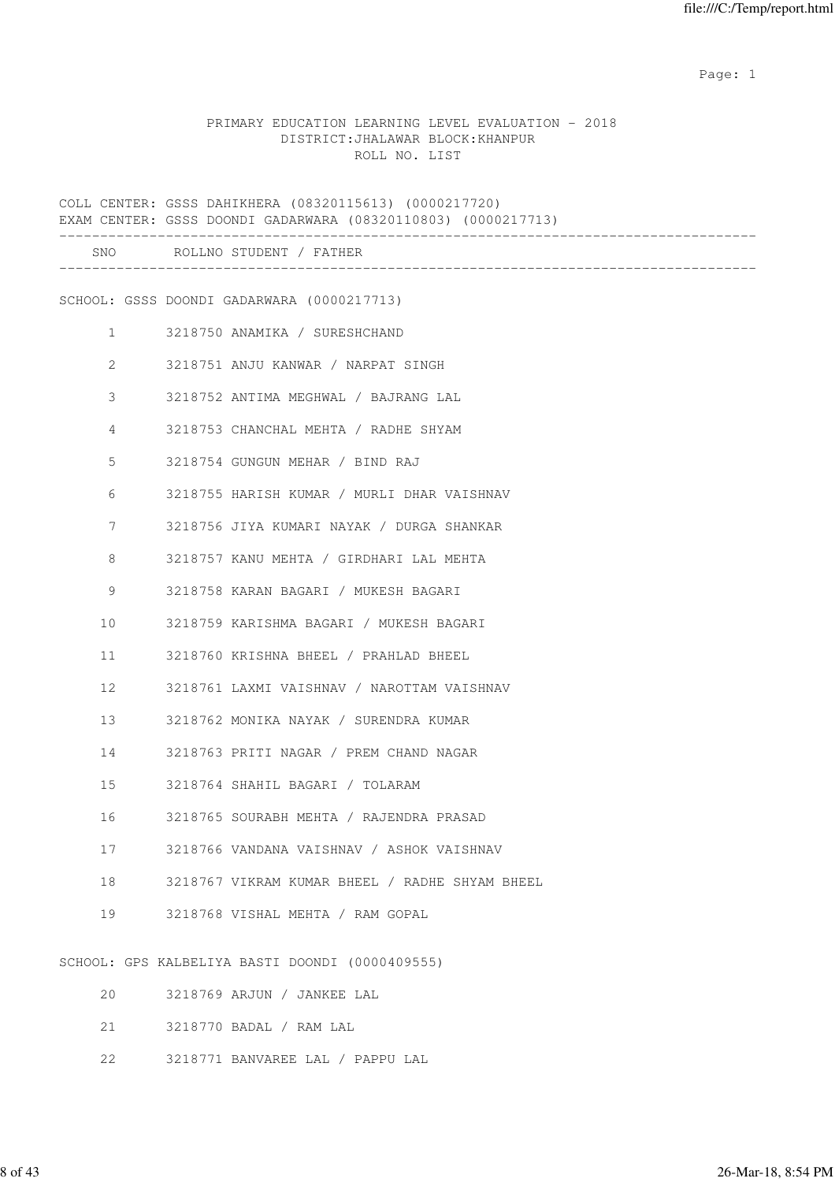### PRIMARY EDUCATION LEARNING LEVEL EVALUATION - 2018 DISTRICT:JHALAWAR BLOCK:KHANPUR ROLL NO. LIST

COLL CENTER: GSSS DAHIKHERA (08320115613) (0000217720) EXAM CENTER: GSSS DOONDI GADARWARA (08320110803) (0000217713) ------------------------------------------------------------------------------------- SNO ROLLNO STUDENT / FATHER ------------------------------------------------------------------------------------- SCHOOL: GSSS DOONDI GADARWARA (0000217713) 1 3218750 ANAMIKA / SURESHCHAND 2 3218751 ANJU KANWAR / NARPAT SINGH 3 3218752 ANTIMA MEGHWAL / BAJRANG LAL 4 3218753 CHANCHAL MEHTA / RADHE SHYAM 5 3218754 GUNGUN MEHAR / BIND RAJ 6 3218755 HARISH KUMAR / MURLI DHAR VAISHNAV 7 3218756 JIYA KUMARI NAYAK / DURGA SHANKAR 8 3218757 KANU MEHTA / GIRDHARI LAL MEHTA 9 3218758 KARAN BAGARI / MUKESH BAGARI 10 3218759 KARISHMA BAGARI / MUKESH BAGARI 11 3218760 KRISHNA BHEEL / PRAHLAD BHEEL 12 3218761 LAXMI VAISHNAV / NAROTTAM VAISHNAV 13 3218762 MONIKA NAYAK / SURENDRA KUMAR 14 3218763 PRITI NAGAR / PREM CHAND NAGAR 15 3218764 SHAHIL BAGARI / TOLARAM 16 3218765 SOURABH MEHTA / RAJENDRA PRASAD 17 3218766 VANDANA VAISHNAV / ASHOK VAISHNAV 18 3218767 VIKRAM KUMAR BHEEL / RADHE SHYAM BHEEL 19 3218768 VISHAL MEHTA / RAM GOPAL SCHOOL: GPS KALBELIYA BASTI DOONDI (0000409555) 20 3218769 ARJUN / JANKEE LAL 21 3218770 BADAL / RAM LAL 22 3218771 BANVAREE LAL / PAPPU LAL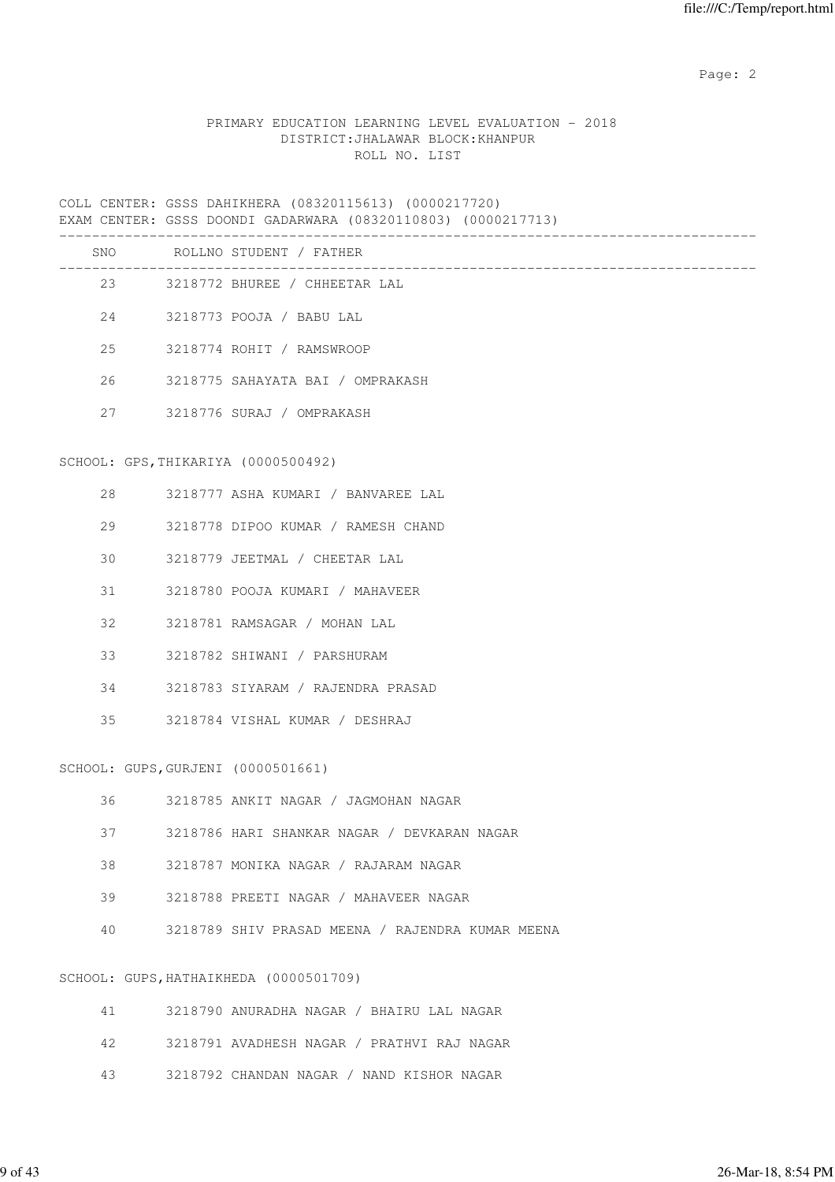### PRIMARY EDUCATION LEARNING LEVEL EVALUATION - 2018 DISTRICT:JHALAWAR BLOCK:KHANPUR ROLL NO. LIST

COLL CENTER: GSSS DAHIKHERA (08320115613) (0000217720) EXAM CENTER: GSSS DOONDI GADARWARA (08320110803) (0000217713)

|     | CENTER, GOOD DOONDI GADARWARA (VOJZVIIVOVJ) (VVVVZI77IJ) |
|-----|----------------------------------------------------------|
| SNO | ROLLNO STUDENT / FATHER                                  |
|     | 23 3218772 BHUREE / CHHEETAR LAL                         |
|     | 24 3218773 POOJA / BABU LAL                              |
| 25  | 3218774 ROHIT / RAMSWROOP                                |
| 26  | 3218775 SAHAYATA BAI / OMPRAKASH                         |
| 27  | 3218776 SURAJ / OMPRAKASH                                |
|     | SCHOOL: GPS, THIKARIYA (0000500492)                      |
| 28  | 3218777 ASHA KUMARI / BANVAREE LAL                       |
| 29  | 3218778 DIPOO KUMAR / RAMESH CHAND                       |
| 30  | 3218779 JEETMAL / CHEETAR LAL                            |
| 31  | 3218780 POOJA KUMARI / MAHAVEER                          |
| 32  | 3218781 RAMSAGAR / MOHAN LAL                             |
| 33  | 3218782 SHIWANI / PARSHURAM                              |
| 34  | 3218783 SIYARAM / RAJENDRA PRASAD                        |
| 35  | 3218784 VISHAL KUMAR / DESHRAJ                           |
|     | SCHOOL: GUPS, GURJENI (0000501661)                       |
| 36  | 3218785 ANKIT NAGAR / JAGMOHAN NAGAR                     |
| 37  | 3218786 HARI SHANKAR NAGAR / DEVKARAN NAGAR              |
| 38  | 3218787 MONIKA NAGAR / RAJARAM NAGAR                     |
| 39  | 3218788 PREETI NAGAR / MAHAVEER NAGAR                    |
| 40  | 3218789 SHIV PRASAD MEENA / RAJENDRA KUMAR MEENA         |
|     | SCHOOL: GUPS, HATHAIKHEDA (0000501709)                   |

| 41 - | 3218790 ANURADHA NAGAR / BHAIRU LAL NAGAR  |
|------|--------------------------------------------|
| 42   | 3218791 AVADHESH NAGAR / PRATHVI RAJ NAGAR |
| 43.  | 3218792 CHANDAN NAGAR / NAND KISHOR NAGAR  |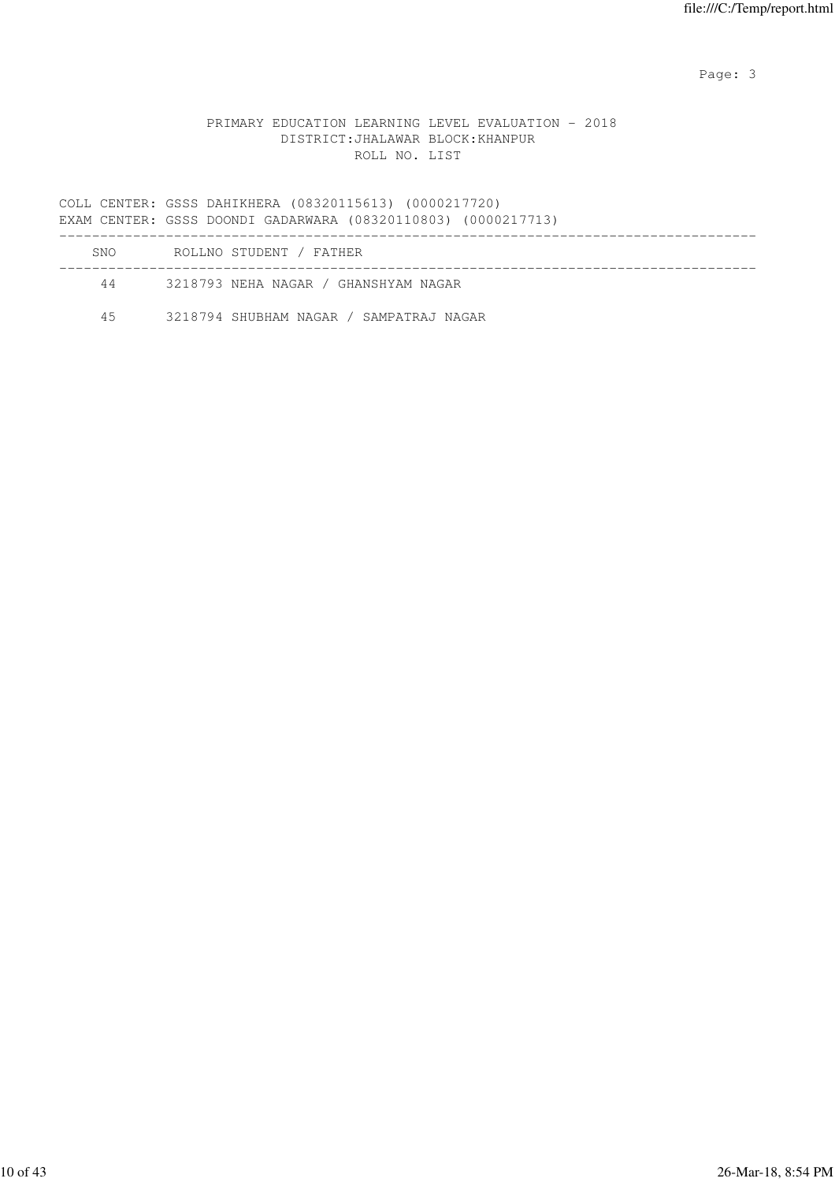Page: 3

### PRIMARY EDUCATION LEARNING LEVEL EVALUATION - 2018 DISTRICT:JHALAWAR BLOCK:KHANPUR ROLL NO. LIST

COLL CENTER: GSSS DAHIKHERA (08320115613) (0000217720) EXAM CENTER: GSSS DOONDI GADARWARA (08320110803) (0000217713) ------------------------------------------------------------------------------------- SNO ROLLNO STUDENT / FATHER ------------------------------------------------------------------------------------- 44 3218793 NEHA NAGAR / GHANSHYAM NAGAR

45 3218794 SHUBHAM NAGAR / SAMPATRAJ NAGAR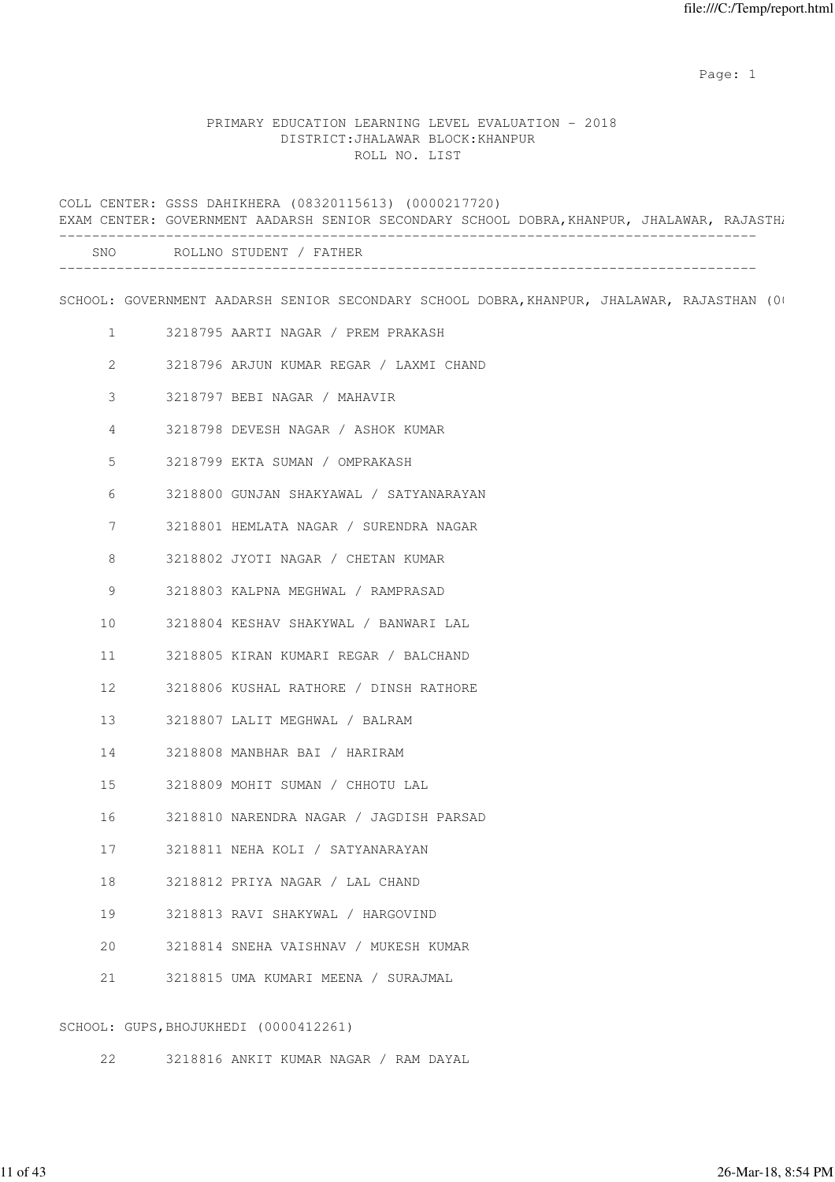### PRIMARY EDUCATION LEARNING LEVEL EVALUATION - 2018 DISTRICT:JHALAWAR BLOCK:KHANPUR ROLL NO. LIST

COLL CENTER: GSSS DAHIKHERA (08320115613) (0000217720) EXAM CENTER: GOVERNMENT AADARSH SENIOR SECONDARY SCHOOL DOBRA, KHANPUR, JHALAWAR, RAJASTHA ------------------------------------------------------------------------------------- SNO ROLLNO STUDENT / FATHER ------------------------------------------------------------------------------------- SCHOOL: GOVERNMENT AADARSH SENIOR SECONDARY SCHOOL DOBRA, KHANPUR, JHALAWAR, RAJASTHAN (00021714) 1 3218795 AARTI NAGAR / PREM PRAKASH 2 3218796 ARJUN KUMAR REGAR / LAXMI CHAND 3 3218797 BEBI NAGAR / MAHAVIR 4 3218798 DEVESH NAGAR / ASHOK KUMAR 5 3218799 EKTA SUMAN / OMPRAKASH 6 3218800 GUNJAN SHAKYAWAL / SATYANARAYAN 7 3218801 HEMLATA NAGAR / SURENDRA NAGAR 8 3218802 JYOTI NAGAR / CHETAN KUMAR 9 3218803 KALPNA MEGHWAL / RAMPRASAD 10 3218804 KESHAV SHAKYWAL / BANWARI LAL 11 3218805 KIRAN KUMARI REGAR / BALCHAND 12 3218806 KUSHAL RATHORE / DINSH RATHORE 13 3218807 LALIT MEGHWAL / BALRAM 14 3218808 MANBHAR BAI / HARIRAM 15 3218809 MOHIT SUMAN / CHHOTU LAL 16 3218810 NARENDRA NAGAR / JAGDISH PARSAD 17 3218811 NEHA KOLI / SATYANARAYAN 18 3218812 PRIYA NAGAR / LAL CHAND 19 3218813 RAVI SHAKYWAL / HARGOVIND 20 3218814 SNEHA VAISHNAV / MUKESH KUMAR 21 3218815 UMA KUMARI MEENA / SURAJMAL

SCHOOL: GUPS,BHOJUKHEDI (0000412261)

22 3218816 ANKIT KUMAR NAGAR / RAM DAYAL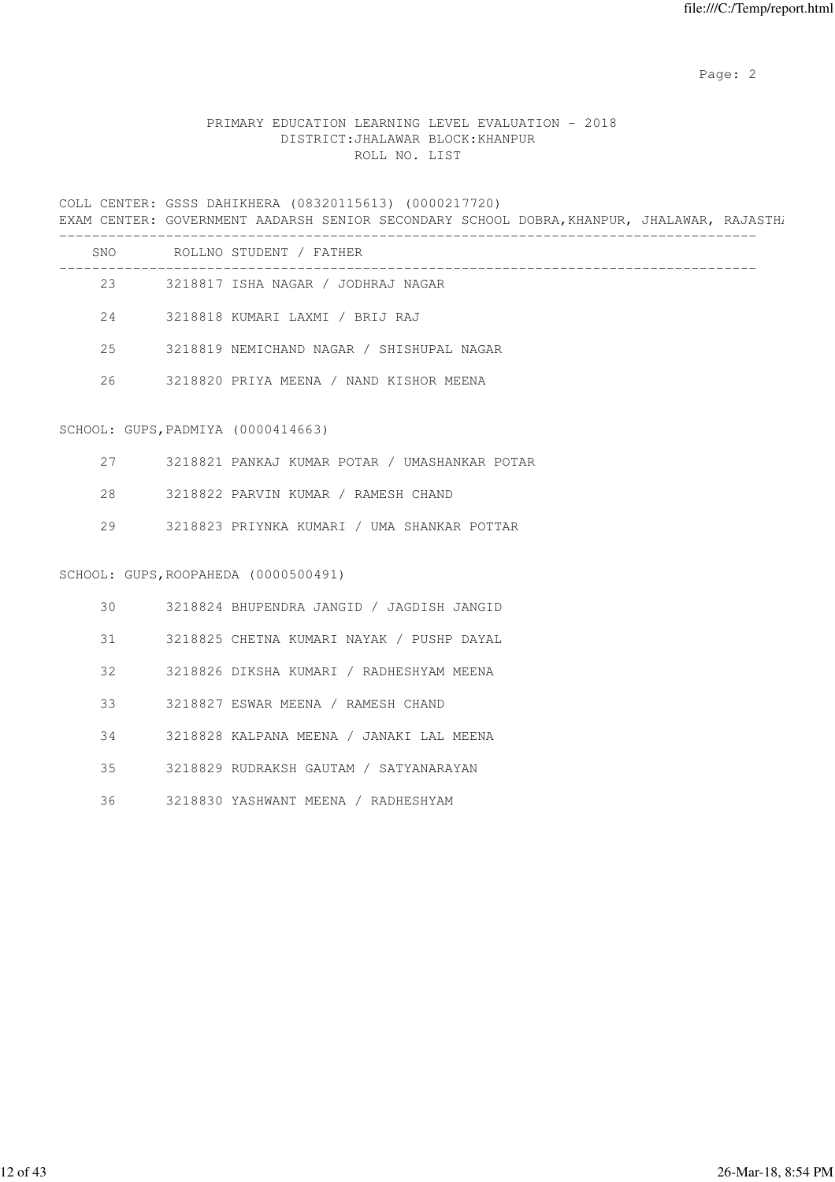## PRIMARY EDUCATION LEARNING LEVEL EVALUATION - 2018 DISTRICT:JHALAWAR BLOCK:KHANPUR ROLL NO. LIST

COLL CENTER: GSSS DAHIKHERA (08320115613) (0000217720) EXAM CENTER: GOVERNMENT AADARSH SENIOR SECONDARY SCHOOL DOBRA, KHANPUR, JHALAWAR, RAJASTHA -------------------------------------------------------------------------------------

| SNO | ROLLNO STUDENT / FATHER                   |
|-----|-------------------------------------------|
| 23  | 3218817 ISHA NAGAR / JODHRAJ NAGAR        |
| 2.4 | 3218818 KUMARI LAXMI / BRIJ RAJ           |
| 2.5 | 3218819 NEMICHAND NAGAR / SHISHUPAL NAGAR |
| 26  | 3218820 PRIYA MEENA / NAND KISHOR MEENA   |
|     |                                           |

#### SCHOOL: GUPS,PADMIYA (0000414663)

|  | 3218821 PANKAJ KUMAR POTAR 7 |  |  |  |  | / UMASHANKAR POTAR |  |
|--|------------------------------|--|--|--|--|--------------------|--|
|--|------------------------------|--|--|--|--|--------------------|--|

- 28 3218822 PARVIN KUMAR / RAMESH CHAND
- 29 3218823 PRIYNKA KUMARI / UMA SHANKAR POTTAR

#### SCHOOL: GUPS,ROOPAHEDA (0000500491)

| 30 | 3218824 BHUPENDRA JANGID / JAGDISH JANGID |
|----|-------------------------------------------|
| 31 | 3218825 CHETNA KUMARI NAYAK / PUSHP DAYAL |
| 32 | 3218826 DIKSHA KUMARI / RADHESHYAM MEENA  |
| 33 | 3218827 ESWAR MEENA / RAMESH CHAND        |
| 34 | 3218828 KALPANA MEENA / JANAKI LAL MEENA  |
| 35 | 3218829 RUDRAKSH GAUTAM / SATYANARAYAN    |
| 36 | 3218830 YASHWANT MEENA / RADHESHYAM       |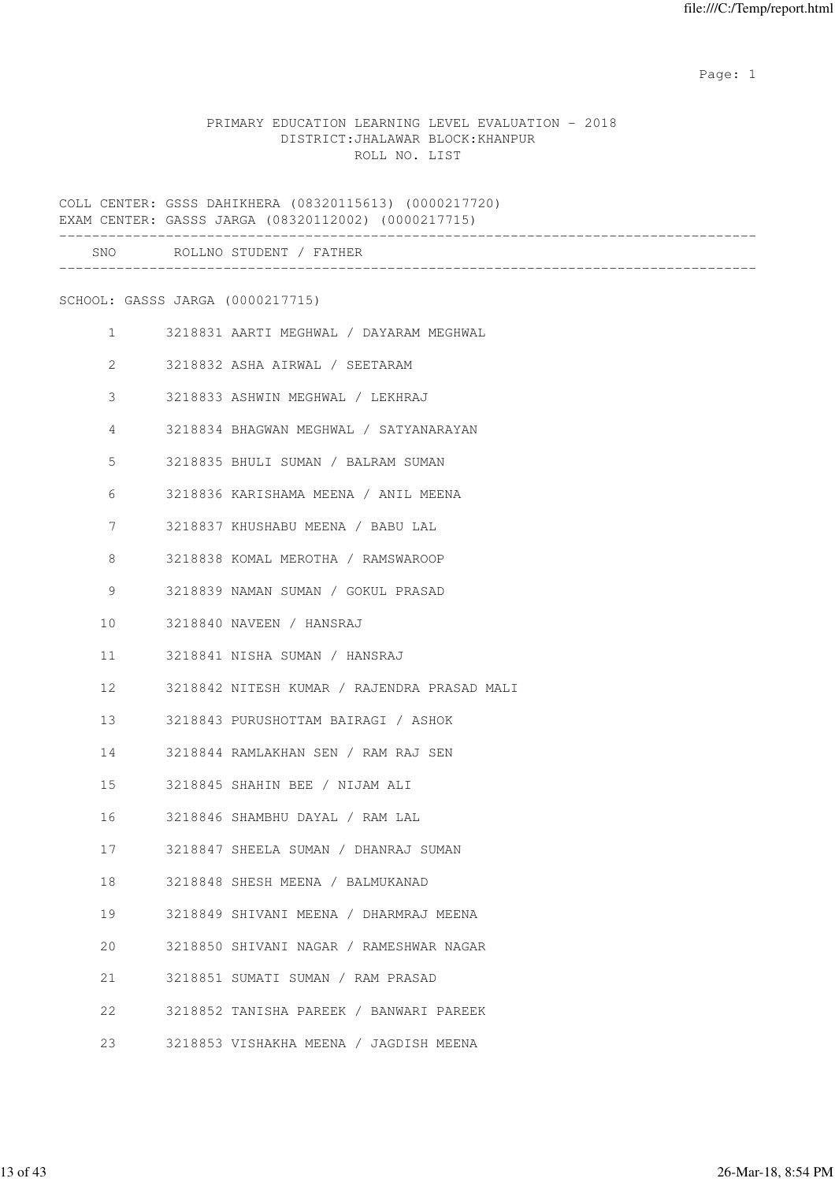### PRIMARY EDUCATION LEARNING LEVEL EVALUATION - 2018 DISTRICT:JHALAWAR BLOCK:KHANPUR ROLL NO. LIST

COLL CENTER: GSSS DAHIKHERA (08320115613) (0000217720) EXAM CENTER: GASSS JARGA (08320112002) (0000217715) ------------------------------------------------------------------------------------- SNO ROLLNO STUDENT / FATHER ------------------------------------------------------------------------------------- SCHOOL: GASSS JARGA (0000217715) 1 3218831 AARTI MEGHWAL / DAYARAM MEGHWAL 2 3218832 ASHA AIRWAL / SEETARAM 3 3218833 ASHWIN MEGHWAL / LEKHRAJ 4 3218834 BHAGWAN MEGHWAL / SATYANARAYAN 5 3218835 BHULI SUMAN / BALRAM SUMAN 6 3218836 KARISHAMA MEENA / ANIL MEENA 7 3218837 KHUSHABU MEENA / BABU LAL 8 3218838 KOMAL MEROTHA / RAMSWAROOP 9 3218839 NAMAN SUMAN / GOKUL PRASAD 10 3218840 NAVEEN / HANSRAJ 11 3218841 NISHA SUMAN / HANSRAJ 12 3218842 NITESH KUMAR / RAJENDRA PRASAD MALI 13 3218843 PURUSHOTTAM BAIRAGI / ASHOK 14 3218844 RAMLAKHAN SEN / RAM RAJ SEN 15 3218845 SHAHIN BEE / NIJAM ALI 16 3218846 SHAMBHU DAYAL / RAM LAL 17 3218847 SHEELA SUMAN / DHANRAJ SUMAN 18 3218848 SHESH MEENA / BALMUKANAD 19 3218849 SHIVANI MEENA / DHARMRAJ MEENA 20 3218850 SHIVANI NAGAR / RAMESHWAR NAGAR 21 3218851 SUMATI SUMAN / RAM PRASAD 22 3218852 TANISHA PAREEK / BANWARI PAREEK 23 3218853 VISHAKHA MEENA / JAGDISH MEENA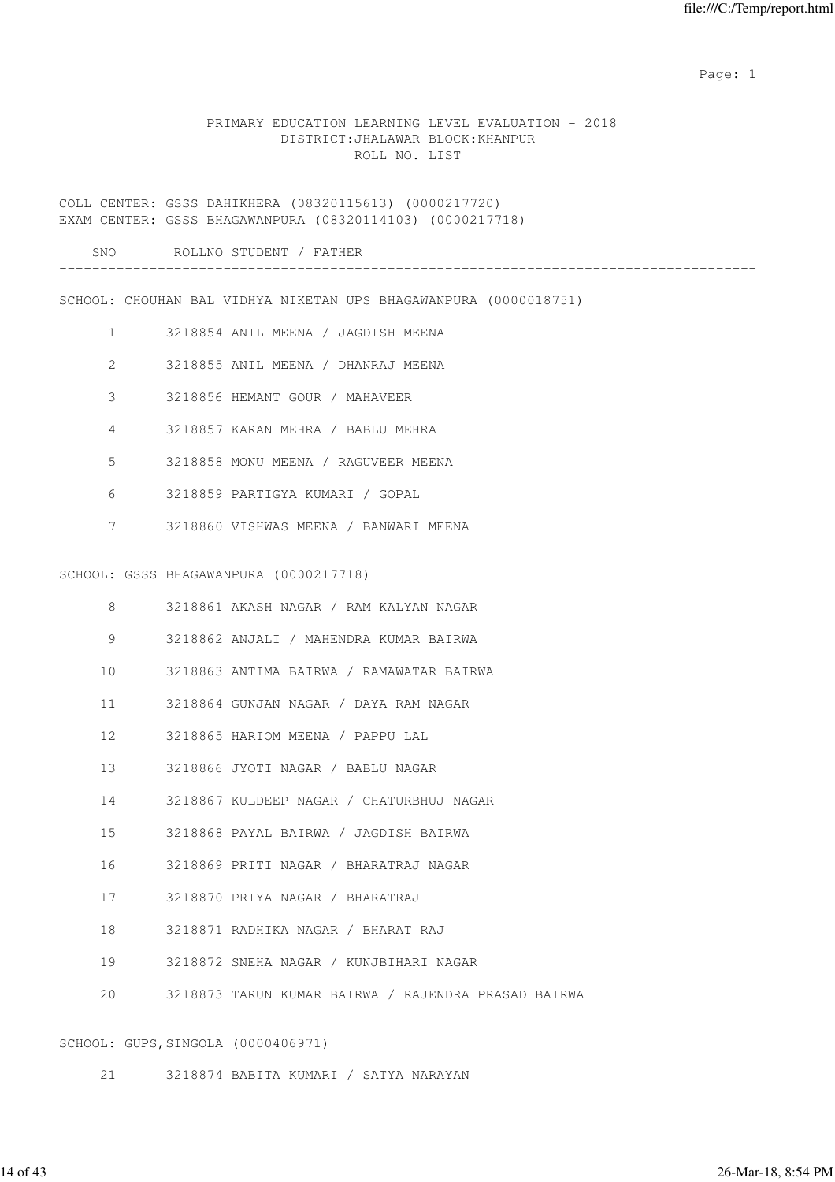### PRIMARY EDUCATION LEARNING LEVEL EVALUATION - 2018 DISTRICT:JHALAWAR BLOCK:KHANPUR ROLL NO. LIST

COLL CENTER: GSSS DAHIKHERA (08320115613) (0000217720) EXAM CENTER: GSSS BHAGAWANPURA (08320114103) (0000217718) ------------------------------------------------------------------------------------- SNO ROLLNO STUDENT / FATHER

| ◡▴◥◡<br>__ | . <i>. .</i> |  | 1 1 1 1 1 1 1 V |  |
|------------|--------------|--|-----------------|--|
|            |              |  |                 |  |
|            |              |  |                 |  |
|            |              |  |                 |  |

SCHOOL: CHOUHAN BAL VIDHYA NIKETAN UPS BHAGAWANPURA (0000018751)

- 1 3218854 ANIL MEENA / JAGDISH MEENA
- 2 3218855 ANIL MEENA / DHANRAJ MEENA
- 3 3218856 HEMANT GOUR / MAHAVEER
- 4 3218857 KARAN MEHRA / BABLU MEHRA
- 5 3218858 MONU MEENA / RAGUVEER MEENA
- 6 3218859 PARTIGYA KUMARI / GOPAL
- 7 3218860 VISHWAS MEENA / BANWARI MEENA

#### SCHOOL: GSSS BHAGAWANPURA (0000217718)

| 8            | 3218861 AKASH NAGAR / RAM KALYAN NAGAR              |
|--------------|-----------------------------------------------------|
| 9            | 3218862 ANJALI / MAHENDRA KUMAR BAIRWA              |
| 10           | 3218863 ANTIMA BAIRWA / RAMAWATAR BAIRWA            |
| 11           | 3218864 GUNJAN NAGAR / DAYA RAM NAGAR               |
| $12 -$       | 3218865 HARIOM MEENA / PAPPU LAL                    |
|              | 13 3218866 JYOTI NAGAR / BABLU NAGAR                |
| 14           | 3218867 KULDEEP NAGAR / CHATURBHUJ NAGAR            |
| 15           | 3218868 PAYAL BAIRWA / JAGDISH BAIRWA               |
| 16           | 3218869 PRITI NAGAR / BHARATRAJ NAGAR               |
| 17           | 3218870 PRIYA NAGAR / BHARATRAJ                     |
| 18           | 3218871 RADHIKA NAGAR / BHARAT RAJ                  |
| 19           | 3218872 SNEHA NAGAR / KUNJBIHARI NAGAR              |
| $20^{\circ}$ | 3218873 TARUN KUMAR BAIRWA / RAJENDRA PRASAD BAIRWA |
|              |                                                     |

### SCHOOL: GUPS,SINGOLA (0000406971)

21 3218874 BABITA KUMARI / SATYA NARAYAN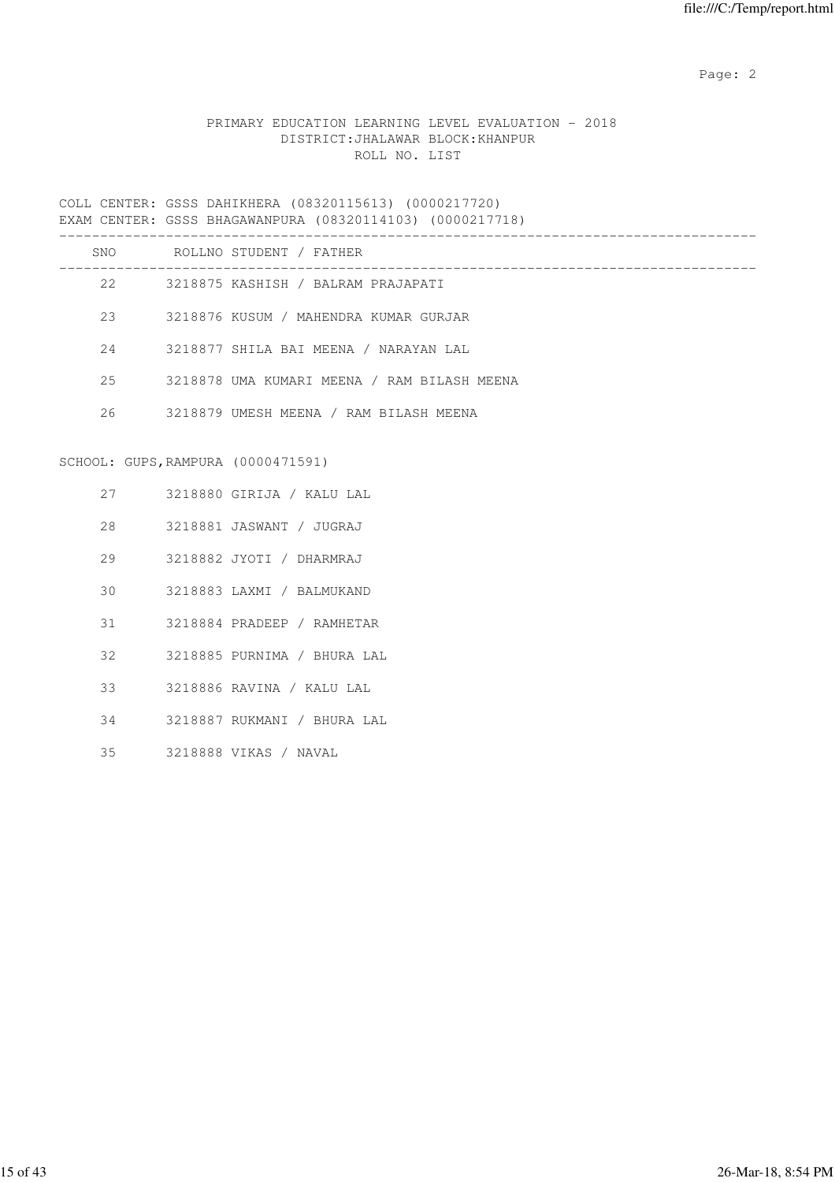## PRIMARY EDUCATION LEARNING LEVEL EVALUATION - 2018 DISTRICT:JHALAWAR BLOCK:KHANPUR ROLL NO. LIST

COLL CENTER: GSSS DAHIKHERA (08320115613) (0000217720) EXAM CENTER: GSSS BHAGAWANPURA (08320114103) (0000217718)

|    |                                    | SNO ROLLNO STUDENT / FATHER                 |
|----|------------------------------------|---------------------------------------------|
|    | 22                                 | 3218875 KASHISH / BALRAM PRAJAPATI          |
|    | 23                                 | 3218876 KUSUM / MAHENDRA KUMAR GURJAR       |
| 24 |                                    | 3218877 SHILA BAI MEENA / NARAYAN LAL       |
| 25 |                                    | 3218878 UMA KUMARI MEENA / RAM BILASH MEENA |
| 26 |                                    | 3218879 UMESH MEENA / RAM BILASH MEENA      |
|    |                                    |                                             |
|    | SCHOOL: GUPS, RAMPURA (0000471591) |                                             |
|    | 27 — 27                            | 3218880 GIRIJA / KALU LAL                   |
|    | 28                                 | 3218881 JASWANT / JUGRAJ                    |
| 29 |                                    | 3218882 JYOTI / DHARMRAJ                    |
| 30 |                                    | 3218883 LAXMI / BALMUKAND                   |
|    | 31                                 | 3218884 PRADEEP / RAMHETAR                  |
|    | $32 -$                             | 3218885 PURNIMA / BHURA LAL                 |
| 33 |                                    | 3218886 RAVINA / KALU LAL                   |
| 34 |                                    | 3218887 RUKMANI / BHURA LAL                 |
| 35 |                                    | 3218888 VIKAS / NAVAL                       |
|    |                                    |                                             |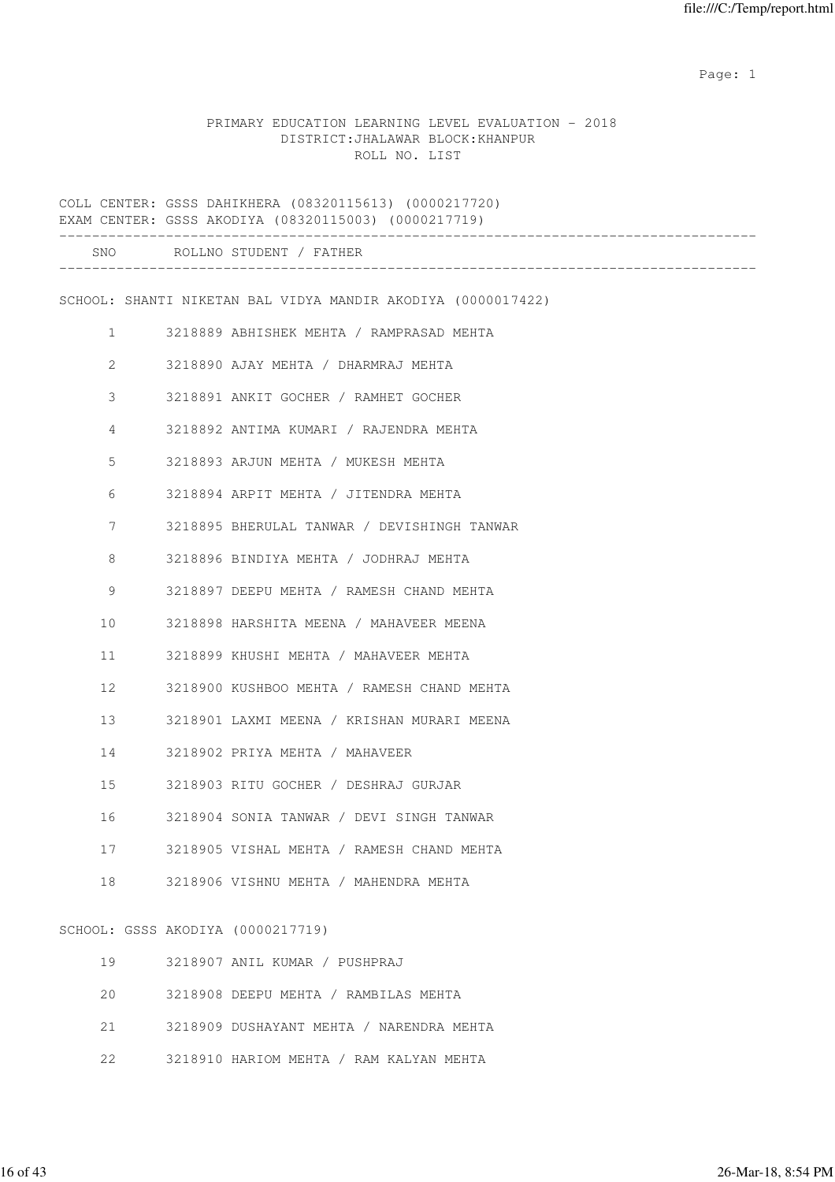|  |                                   |               | PRIMARY EDUCATION LEARNING LEVEL EVALUATION - 2018 |  |
|--|-----------------------------------|---------------|----------------------------------------------------|--|
|  | DISTRICT: JHALAWAR BLOCK: KHANPUR |               |                                                    |  |
|  |                                   | ROLL NO. LIST |                                                    |  |

COLL CENTER: GSSS DAHIKHERA (08320115613) (0000217720) EXAM CENTER: GSSS AKODIYA (08320115003) (0000217719) ------------------------------------------------------------------------------------- SNO ROLLNO STUDENT / FATHER ------------------------------------------------------------------------------------- SCHOOL: SHANTI NIKETAN BAL VIDYA MANDIR AKODIYA (0000017422) 1 3218889 ABHISHEK MEHTA / RAMPRASAD MEHTA 2 3218890 AJAY MEHTA / DHARMRAJ MEHTA 3 3218891 ANKIT GOCHER / RAMHET GOCHER 4 3218892 ANTIMA KUMARI / RAJENDRA MEHTA 5 3218893 ARJUN MEHTA / MUKESH MEHTA 6 3218894 ARPIT MEHTA / JITENDRA MEHTA 7 3218895 BHERULAL TANWAR / DEVISHINGH TANWAR 8 3218896 BINDIYA MEHTA / JODHRAJ MEHTA 9 3218897 DEEPU MEHTA / RAMESH CHAND MEHTA 10 3218898 HARSHITA MEENA / MAHAVEER MEENA 11 3218899 KHUSHI MEHTA / MAHAVEER MEHTA 12 3218900 KUSHBOO MEHTA / RAMESH CHAND MEHTA 13 3218901 LAXMI MEENA / KRISHAN MURARI MEENA 14 3218902 PRIYA MEHTA / MAHAVEER 15 3218903 RITU GOCHER / DESHRAJ GURJAR 16 3218904 SONIA TANWAR / DEVI SINGH TANWAR 17 3218905 VISHAL MEHTA / RAMESH CHAND MEHTA 18 3218906 VISHNU MEHTA / MAHENDRA MEHTA SCHOOL: GSSS AKODIYA (0000217719) 19 3218907 ANIL KUMAR / PUSHPRAJ 20 3218908 DEEPU MEHTA / RAMBILAS MEHTA 21 3218909 DUSHAYANT MEHTA / NARENDRA MEHTA 22 3218910 HARIOM MEHTA / RAM KALYAN MEHTA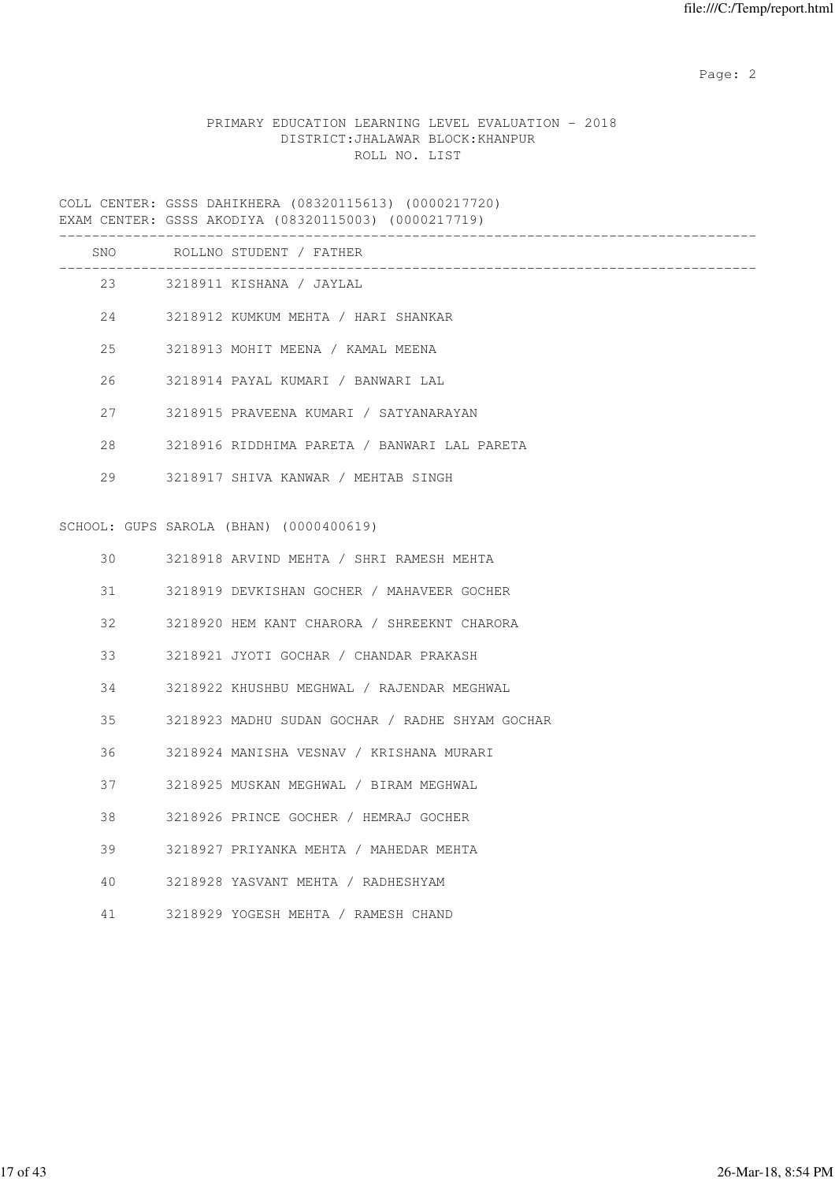## PRIMARY EDUCATION LEARNING LEVEL EVALUATION - 2018 DISTRICT:JHALAWAR BLOCK:KHANPUR ROLL NO. LIST

COLL CENTER: GSSS DAHIKHERA (08320115613) (0000217720) EXAM CENTER: GSSS AKODIYA (08320115003) (0000217719)

|    | SNO ROLLNO STUDENT / FATHER<br>_____________________________________ |
|----|----------------------------------------------------------------------|
|    | 23 3218911 KISHANA / JAYLAL                                          |
|    | 24 3218912 KUMKUM MEHTA / HARI SHANKAR                               |
| 25 | 3218913 MOHIT MEENA / KAMAL MEENA                                    |
| 26 | 3218914 PAYAL KUMARI / BANWARI LAL                                   |
| 27 | 3218915 PRAVEENA KUMARI / SATYANARAYAN                               |
| 28 | 3218916 RIDDHIMA PARETA / BANWARI LAL PARETA                         |
| 29 | 3218917 SHIVA KANWAR / MEHTAB SINGH                                  |
|    |                                                                      |
|    | SCHOOL: GUPS SAROLA (BHAN) (0000400619)                              |
| 30 | 3218918 ARVIND MEHTA / SHRI RAMESH MEHTA                             |
| 31 | 3218919 DEVKISHAN GOCHER / MAHAVEER GOCHER                           |
| 32 | 3218920 HEM KANT CHARORA / SHREEKNT CHARORA                          |
| 33 | 3218921 JYOTI GOCHAR / CHANDAR PRAKASH                               |
| 34 | 3218922 KHUSHBU MEGHWAL / RAJENDAR MEGHWAL                           |
| 35 | 3218923 MADHU SUDAN GOCHAR / RADHE SHYAM GOCHAR                      |
| 36 | 3218924 MANISHA VESNAV / KRISHANA MURARI                             |
| 37 | 3218925 MUSKAN MEGHWAL / BIRAM MEGHWAL                               |
| 38 | 3218926 PRINCE GOCHER / HEMRAJ GOCHER                                |
| 39 | 3218927 PRIYANKA MEHTA / MAHEDAR MEHTA                               |
| 40 | 3218928 YASVANT MEHTA / RADHESHYAM                                   |
| 41 | 3218929 YOGESH MEHTA / RAMESH CHAND                                  |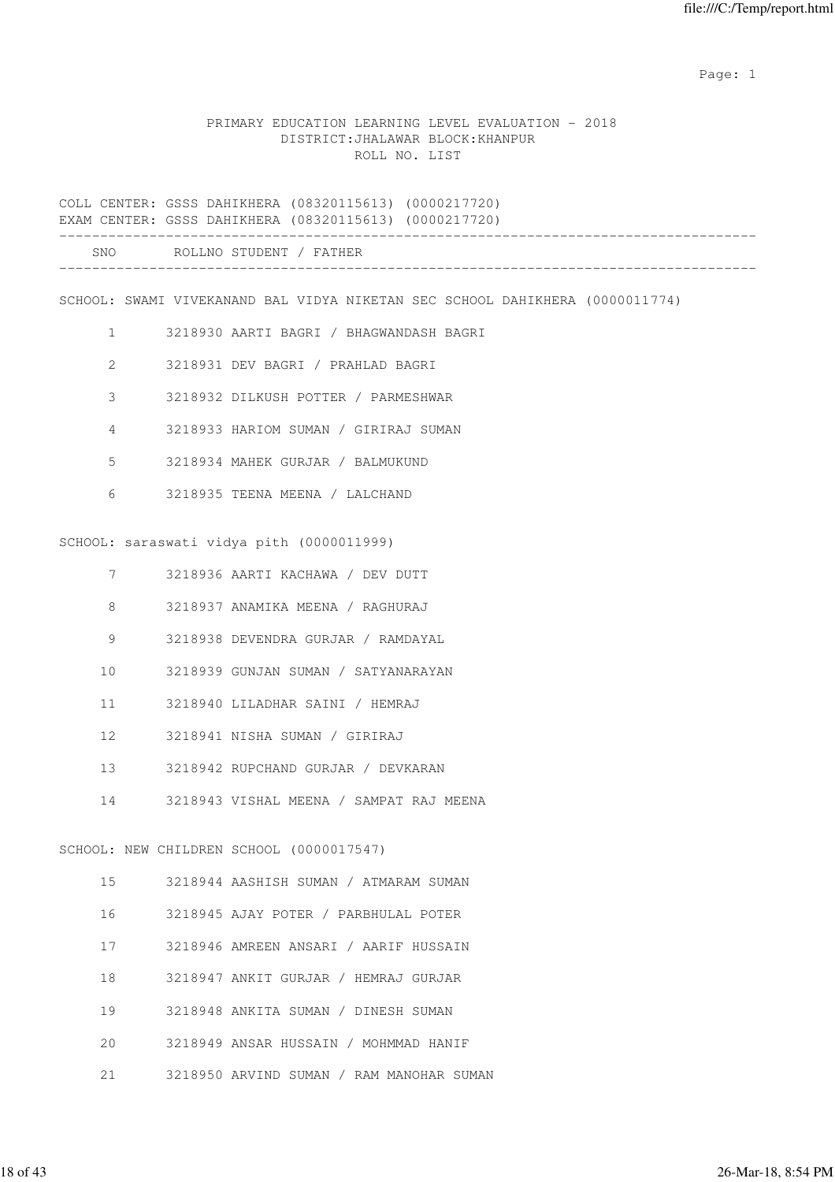### PRIMARY EDUCATION LEARNING LEVEL EVALUATION - 2018 DISTRICT:JHALAWAR BLOCK:KHANPUR ROLL NO. LIST

COLL CENTER: GSSS DAHIKHERA (08320115613) (0000217720) EXAM CENTER: GSSS DAHIKHERA (08320115613) (0000217720) ------------------------------------------------------------------------------------- SNO ROLLNO STUDENT / FATHER -------------------------------------------------------------------------------------

SCHOOL: SWAMI VIVEKANAND BAL VIDYA NIKETAN SEC SCHOOL DAHIKHERA (0000011774)

- 1 3218930 AARTI BAGRI / BHAGWANDASH BAGRI
- 2 3218931 DEV BAGRI / PRAHLAD BAGRI
- 3 3218932 DILKUSH POTTER / PARMESHWAR
- 4 3218933 HARIOM SUMAN / GIRIRAJ SUMAN
- 5 3218934 MAHEK GURJAR / BALMUKUND
- 6 3218935 TEENA MEENA / LALCHAND

SCHOOL: saraswati vidya pith (0000011999)

- 7 3218936 AARTI KACHAWA / DEV DUTT
- 8 3218937 ANAMIKA MEENA / RAGHURAJ
- 9 3218938 DEVENDRA GURJAR / RAMDAYAL
- 10 3218939 GUNJAN SUMAN / SATYANARAYAN
- 11 3218940 LILADHAR SAINI / HEMRAJ
- 12 3218941 NISHA SUMAN / GIRIRAJ
- 13 3218942 RUPCHAND GURJAR / DEVKARAN
- 14 3218943 VISHAL MEENA / SAMPAT RAJ MEENA

#### SCHOOL: NEW CHILDREN SCHOOL (0000017547)

- 15 3218944 AASHISH SUMAN / ATMARAM SUMAN
- 16 3218945 AJAY POTER / PARBHULAL POTER
- 17 3218946 AMREEN ANSARI / AARIF HUSSAIN
- 18 3218947 ANKIT GURJAR / HEMRAJ GURJAR
- 19 3218948 ANKITA SUMAN / DINESH SUMAN
- 20 3218949 ANSAR HUSSAIN / MOHMMAD HANIF
- 21 3218950 ARVIND SUMAN / RAM MANOHAR SUMAN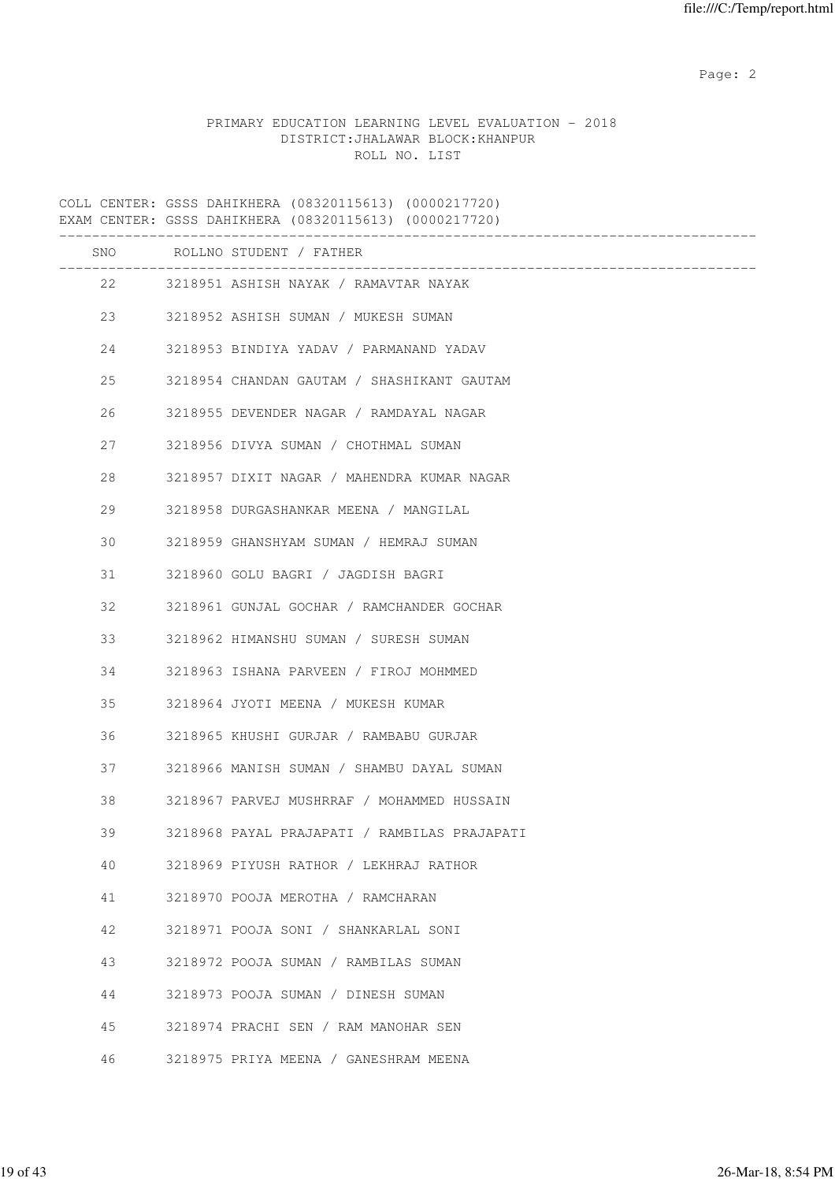|                                   | PRIMARY EDUCATION LEARNING LEVEL EVALUATION - 2018 |
|-----------------------------------|----------------------------------------------------|
| DISTRICT: JHALAWAR BLOCK: KHANPUR |                                                    |
| ROLL NO. LIST                     |                                                    |

|    | COLL CENTER: GSSS DAHIKHERA (08320115613) (0000217720)<br>EXAM CENTER: GSSS DAHIKHERA (08320115613) (0000217720) |
|----|------------------------------------------------------------------------------------------------------------------|
|    | SNO ROLLNO STUDENT / FATHER                                                                                      |
|    | 22 3218951 ASHISH NAYAK / RAMAVTAR NAYAK                                                                         |
| 23 | 3218952 ASHISH SUMAN / MUKESH SUMAN                                                                              |
| 24 | 3218953 BINDIYA YADAV / PARMANAND YADAV                                                                          |
| 25 | 3218954 CHANDAN GAUTAM / SHASHIKANT GAUTAM                                                                       |
| 26 | 3218955 DEVENDER NAGAR / RAMDAYAL NAGAR                                                                          |
| 27 | 3218956 DIVYA SUMAN / CHOTHMAL SUMAN                                                                             |
| 28 | 3218957 DIXIT NAGAR / MAHENDRA KUMAR NAGAR                                                                       |
| 29 | 3218958 DURGASHANKAR MEENA / MANGILAL                                                                            |
| 30 | 3218959 GHANSHYAM SUMAN / HEMRAJ SUMAN                                                                           |
| 31 | 3218960 GOLU BAGRI / JAGDISH BAGRI                                                                               |
| 32 | 3218961 GUNJAL GOCHAR / RAMCHANDER GOCHAR                                                                        |
| 33 | 3218962 HIMANSHU SUMAN / SURESH SUMAN                                                                            |
| 34 | 3218963 ISHANA PARVEEN / FIROJ MOHMMED                                                                           |
| 35 | 3218964 JYOTI MEENA / MUKESH KUMAR                                                                               |
| 36 | 3218965 KHUSHI GURJAR / RAMBABU GURJAR                                                                           |
| 37 | 3218966 MANISH SUMAN / SHAMBU DAYAL SUMAN                                                                        |
| 38 | 3218967 PARVEJ MUSHRRAF / MOHAMMED HUSSAIN                                                                       |
| 39 | 3218968 PAYAL PRAJAPATI / RAMBILAS PRAJAPATI                                                                     |
| 40 | 3218969 PIYUSH RATHOR / LEKHRAJ RATHOR                                                                           |
| 41 | 3218970 POOJA MEROTHA / RAMCHARAN                                                                                |
| 42 | 3218971 POOJA SONI / SHANKARLAL SONI                                                                             |
| 43 | 3218972 POOJA SUMAN / RAMBILAS SUMAN                                                                             |
| 44 | 3218973 POOJA SUMAN / DINESH SUMAN                                                                               |
| 45 | 3218974 PRACHI SEN / RAM MANOHAR SEN                                                                             |
| 46 | 3218975 PRIYA MEENA / GANESHRAM MEENA                                                                            |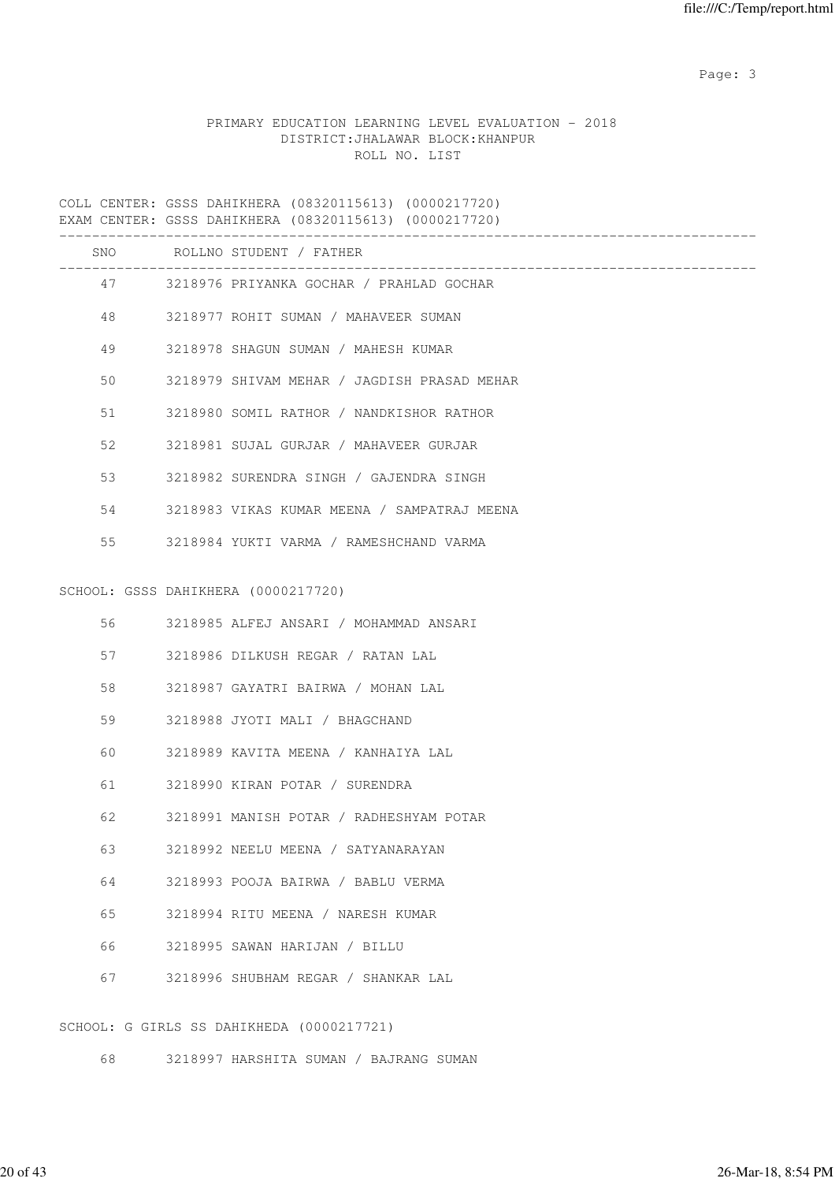Page: 3

## PRIMARY EDUCATION LEARNING LEVEL EVALUATION - 2018 DISTRICT:JHALAWAR BLOCK:KHANPUR ROLL NO. LIST

|     | COLL CENTER: GSSS DAHIKHERA (08320115613) (0000217720)<br>EXAM CENTER: GSSS DAHIKHERA (08320115613) (0000217720) |
|-----|------------------------------------------------------------------------------------------------------------------|
| SNO | ROLLNO STUDENT / FATHER                                                                                          |
|     | 47 3218976 PRIYANKA GOCHAR / PRAHLAD GOCHAR                                                                      |
| 48  | 3218977 ROHIT SUMAN / MAHAVEER SUMAN                                                                             |
| 49  | 3218978 SHAGUN SUMAN / MAHESH KUMAR                                                                              |
| 50  | 3218979 SHIVAM MEHAR / JAGDISH PRASAD MEHAR                                                                      |
| 51  | 3218980 SOMIL RATHOR / NANDKISHOR RATHOR                                                                         |
| 52  | 3218981 SUJAL GURJAR / MAHAVEER GURJAR                                                                           |
| 53  | 3218982 SURENDRA SINGH / GAJENDRA SINGH                                                                          |
| 54  | 3218983 VIKAS KUMAR MEENA / SAMPATRAJ MEENA                                                                      |
| 55  | 3218984 YUKTI VARMA / RAMESHCHAND VARMA                                                                          |
|     | SCHOOL: GSSS DAHIKHERA (0000217720)                                                                              |
| 56  | 3218985 ALFEJ ANSARI / MOHAMMAD ANSARI                                                                           |
| 57  | 3218986 DILKUSH REGAR / RATAN LAL                                                                                |
| 58  | 3218987 GAYATRI BAIRWA / MOHAN LAL                                                                               |
| 59  | 3218988 JYOTI MALI / BHAGCHAND                                                                                   |
| 60  | 3218989 KAVITA MEENA / KANHAIYA LAL                                                                              |
| 61  | 3218990 KIRAN POTAR / SURENDRA                                                                                   |
| 62  | 3218991 MANISH POTAR / RADHESHYAM POTAR                                                                          |
| 63  | 3218992 NEELU MEENA / SATYANARAYAN                                                                               |
| 64  | 3218993 POOJA BAIRWA / BABLU VERMA                                                                               |
| 65  | 3218994 RITU MEENA / NARESH KUMAR                                                                                |
| 66  | 3218995 SAWAN HARIJAN / BILLU                                                                                    |
| 67  | 3218996 SHUBHAM REGAR / SHANKAR LAL                                                                              |
|     | SCHOOL: G GIRLS SS DAHIKHEDA (0000217721)                                                                        |

68 3218997 HARSHITA SUMAN / BAJRANG SUMAN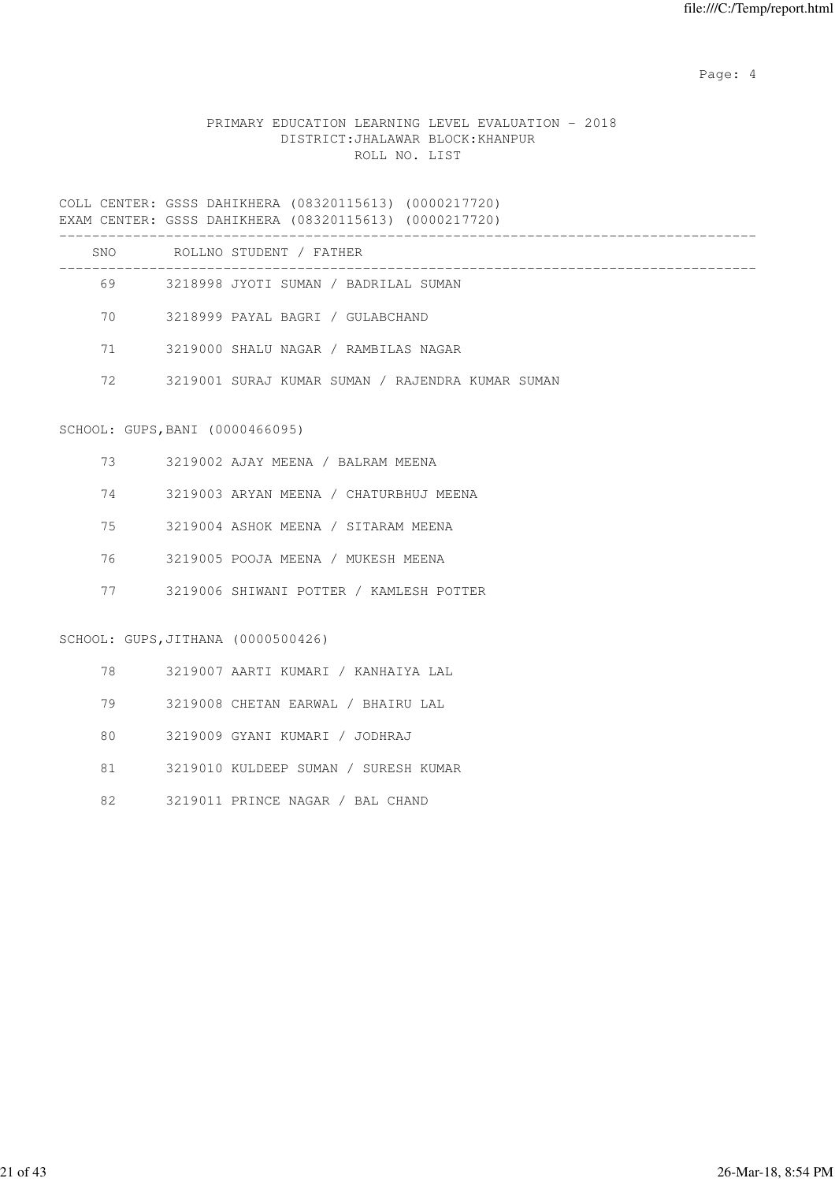Page: 4  $P$ 

### PRIMARY EDUCATION LEARNING LEVEL EVALUATION - 2018 DISTRICT:JHALAWAR BLOCK:KHANPUR ROLL NO. LIST

|          | COLL CENTER: GSSS DAHIKHERA (08320115613) (0000217720)<br>EXAM CENTER: GSSS DAHIKHERA (08320115613) (0000217720) |
|----------|------------------------------------------------------------------------------------------------------------------|
|          | SNO ROLLNO STUDENT / FATHER                                                                                      |
|          | 69 3218998 JYOTI SUMAN / BADRILAL SUMAN                                                                          |
|          | 70 3218999 PAYAL BAGRI / GULABCHAND                                                                              |
| 71 — 200 | 3219000 SHALU NAGAR / RAMBILAS NAGAR                                                                             |
|          | 72 3219001 SURAJ KUMAR SUMAN / RAJENDRA KUMAR SUMAN                                                              |
|          | SCHOOL: GUPS, BANI (0000466095)                                                                                  |
| 73 — 1   | 3219002 AJAY MEENA / BALRAM MEENA                                                                                |
| 74       | 3219003 ARYAN MEENA / CHATURBHUJ MEENA                                                                           |
| 75       | 3219004 ASHOK MEENA / SITARAM MEENA                                                                              |

- 76 3219005 POOJA MEENA / MUKESH MEENA
- 77 3219006 SHIWANI POTTER / KAMLESH POTTER

## SCHOOL: GUPS,JITHANA (0000500426)

| 78 | 3219007 AARTI KUMARI / KANHAIYA LAL  |
|----|--------------------------------------|
| 79 | 3219008 CHETAN EARWAL / BHAIRU LAL   |
| 80 | 3219009 GYANI KUMARI / JODHRAJ       |
| 81 | 3219010 KULDEEP SUMAN / SURESH KUMAR |
| 82 | 3219011 PRINCE NAGAR / BAL CHAND     |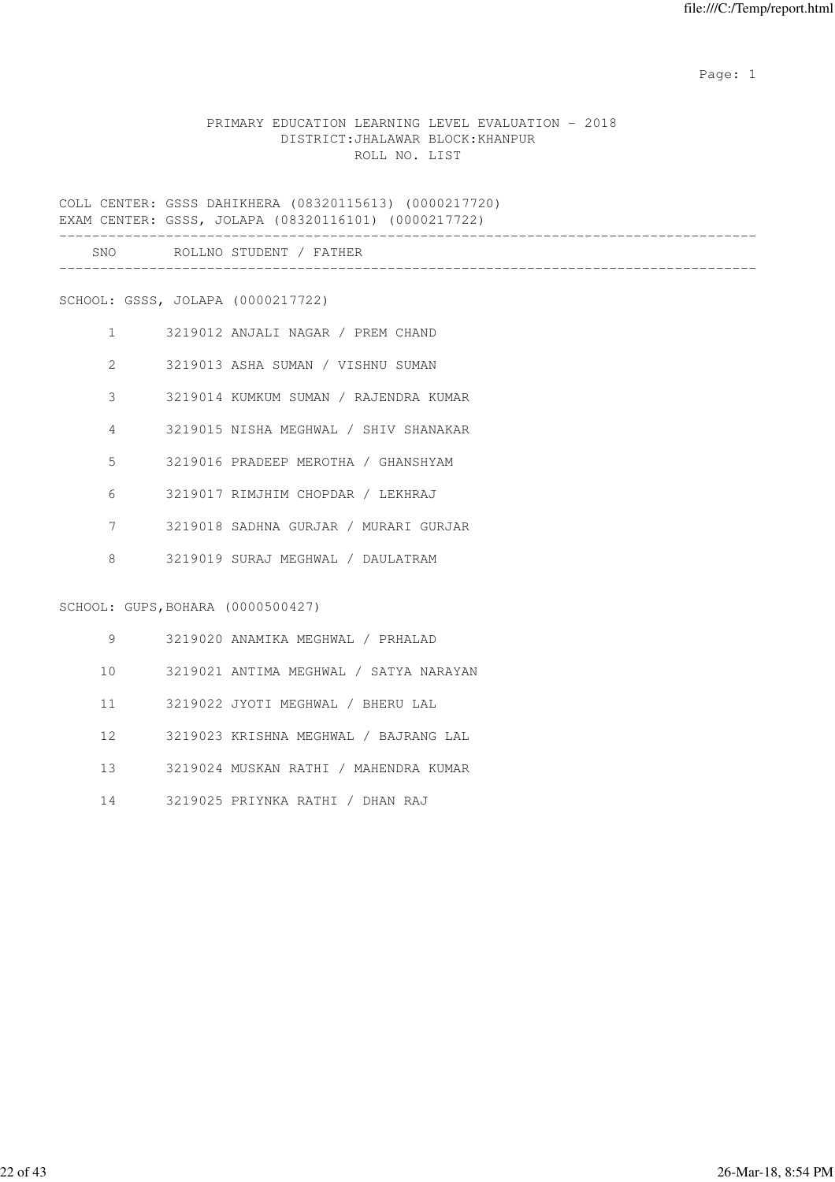### PRIMARY EDUCATION LEARNING LEVEL EVALUATION - 2018 DISTRICT:JHALAWAR BLOCK:KHANPUR ROLL NO. LIST

COLL CENTER: GSSS DAHIKHERA (08320115613) (0000217720) EXAM CENTER: GSSS, JOLAPA (08320116101) (0000217722)

| SMC<br>__ | ΡC |  |
|-----------|----|--|
|           |    |  |

SCHOOL: GSSS, JOLAPA (0000217722)

| 1             | 3219012 ANJALI NAGAR / PREM CHAND     |
|---------------|---------------------------------------|
| $\mathcal{L}$ | 3219013 ASHA SUMAN / VISHNU SUMAN     |
| 3             | 3219014 KUMKUM SUMAN / RAJENDRA KUMAR |
| 4             | 3219015 NISHA MEGHWAL / SHIV SHANAKAR |
| 5             | 3219016 PRADEEP MEROTHA / GHANSHYAM   |
| 6             | 3219017 RIMJHIM CHOPDAR / LEKHRAJ     |
| 7             | 3219018 SADHNA GURJAR / MURARI GURJAR |
| 8             | 3219019 SURAJ MEGHWAL / DAULATRAM     |
|               |                                       |

## SCHOOL: GUPS,BOHARA (0000500427)

| 9   | 3219020 ANAMIKA MEGHWAL / PRHALAD      |
|-----|----------------------------------------|
| 10  | 3219021 ANTIMA MEGHWAL / SATYA NARAYAN |
| 11  | 3219022 JYOTI MEGHWAL / BHERU LAL      |
| 12. | 3219023 KRISHNA MEGHWAL / BAJRANG LAL  |
| 13  | 3219024 MUSKAN RATHI / MAHENDRA KUMAR  |
| 14  | 3219025 PRIYNKA RATHI / DHAN RAJ       |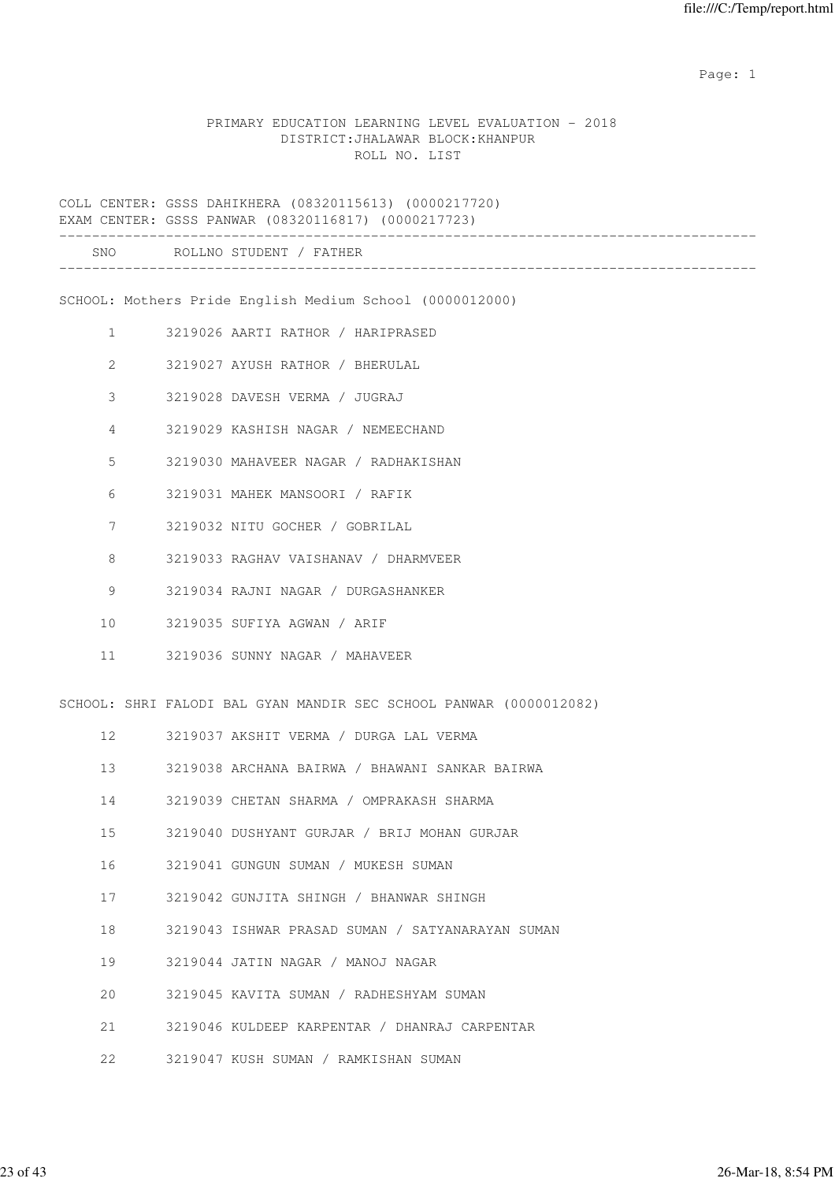### PRIMARY EDUCATION LEARNING LEVEL EVALUATION - 2018 DISTRICT:JHALAWAR BLOCK:KHANPUR ROLL NO. LIST

COLL CENTER: GSSS DAHIKHERA (08320115613) (0000217720) EXAM CENTER: GSSS PANWAR (08320116817) (0000217723) ------------------------------------------------------------------------------------- SNO ROLLNO STUDENT / FATHER ------------------------------------------------------------------------------------- SCHOOL: Mothers Pride English Medium School (0000012000) 1 3219026 AARTI RATHOR / HARIPRASED 2 3219027 AYUSH RATHOR / BHERULAL 3 3219028 DAVESH VERMA / JUGRAJ 4 3219029 KASHISH NAGAR / NEMEECHAND 5 3219030 MAHAVEER NAGAR / RADHAKISHAN 6 3219031 MAHEK MANSOORI / RAFIK 7 3219032 NITU GOCHER / GOBRILAL 8 3219033 RAGHAV VAISHANAV / DHARMVEER 9 3219034 RAJNI NAGAR / DURGASHANKER 10 3219035 SUFIYA AGWAN / ARIF 11 3219036 SUNNY NAGAR / MAHAVEER SCHOOL: SHRI FALODI BAL GYAN MANDIR SEC SCHOOL PANWAR (0000012082) 12 3219037 AKSHIT VERMA / DURGA LAL VERMA 13 3219038 ARCHANA BAIRWA / BHAWANI SANKAR BAIRWA 14 3219039 CHETAN SHARMA / OMPRAKASH SHARMA 15 3219040 DUSHYANT GURJAR / BRIJ MOHAN GURJAR 16 3219041 GUNGUN SUMAN / MUKESH SUMAN 17 3219042 GUNJITA SHINGH / BHANWAR SHINGH 18 3219043 ISHWAR PRASAD SUMAN / SATYANARAYAN SUMAN 19 3219044 JATIN NAGAR / MANOJ NAGAR 20 3219045 KAVITA SUMAN / RADHESHYAM SUMAN

- 21 3219046 KULDEEP KARPENTAR / DHANRAJ CARPENTAR
- 22 3219047 KUSH SUMAN / RAMKISHAN SUMAN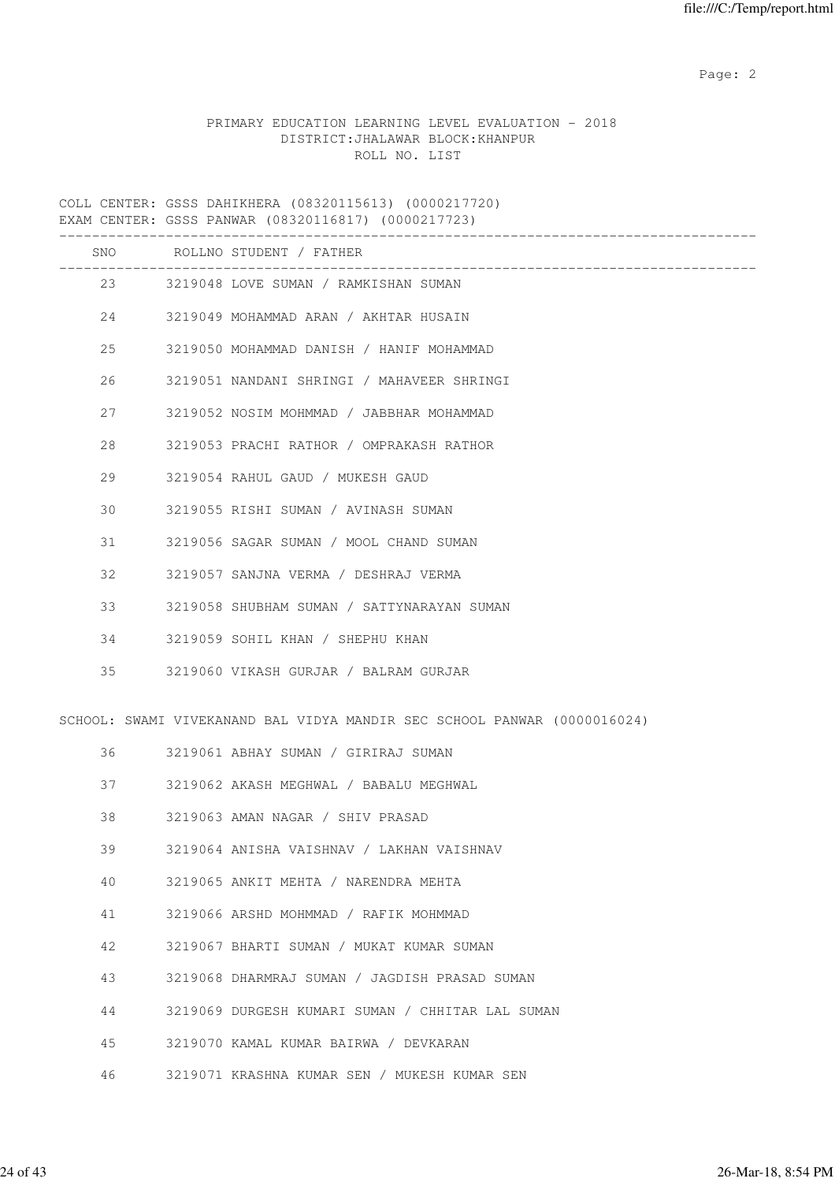## PRIMARY EDUCATION LEARNING LEVEL EVALUATION - 2018 DISTRICT:JHALAWAR BLOCK:KHANPUR ROLL NO. LIST

COLL CENTER: GSSS DAHIKHERA (08320115613) (0000217720) EXAM CENTER: GSSS PANWAR (08320116817) (0000217723)

|    |    | SNO ROLLNO STUDENT / FATHER                                              |
|----|----|--------------------------------------------------------------------------|
|    |    | 23 3219048 LOVE SUMAN / RAMKISHAN SUMAN                                  |
|    | 24 | 3219049 MOHAMMAD ARAN / AKHTAR HUSAIN                                    |
| 25 |    | 3219050 MOHAMMAD DANISH / HANIF MOHAMMAD                                 |
| 26 |    | 3219051 NANDANI SHRINGI / MAHAVEER SHRINGI                               |
| 27 |    | 3219052 NOSIM MOHMMAD / JABBHAR MOHAMMAD                                 |
| 28 |    | 3219053 PRACHI RATHOR / OMPRAKASH RATHOR                                 |
| 29 |    | 3219054 RAHUL GAUD / MUKESH GAUD                                         |
| 30 |    | 3219055 RISHI SUMAN / AVINASH SUMAN                                      |
| 31 |    | 3219056 SAGAR SUMAN / MOOL CHAND SUMAN                                   |
| 32 |    | 3219057 SANJNA VERMA / DESHRAJ VERMA                                     |
| 33 |    | 3219058 SHUBHAM SUMAN / SATTYNARAYAN SUMAN                               |
| 34 |    | 3219059 SOHIL KHAN / SHEPHU KHAN                                         |
| 35 |    | 3219060 VIKASH GURJAR / BALRAM GURJAR                                    |
|    |    | SCHOOL: SWAMI VIVEKANAND BAL VIDYA MANDIR SEC SCHOOL PANWAR (0000016024) |
|    |    | 36 3219061 ABHAY SUMAN / GIRIRAJ SUMAN                                   |
| 37 |    | 3219062 AKASH MEGHWAL / BABALU MEGHWAL                                   |
| 38 |    | 3219063 AMAN NAGAR / SHIV PRASAD                                         |
| 39 |    | 3219064 ANISHA VAISHNAV / LAKHAN VAISHNAV                                |
| 40 |    | 3219065 ANKIT MEHTA / NARENDRA MEHTA                                     |
| 41 |    | 3219066 ARSHD MOHMMAD / RAFIK MOHMMAD                                    |
| 42 |    | 3219067 BHARTI SUMAN / MUKAT KUMAR SUMAN                                 |
| 43 |    | 3219068 DHARMRAJ SUMAN / JAGDISH PRASAD SUMAN                            |
| 44 |    | 3219069 DURGESH KUMARI SUMAN / CHHITAR LAL SUMAN                         |
| 45 |    | 3219070 KAMAL KUMAR BAIRWA / DEVKARAN                                    |
| 46 |    | 3219071 KRASHNA KUMAR SEN / MUKESH KUMAR SEN                             |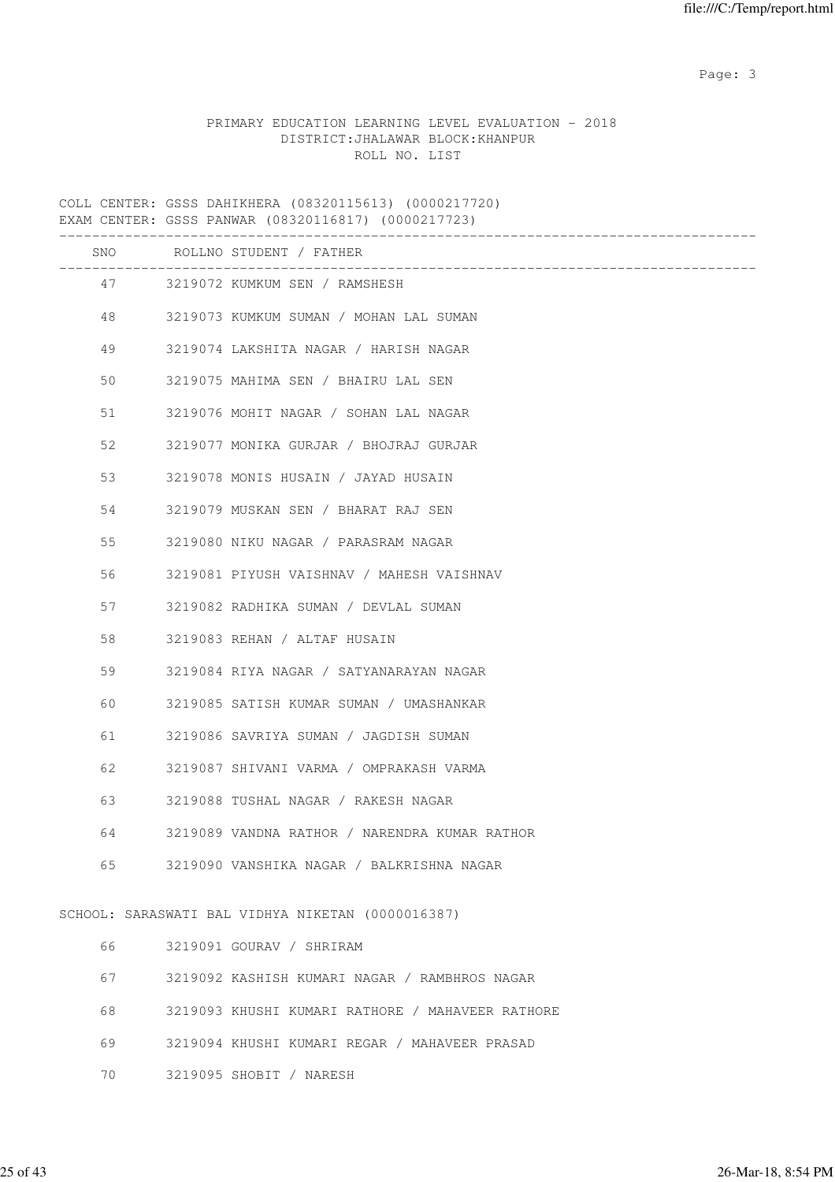Page: 3

## PRIMARY EDUCATION LEARNING LEVEL EVALUATION - 2018 DISTRICT:JHALAWAR BLOCK:KHANPUR ROLL NO. LIST

COLL CENTER: GSSS DAHIKHERA (08320115613) (0000217720) EXAM CENTER: GSSS PANWAR (08320116817) (0000217723)

|    | SNO ROLLNO STUDENT / FATHER                       |
|----|---------------------------------------------------|
|    | 47 3219072 KUMKUM SEN / RAMSHESH                  |
| 48 | 3219073 KUMKUM SUMAN / MOHAN LAL SUMAN            |
| 49 | 3219074 LAKSHITA NAGAR / HARISH NAGAR             |
| 50 | 3219075 MAHIMA SEN / BHAIRU LAL SEN               |
| 51 | 3219076 MOHIT NAGAR / SOHAN LAL NAGAR             |
| 52 | 3219077 MONIKA GURJAR / BHOJRAJ GURJAR            |
| 53 | 3219078 MONIS HUSAIN / JAYAD HUSAIN               |
| 54 | 3219079 MUSKAN SEN / BHARAT RAJ SEN               |
| 55 | 3219080 NIKU NAGAR / PARASRAM NAGAR               |
| 56 | 3219081 PIYUSH VAISHNAV / MAHESH VAISHNAV         |
| 57 | 3219082 RADHIKA SUMAN / DEVLAL SUMAN              |
| 58 | 3219083 REHAN / ALTAF HUSAIN                      |
| 59 | 3219084 RIYA NAGAR / SATYANARAYAN NAGAR           |
| 60 | 3219085 SATISH KUMAR SUMAN / UMASHANKAR           |
| 61 | 3219086 SAVRIYA SUMAN / JAGDISH SUMAN             |
| 62 | 3219087 SHIVANI VARMA / OMPRAKASH VARMA           |
| 63 | 3219088 TUSHAL NAGAR / RAKESH NAGAR               |
| 64 | 3219089 VANDNA RATHOR / NARENDRA KUMAR RATHOR     |
| 65 | 3219090 VANSHIKA NAGAR / BALKRISHNA NAGAR         |
|    | SCHOOL: SARASWATI BAL VIDHYA NIKETAN (0000016387) |
| 66 | 3219091 GOURAV / SHRIRAM                          |
| 67 | 3219092 KASHISH KUMARI NAGAR / RAMBHROS NAGAR     |
| 68 | 3219093 KHUSHI KUMARI RATHORE / MAHAVEER RATHORE  |
| 69 | 3219094 KHUSHI KUMARI REGAR / MAHAVEER PRASAD     |

70 3219095 SHOBIT / NARESH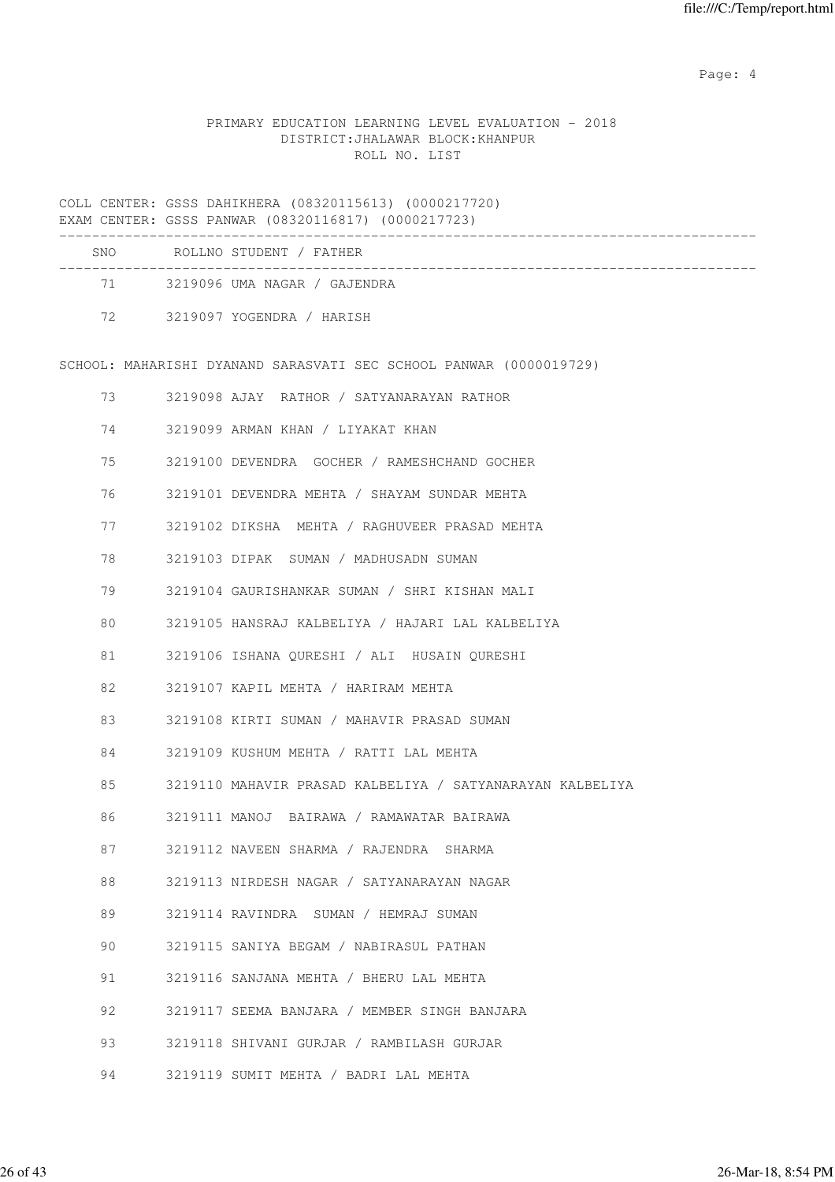Page: 4  $P$ 

## PRIMARY EDUCATION LEARNING LEVEL EVALUATION - 2018 DISTRICT:JHALAWAR BLOCK:KHANPUR ROLL NO. LIST

COLL CENTER: GSSS DAHIKHERA (08320115613) (0000217720) EXAM CENTER: GSSS PANWAR (08320116817) (0000217723)

| <b>SNO</b> | ROLLNO STUDENT / FATHER      |  |
|------------|------------------------------|--|
| 71 —       | 3219096 UMA NAGAR / GAJENDRA |  |
| 72         | 3219097 YOGENDRA / HARISH    |  |

SCHOOL: MAHARISHI DYANAND SARASVATI SEC SCHOOL PANWAR (0000019729)

| 73 | 3219098 AJAY RATHOR / SATYANARAYAN RATHOR                 |
|----|-----------------------------------------------------------|
| 74 | 3219099 ARMAN KHAN / LIYAKAT KHAN                         |
| 75 | 3219100 DEVENDRA GOCHER / RAMESHCHAND GOCHER              |
| 76 | 3219101 DEVENDRA MEHTA / SHAYAM SUNDAR MEHTA              |
| 77 | 3219102 DIKSHA MEHTA / RAGHUVEER PRASAD MEHTA             |
| 78 | 3219103 DIPAK SUMAN / MADHUSADN SUMAN                     |
| 79 | 3219104 GAURISHANKAR SUMAN / SHRI KISHAN MALI             |
| 80 | 3219105 HANSRAJ KALBELIYA / HAJARI LAL KALBELIYA          |
| 81 | 3219106 ISHANA QURESHI / ALI HUSAIN QURESHI               |
| 82 | 3219107 KAPIL MEHTA / HARIRAM MEHTA                       |
| 83 | 3219108 KIRTI SUMAN / MAHAVIR PRASAD SUMAN                |
| 84 | 3219109 KUSHUM MEHTA / RATTI LAL MEHTA                    |
| 85 | 3219110 MAHAVIR PRASAD KALBELIYA / SATYANARAYAN KALBELIYA |
| 86 | 3219111 MANOJ BAIRAWA / RAMAWATAR BAIRAWA                 |
| 87 | 3219112 NAVEEN SHARMA / RAJENDRA SHARMA                   |
| 88 | 3219113 NIRDESH NAGAR / SATYANARAYAN NAGAR                |
| 89 | 3219114 RAVINDRA SUMAN / HEMRAJ SUMAN                     |
| 90 | 3219115 SANIYA BEGAM / NABIRASUL PATHAN                   |
| 91 | 3219116 SANJANA MEHTA / BHERU LAL MEHTA                   |
| 92 | 3219117 SEEMA BANJARA / MEMBER SINGH BANJARA              |
| 93 | 3219118 SHIVANI GURJAR / RAMBILASH GURJAR                 |
| 94 | 3219119 SUMIT MEHTA / BADRI LAL MEHTA                     |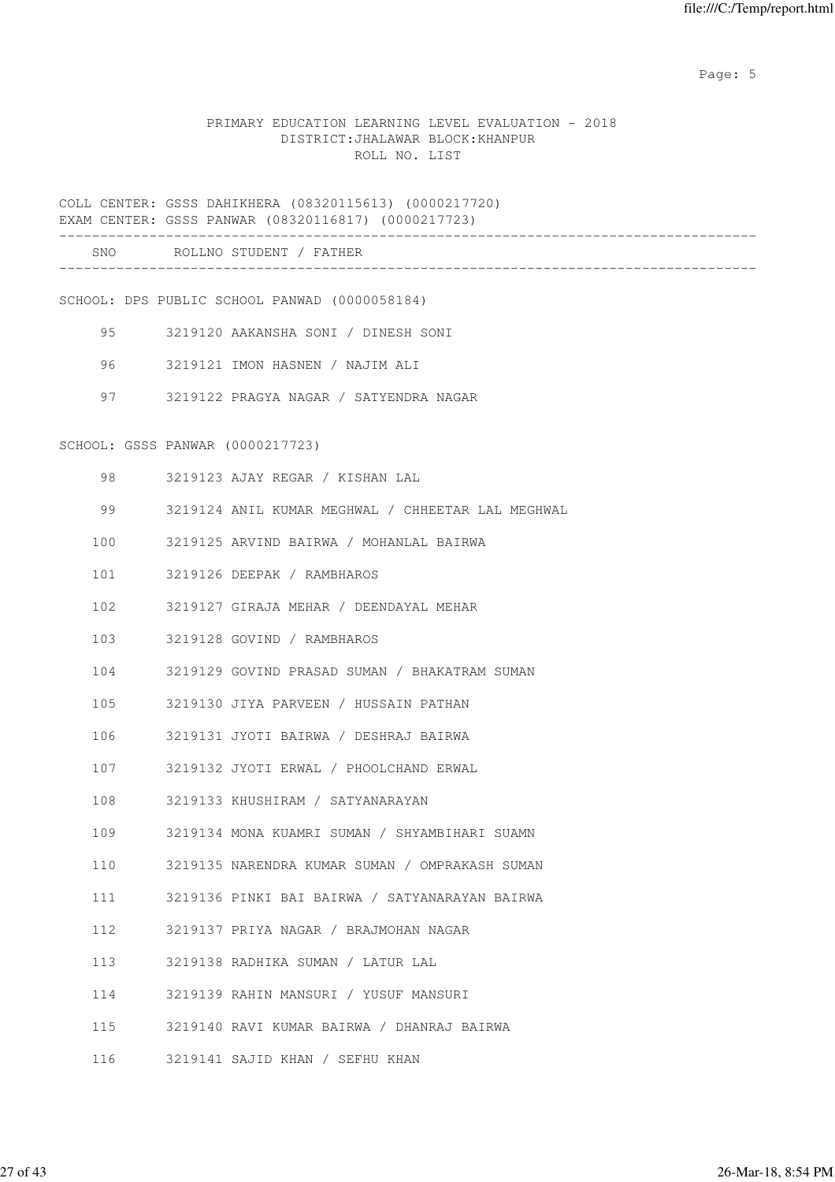Page: 5  $P$  and  $P$  and  $P$  and  $P$  and  $P$  and  $P$  and  $P$  and  $P$  and  $P$  and  $P$  and  $P$  and  $P$  and  $P$  and  $P$  and  $P$  and  $P$  and  $P$  and  $P$  and  $P$  and  $P$  and  $P$  and  $P$  and  $P$  and  $P$  and  $P$  and  $P$  and  $P$  an

### PRIMARY EDUCATION LEARNING LEVEL EVALUATION - 2018 DISTRICT:JHALAWAR BLOCK:KHANPUR ROLL NO. LIST

COLL CENTER: GSSS DAHIKHERA (08320115613) (0000217720) EXAM CENTER: GSSS PANWAR (08320116817) (0000217723)

| SNC | 7 <sub>cm</sub><br>$D \cap T$<br>rт<br>. N 1 |  |
|-----|----------------------------------------------|--|
|     |                                              |  |

SCHOOL: DPS PUBLIC SCHOOL PANWAD (0000058184)

- 95 3219120 AAKANSHA SONI / DINESH SONI
- 96 3219121 IMON HASNEN / NAJIM ALI
- 97 3219122 PRAGYA NAGAR / SATYENDRA NAGAR

SCHOOL: GSSS PANWAR (0000217723)

- 98 3219123 AJAY REGAR / KISHAN LAL
- 99 3219124 ANIL KUMAR MEGHWAL / CHHEETAR LAL MEGHWAL
- 100 3219125 ARVIND BAIRWA / MOHANLAL BAIRWA
- 101 3219126 DEEPAK / RAMBHAROS
- 102 3219127 GIRAJA MEHAR / DEENDAYAL MEHAR
- 103 3219128 GOVIND / RAMBHAROS
- 104 3219129 GOVIND PRASAD SUMAN / BHAKATRAM SUMAN
- 105 3219130 JIYA PARVEEN / HUSSAIN PATHAN
- 106 3219131 JYOTI BAIRWA / DESHRAJ BAIRWA
- 107 3219132 JYOTI ERWAL / PHOOLCHAND ERWAL
- 108 3219133 KHUSHIRAM / SATYANARAYAN
- 109 3219134 MONA KUAMRI SUMAN / SHYAMBIHARI SUAMN
- 110 3219135 NARENDRA KUMAR SUMAN / OMPRAKASH SUMAN
- 111 3219136 PINKI BAI BAIRWA / SATYANARAYAN BAIRWA
- 112 3219137 PRIYA NAGAR / BRAJMOHAN NAGAR
- 113 3219138 RADHIKA SUMAN / LATUR LAL
- 114 3219139 RAHIN MANSURI / YUSUF MANSURI
- 115 3219140 RAVI KUMAR BAIRWA / DHANRAJ BAIRWA
- 116 3219141 SAJID KHAN / SEFHU KHAN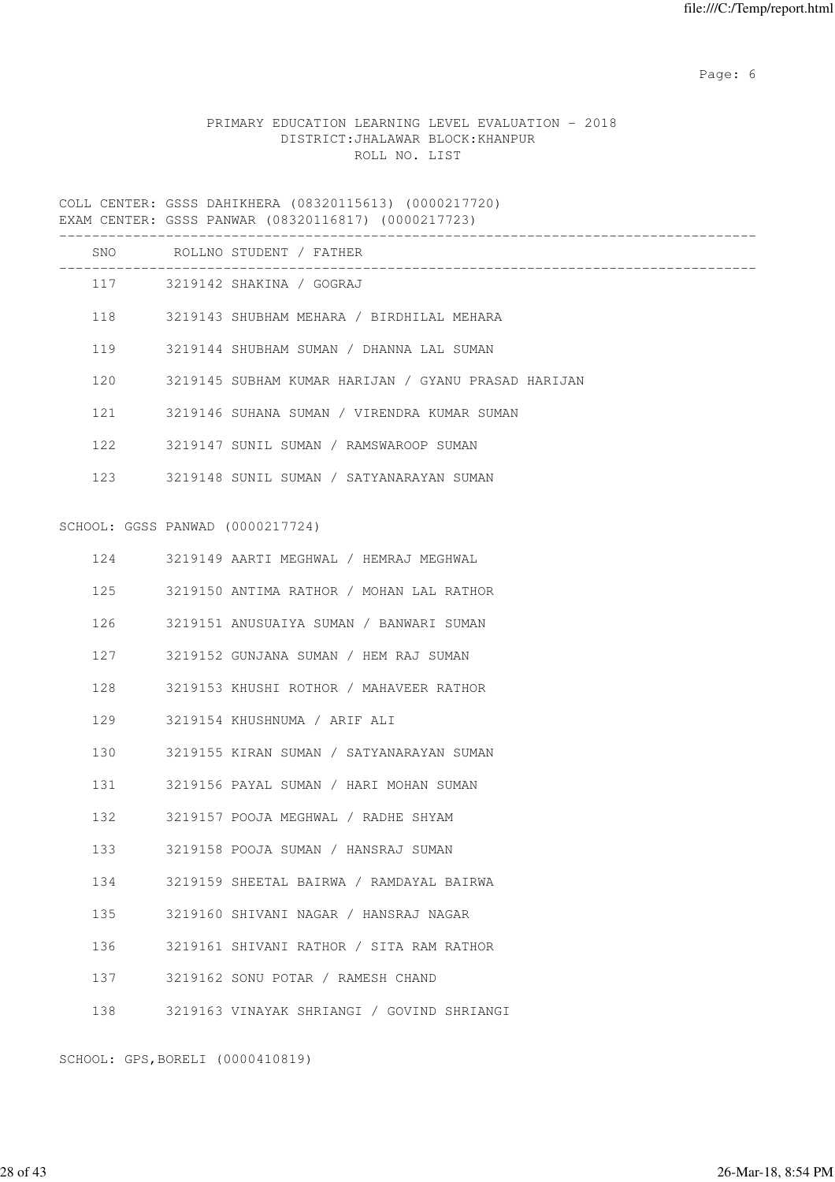Page: 6  $P$  and  $P$  and  $P$  and  $P$  and  $P$  and  $P$  and  $P$  and  $P$  and  $P$  and  $P$  and  $P$  and  $P$  and  $P$  and  $P$  and  $P$  and  $P$  and  $P$  and  $P$  and  $P$  and  $P$  and  $P$  and  $P$  and  $P$  and  $P$  and  $P$  and  $P$  and  $P$  an

## PRIMARY EDUCATION LEARNING LEVEL EVALUATION - 2018 DISTRICT:JHALAWAR BLOCK:KHANPUR ROLL NO. LIST

COLL CENTER: GSSS DAHIKHERA (08320115613) (0000217720) EXAM CENTER: GSSS PANWAR (08320116817) (0000217723)

|     |                                                                                                                                                                                                                                 | SNO ROLLNO STUDENT / FATHER                                      |
|-----|---------------------------------------------------------------------------------------------------------------------------------------------------------------------------------------------------------------------------------|------------------------------------------------------------------|
|     |                                                                                                                                                                                                                                 | --------------------------------<br>117 3219142 SHAKINA / GOGRAJ |
|     |                                                                                                                                                                                                                                 | 118 3219143 SHUBHAM MEHARA / BIRDHILAL MEHARA                    |
| 119 |                                                                                                                                                                                                                                 | 3219144 SHUBHAM SUMAN / DHANNA LAL SUMAN                         |
| 120 |                                                                                                                                                                                                                                 | 3219145 SUBHAM KUMAR HARIJAN / GYANU PRASAD HARIJAN              |
|     | 121 / 121 / 121 / 121 / 122 / 122 / 123 / 123 / 124 / 125 / 125 / 125 / 125 / 126 / 127 / 127 / 127 / 127 / 127 / 127 / 127 / 127 / 127 / 127 / 127 / 127 / 127 / 127 / 127 / 127 / 127 / 127 / 127 / 127 / 127 / 127 / 127 / 1 | 3219146 SUHANA SUMAN / VIRENDRA KUMAR SUMAN                      |
|     |                                                                                                                                                                                                                                 | 122 3219147 SUNIL SUMAN / RAMSWAROOP SUMAN                       |
|     |                                                                                                                                                                                                                                 | 123 3219148 SUNIL SUMAN / SATYANARAYAN SUMAN                     |
|     | SCHOOL: GGSS PANWAD (0000217724)                                                                                                                                                                                                |                                                                  |
|     |                                                                                                                                                                                                                                 | 124 3219149 AARTI MEGHWAL / HEMRAJ MEGHWAL                       |
| 125 |                                                                                                                                                                                                                                 | 3219150 ANTIMA RATHOR / MOHAN LAL RATHOR                         |
| 126 |                                                                                                                                                                                                                                 | 3219151 ANUSUAIYA SUMAN / BANWARI SUMAN                          |
| 127 |                                                                                                                                                                                                                                 | 3219152 GUNJANA SUMAN / HEM RAJ SUMAN                            |
| 128 |                                                                                                                                                                                                                                 | 3219153 KHUSHI ROTHOR / MAHAVEER RATHOR                          |
| 129 |                                                                                                                                                                                                                                 | 3219154 KHUSHNUMA / ARIF ALI                                     |
| 130 |                                                                                                                                                                                                                                 | 3219155 KIRAN SUMAN / SATYANARAYAN SUMAN                         |
| 131 |                                                                                                                                                                                                                                 | 3219156 PAYAL SUMAN / HARI MOHAN SUMAN                           |
| 132 |                                                                                                                                                                                                                                 | 3219157 POOJA MEGHWAL / RADHE SHYAM                              |
| 133 |                                                                                                                                                                                                                                 | 3219158 POOJA SUMAN / HANSRAJ SUMAN                              |
| 134 |                                                                                                                                                                                                                                 | 3219159 SHEETAL BAIRWA / RAMDAYAL BAIRWA                         |
| 135 |                                                                                                                                                                                                                                 | 3219160 SHIVANI NAGAR / HANSRAJ NAGAR                            |
| 136 |                                                                                                                                                                                                                                 | 3219161 SHIVANI RATHOR / SITA RAM RATHOR                         |
| 137 |                                                                                                                                                                                                                                 | 3219162 SONU POTAR / RAMESH CHAND                                |
| 138 |                                                                                                                                                                                                                                 | 3219163 VINAYAK SHRIANGI / GOVIND SHRIANGI                       |

SCHOOL: GPS,BORELI (0000410819)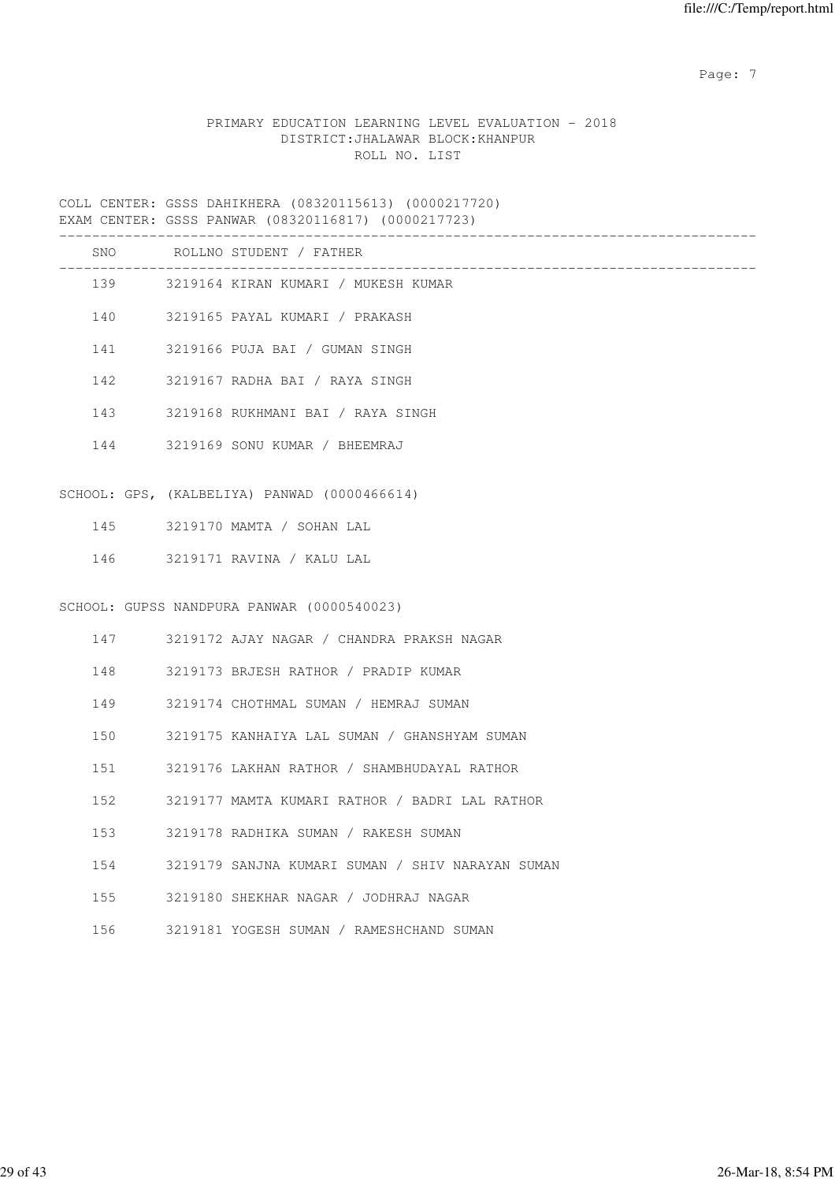Page: 7  $P$  and  $P$  and  $P$  and  $P$  and  $P$  and  $P$  and  $P$  and  $P$  and  $P$  and  $P$  and  $P$  and  $P$  and  $P$  and  $P$  and  $P$  and  $P$  and  $P$  and  $P$  and  $P$  and  $P$  and  $P$  and  $P$  and  $P$  and  $P$  and  $P$  and  $P$  and  $P$  an

### PRIMARY EDUCATION LEARNING LEVEL EVALUATION - 2018 DISTRICT:JHALAWAR BLOCK:KHANPUR ROLL NO. LIST

COLL CENTER: GSSS DAHIKHERA (08320115613) (0000217720) EXAM CENTER: GSSS PANWAR (08320116817) (0000217723)

|     | SNO ROLLNO STUDENT / FATHER                      |
|-----|--------------------------------------------------|
|     | 139 3219164 KIRAN KUMARI / MUKESH KUMAR          |
|     | 140 3219165 PAYAL KUMARI / PRAKASH               |
| 141 | 3219166 PUJA BAI / GUMAN SINGH                   |
| 142 | 3219167 RADHA BAI / RAYA SINGH                   |
| 143 | 3219168 RUKHMANI BAI / RAYA SINGH                |
|     | 144 3219169 SONU KUMAR / BHEEMRAJ                |
|     |                                                  |
|     | SCHOOL: GPS, (KALBELIYA) PANWAD (0000466614)     |
| 145 | 3219170 MAMTA / SOHAN LAL                        |
| 146 | 3219171 RAVINA / KALU LAL                        |
|     | SCHOOL: GUPSS NANDPURA PANWAR (0000540023)       |
|     |                                                  |
|     | 147 3219172 AJAY NAGAR / CHANDRA PRAKSH NAGAR    |
| 148 | 3219173 BRJESH RATHOR / PRADIP KUMAR             |
| 149 | 3219174 CHOTHMAL SUMAN / HEMRAJ SUMAN            |
| 150 | 3219175 KANHAIYA LAL SUMAN / GHANSHYAM SUMAN     |
| 151 | 3219176 LAKHAN RATHOR / SHAMBHUDAYAL RATHOR      |
| 152 | 3219177 MAMTA KUMARI RATHOR / BADRI LAL RATHOR   |
| 153 | 3219178 RADHIKA SUMAN / RAKESH SUMAN             |
| 154 | 3219179 SANJNA KUMARI SUMAN / SHIV NARAYAN SUMAN |
| 155 | 3219180 SHEKHAR NAGAR / JODHRAJ NAGAR            |
| 156 | 3219181 YOGESH SUMAN / RAMESHCHAND SUMAN         |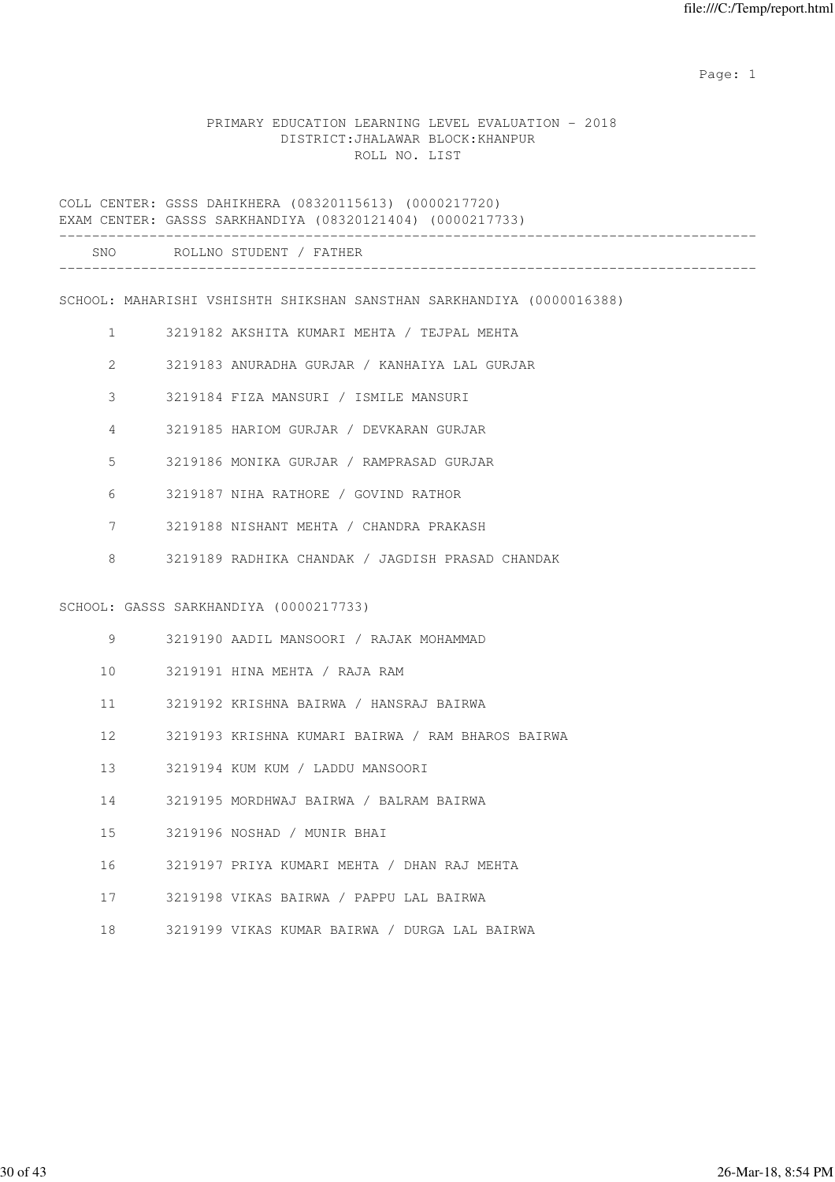### PRIMARY EDUCATION LEARNING LEVEL EVALUATION - 2018 DISTRICT:JHALAWAR BLOCK:KHANPUR ROLL NO. LIST

COLL CENTER: GSSS DAHIKHERA (08320115613) (0000217720) EXAM CENTER: GASSS SARKHANDIYA (08320121404) (0000217733) ------------------------------------------------------------------------------------- SNO ROLLNO STUDENT / FATHER -------------------------------------------------------------------------------------

SCHOOL: MAHARISHI VSHISHTH SHIKSHAN SANSTHAN SARKHANDIYA (0000016388)

- 1 3219182 AKSHITA KUMARI MEHTA / TEJPAL MEHTA
- 2 3219183 ANURADHA GURJAR / KANHAIYA LAL GURJAR
- 3 3219184 FIZA MANSURI / ISMILE MANSURI
- 4 3219185 HARIOM GURJAR / DEVKARAN GURJAR
- 5 3219186 MONIKA GURJAR / RAMPRASAD GURJAR
- 6 3219187 NIHA RATHORE / GOVIND RATHOR
- 7 3219188 NISHANT MEHTA / CHANDRA PRAKASH
- 8 3219189 RADHIKA CHANDAK / JAGDISH PRASAD CHANDAK

#### SCHOOL: GASSS SARKHANDIYA (0000217733)

| 9               | 3219190 AADIL MANSOORI / RAJAK MOHAMMAD           |
|-----------------|---------------------------------------------------|
| 10              | 3219191 HINA MEHTA / RAJA RAM                     |
| 11              | 3219192 KRISHNA BAIRWA / HANSRAJ BAIRWA           |
| 12 <sup>1</sup> | 3219193 KRISHNA KUMARI BAIRWA / RAM BHAROS BAIRWA |
| 1.3             | 3219194 KUM KUM / LADDU MANSOORI                  |
| 14              | 3219195 MORDHWAJ BAIRWA / BALRAM BAIRWA           |
| 15 <sub>1</sub> | 3219196 NOSHAD / MUNIR BHAI                       |
| 16              | 3219197 PRIYA KUMARI MEHTA / DHAN RAJ MEHTA       |
|                 |                                                   |

- 17 3219198 VIKAS BAIRWA / PAPPU LAL BAIRWA
- 18 3219199 VIKAS KUMAR BAIRWA / DURGA LAL BAIRWA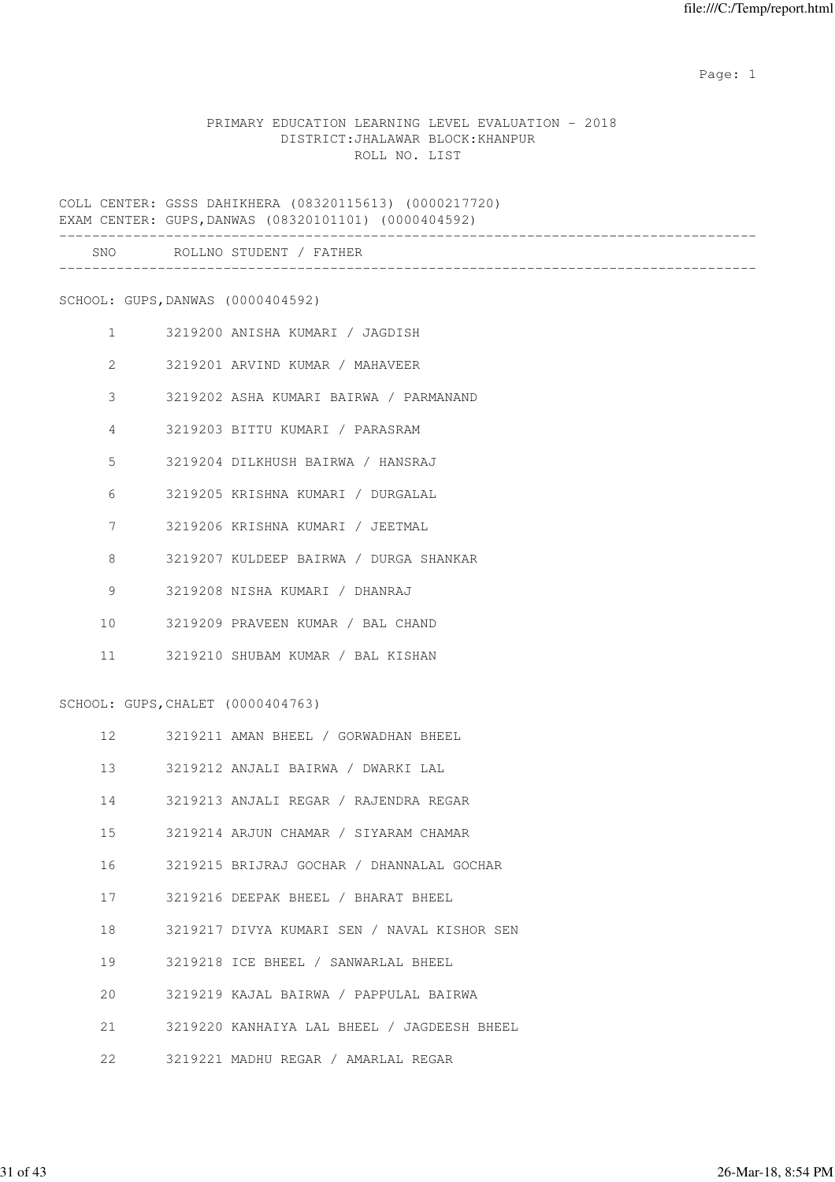### PRIMARY EDUCATION LEARNING LEVEL EVALUATION - 2018 DISTRICT:JHALAWAR BLOCK:KHANPUR ROLL NO. LIST

COLL CENTER: GSSS DAHIKHERA (08320115613) (0000217720) EXAM CENTER: GUPS,DANWAS (08320101101) (0000404592)

| SNC<br>__ | n n<br>ND |  |  |
|-----------|-----------|--|--|
|           |           |  |  |

SCHOOL: GUPS,DANWAS (0000404592)

- 1 3219200 ANISHA KUMARI / JAGDISH
- 2 3219201 ARVIND KUMAR / MAHAVEER
- 3 3219202 ASHA KUMARI BAIRWA / PARMANAND
- 4 3219203 BITTU KUMARI / PARASRAM
- 5 3219204 DILKHUSH BAIRWA / HANSRAJ
- 6 3219205 KRISHNA KUMARI / DURGALAL
- 7 3219206 KRISHNA KUMARI / JEETMAL
- 8 3219207 KULDEEP BAIRWA / DURGA SHANKAR
- 9 3219208 NISHA KUMARI / DHANRAJ
- 10 3219209 PRAVEEN KUMAR / BAL CHAND
- 11 3219210 SHUBAM KUMAR / BAL KISHAN

SCHOOL: GUPS,CHALET (0000404763)

- 12 3219211 AMAN BHEEL / GORWADHAN BHEEL
- 13 3219212 ANJALI BAIRWA / DWARKI LAL
- 14 3219213 ANJALI REGAR / RAJENDRA REGAR
- 15 3219214 ARJUN CHAMAR / SIYARAM CHAMAR
- 16 3219215 BRIJRAJ GOCHAR / DHANNALAL GOCHAR
- 17 3219216 DEEPAK BHEEL / BHARAT BHEEL
- 18 3219217 DIVYA KUMARI SEN / NAVAL KISHOR SEN
- 19 3219218 ICE BHEEL / SANWARLAL BHEEL
- 20 3219219 KAJAL BAIRWA / PAPPULAL BAIRWA
- 21 3219220 KANHAIYA LAL BHEEL / JAGDEESH BHEEL
- 22 3219221 MADHU REGAR / AMARLAL REGAR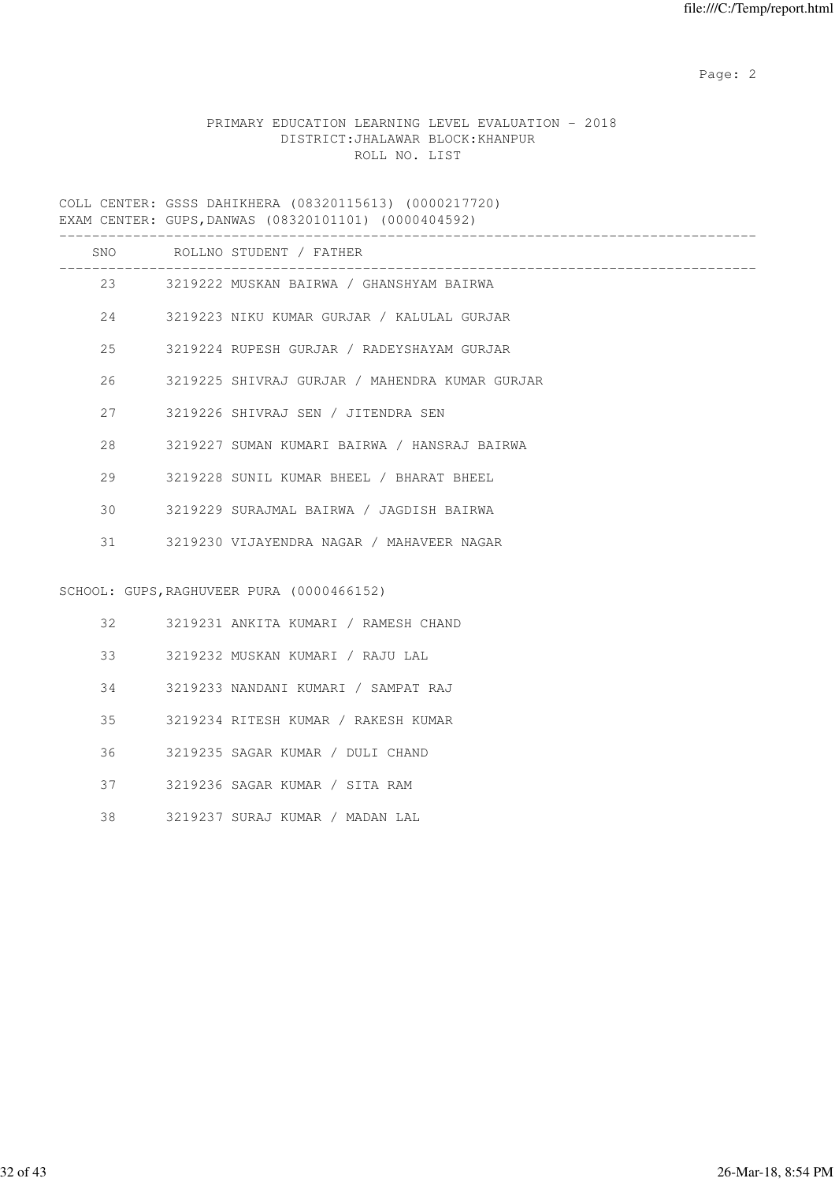## PRIMARY EDUCATION LEARNING LEVEL EVALUATION - 2018 DISTRICT:JHALAWAR BLOCK:KHANPUR ROLL NO. LIST

COLL CENTER: GSSS DAHIKHERA (08320115613) (0000217720) EXAM CENTER: GUPS,DANWAS (08320101101) (0000404592)

|     | SNO ROLLNO STUDENT / FATHER                    |
|-----|------------------------------------------------|
|     | 23 3219222 MUSKAN BAIRWA / GHANSHYAM BAIRWA    |
| 24  | 3219223 NIKU KUMAR GURJAR / KALULAL GURJAR     |
| 25  | 3219224 RUPESH GURJAR / RADEYSHAYAM GURJAR     |
| 26  | 3219225 SHIVRAJ GURJAR / MAHENDRA KUMAR GURJAR |
| 27  | 3219226 SHIVRAJ SEN / JITENDRA SEN             |
| 2.8 | 3219227 SUMAN KUMARI BAIRWA / HANSRAJ BAIRWA   |
| 29  | 3219228 SUNIL KUMAR BHEEL / BHARAT BHEEL       |
| 30  | 3219229 SURAJMAL BAIRWA / JAGDISH BAIRWA       |
| 31  | 3219230 VIJAYENDRA NAGAR / MAHAVEER NAGAR      |
|     |                                                |
|     | SCHOOL: GUPS, RAGHUVEER PURA (0000466152)      |
| 32  | 3219231 ANKITA KUMARI / RAMESH CHAND           |
| 33  | 3219232 MUSKAN KUMARI / RAJU LAL               |
| 34  | 3219233 NANDANI KUMARI / SAMPAT RAJ            |
| 35  | 3219234 RITESH KUMAR / RAKESH KUMAR            |
| 36  | 3219235 SAGAR KUMAR / DULI CHAND               |
| 37  | 3219236 SAGAR KUMAR / SITA RAM                 |
| 38  | 3219237 SURAJ KUMAR / MADAN LAL                |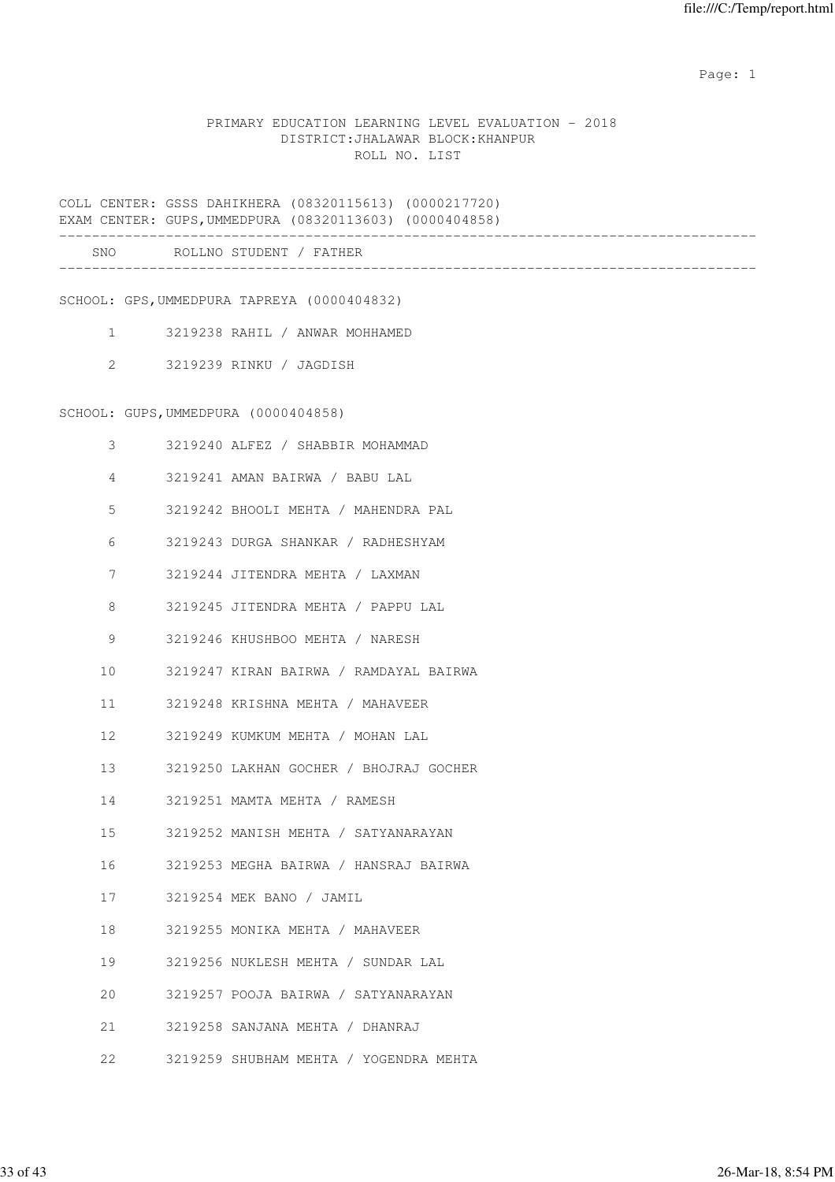### PRIMARY EDUCATION LEARNING LEVEL EVALUATION - 2018 DISTRICT:JHALAWAR BLOCK:KHANPUR ROLL NO. LIST

COLL CENTER: GSSS DAHIKHERA (08320115613) (0000217720) EXAM CENTER: GUPS,UMMEDPURA (08320113603) (0000404858) ------------------------------------------------------------------------------------- SNO ROLLNO STUDENT / FATHER -------------------------------------------------------------------------------------

SCHOOL: GPS,UMMEDPURA TAPREYA (0000404832)

- 1 3219238 RAHIL / ANWAR MOHHAMED
- 2 3219239 RINKU / JAGDISH

#### SCHOOL: GUPS,UMMEDPURA (0000404858)

| 3               | 3219240 ALFEZ / SHABBIR MOHAMMAD       |
|-----------------|----------------------------------------|
| 4               | 3219241 AMAN BAIRWA / BABU LAL         |
| 5               | 3219242 BHOOLI MEHTA / MAHENDRA PAL    |
| 6               | 3219243 DURGA SHANKAR / RADHESHYAM     |
| 7               | 3219244 JITENDRA MEHTA / LAXMAN        |
| 8               | 3219245 JITENDRA MEHTA / PAPPU LAL     |
| 9               | 3219246 KHUSHBOO MEHTA / NARESH        |
| 10              | 3219247 KIRAN BAIRWA / RAMDAYAL BAIRWA |
| 11              | 3219248 KRISHNA MEHTA / MAHAVEER       |
| 12              | 3219249 KUMKUM MEHTA / MOHAN LAL       |
| 13              | 3219250 LAKHAN GOCHER / BHOJRAJ GOCHER |
| 14              | 3219251 MAMTA MEHTA / RAMESH           |
| 15 <sup>1</sup> | 3219252 MANISH MEHTA / SATYANARAYAN    |
| 16              | 3219253 MEGHA BAIRWA / HANSRAJ BAIRWA  |
| 17              | 3219254 MEK BANO / JAMIL               |
| 18              | 3219255 MONIKA MEHTA / MAHAVEER        |
| 19              | 3219256 NUKLESH MEHTA / SUNDAR LAL     |
| 20              | 3219257 POOJA BAIRWA / SATYANARAYAN    |
| 21              | 3219258 SANJANA MEHTA / DHANRAJ        |
| 22              | 3219259 SHUBHAM MEHTA / YOGENDRA MEHTA |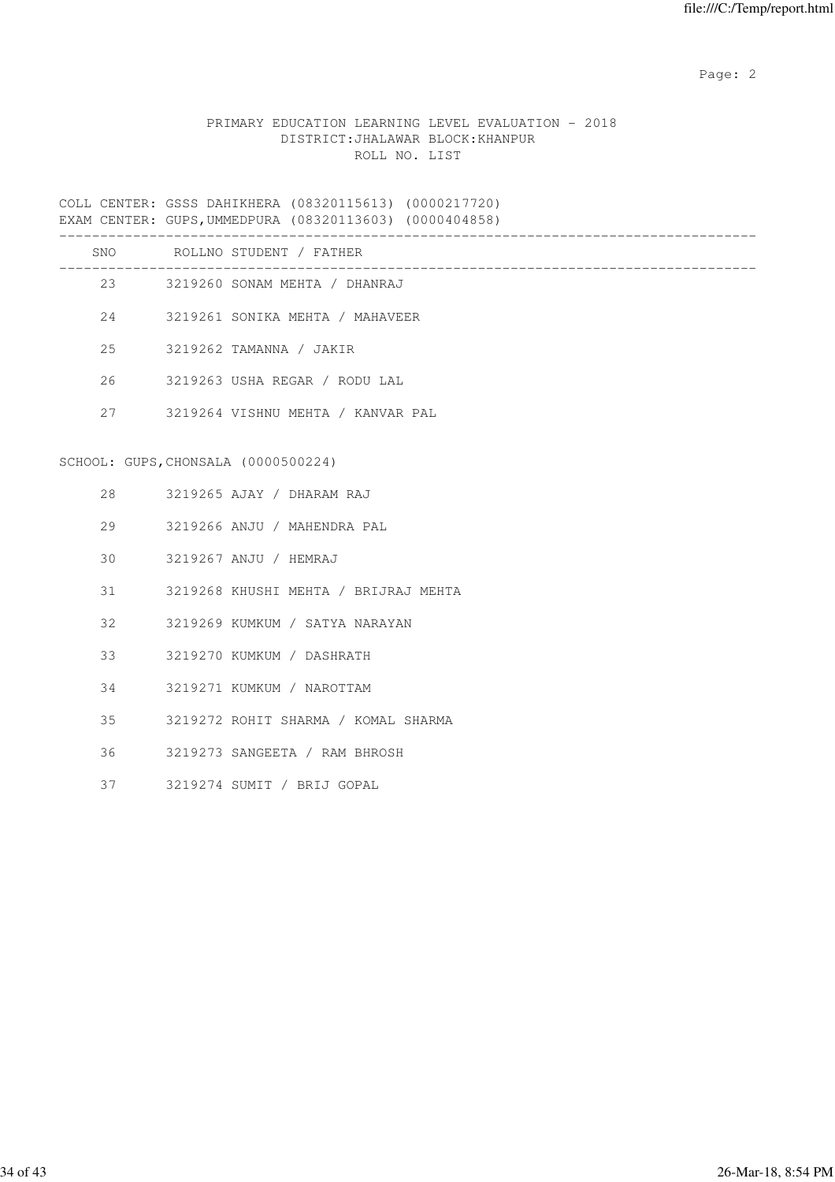### PRIMARY EDUCATION LEARNING LEVEL EVALUATION - 2018 DISTRICT:JHALAWAR BLOCK:KHANPUR ROLL NO. LIST

COLL CENTER: GSSS DAHIKHERA (08320115613) (0000217720) EXAM CENTER: GUPS,UMMEDPURA (08320113603) (0000404858)

|            | _________ |  |  |  |
|------------|-----------|--|--|--|
|            |           |  |  |  |
| <b>SNC</b> | .NO       |  |  |  |

| UIV |                                     | AULLINU SIULENI / FAIHER             |
|-----|-------------------------------------|--------------------------------------|
|     |                                     | 23 3219260 SONAM MEHTA / DHANRAJ     |
|     | 24                                  | 3219261 SONIKA MEHTA / MAHAVEER      |
|     |                                     | 25 3219262 TAMANNA / JAKIR           |
|     | 26                                  | 3219263 USHA REGAR / RODU LAL        |
|     |                                     | 27 3219264 VISHNU MEHTA / KANVAR PAL |
|     |                                     |                                      |
|     | SCHOOL: GUPS, CHONSALA (0000500224) |                                      |
|     |                                     | 28 3219265 AJAY / DHARAM RAJ         |
|     | 29                                  | 3219266 ANJU / MAHENDRA PAL          |
| 30  |                                     | 3219267 ANJU / HEMRAJ                |
| 31  |                                     | 3219268 KHUSHI MEHTA / BRIJRAJ MEHTA |
|     | $32 -$                              | 3219269 KUMKUM / SATYA NARAYAN       |
|     | $33 - 3$                            | 3219270 KUMKUM / DASHRATH            |
| 34  |                                     | 3219271 KUMKUM / NAROTTAM            |
| 35  |                                     | 3219272 ROHIT SHARMA / KOMAL SHARMA  |
|     | 36                                  | 3219273 SANGEETA / RAM BHROSH        |
| 37  |                                     | 3219274 SUMIT / BRIJ GOPAL           |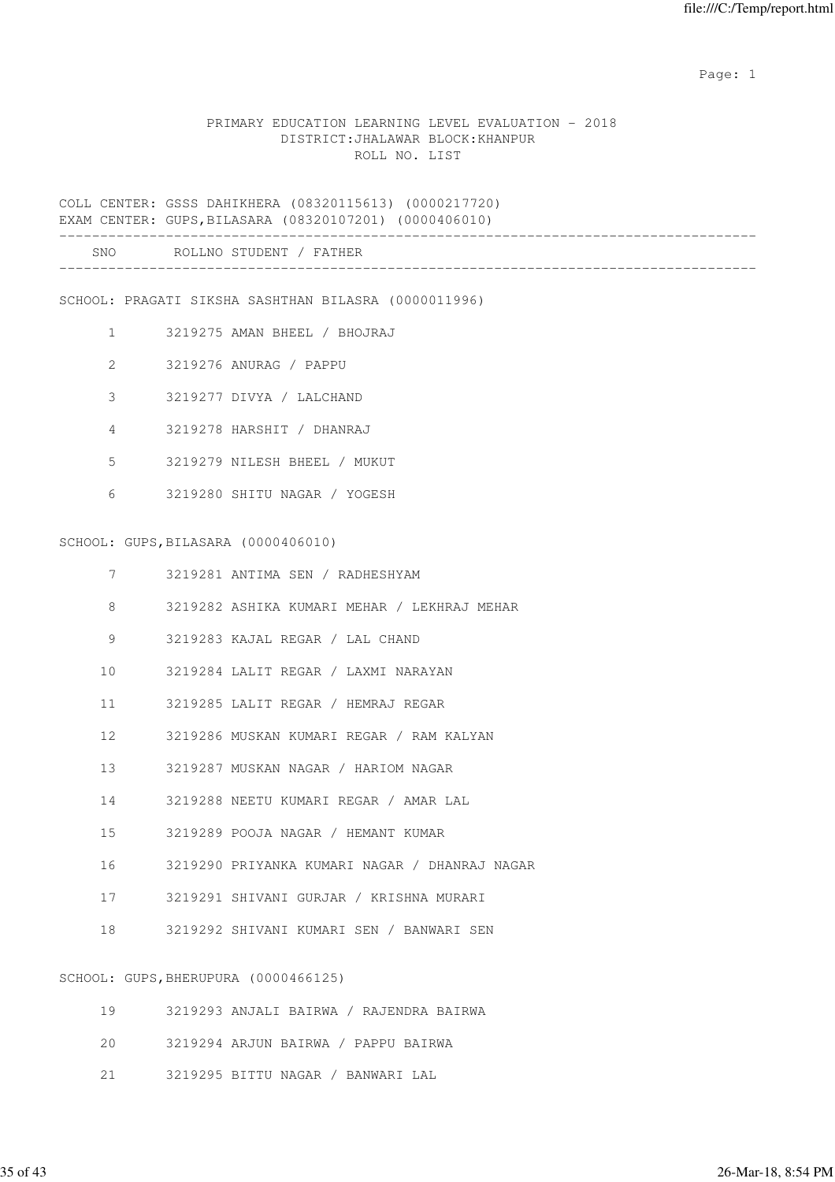### PRIMARY EDUCATION LEARNING LEVEL EVALUATION - 2018 DISTRICT:JHALAWAR BLOCK:KHANPUR ROLL NO. LIST

COLL CENTER: GSSS DAHIKHERA (08320115613) (0000217720) EXAM CENTER: GUPS,BILASARA (08320107201) (0000406010)

| SNO | ROLLNO STUDENT / FATH.<br>-------- |  |
|-----|------------------------------------|--|
|     |                                    |  |

SCHOOL: PRAGATI SIKSHA SASHTHAN BILASRA (0000011996)

- 1 3219275 AMAN BHEEL / BHOJRAJ
- 2 3219276 ANURAG / PAPPU
- 3 3219277 DIVYA / LALCHAND
- 4 3219278 HARSHIT / DHANRAJ
- 5 3219279 NILESH BHEEL / MUKUT
- 6 3219280 SHITU NAGAR / YOGESH

#### SCHOOL: GUPS,BILASARA (0000406010)

- 7 3219281 ANTIMA SEN / RADHESHYAM
- 8 3219282 ASHIKA KUMARI MEHAR / LEKHRAJ MEHAR
- 9 3219283 KAJAL REGAR / LAL CHAND
- 10 3219284 LALIT REGAR / LAXMI NARAYAN
- 11 3219285 LALIT REGAR / HEMRAJ REGAR
- 12 3219286 MUSKAN KUMARI REGAR / RAM KALYAN
- 13 3219287 MUSKAN NAGAR / HARIOM NAGAR
- 14 3219288 NEETU KUMARI REGAR / AMAR LAL
- 15 3219289 POOJA NAGAR / HEMANT KUMAR
- 16 3219290 PRIYANKA KUMARI NAGAR / DHANRAJ NAGAR
- 17 3219291 SHIVANI GURJAR / KRISHNA MURARI
- 18 3219292 SHIVANI KUMARI SEN / BANWARI SEN

### SCHOOL: GUPS,BHERUPURA (0000466125)

| 19 | 3219293 ANJALI BAIRWA / RAJENDRA BAIRWA |  |
|----|-----------------------------------------|--|
|    | 20 3219294 ARJUN BAIRWA / PAPPU BAIRWA  |  |
|    | 21 3219295 BITTU NAGAR / BANWARI LAL    |  |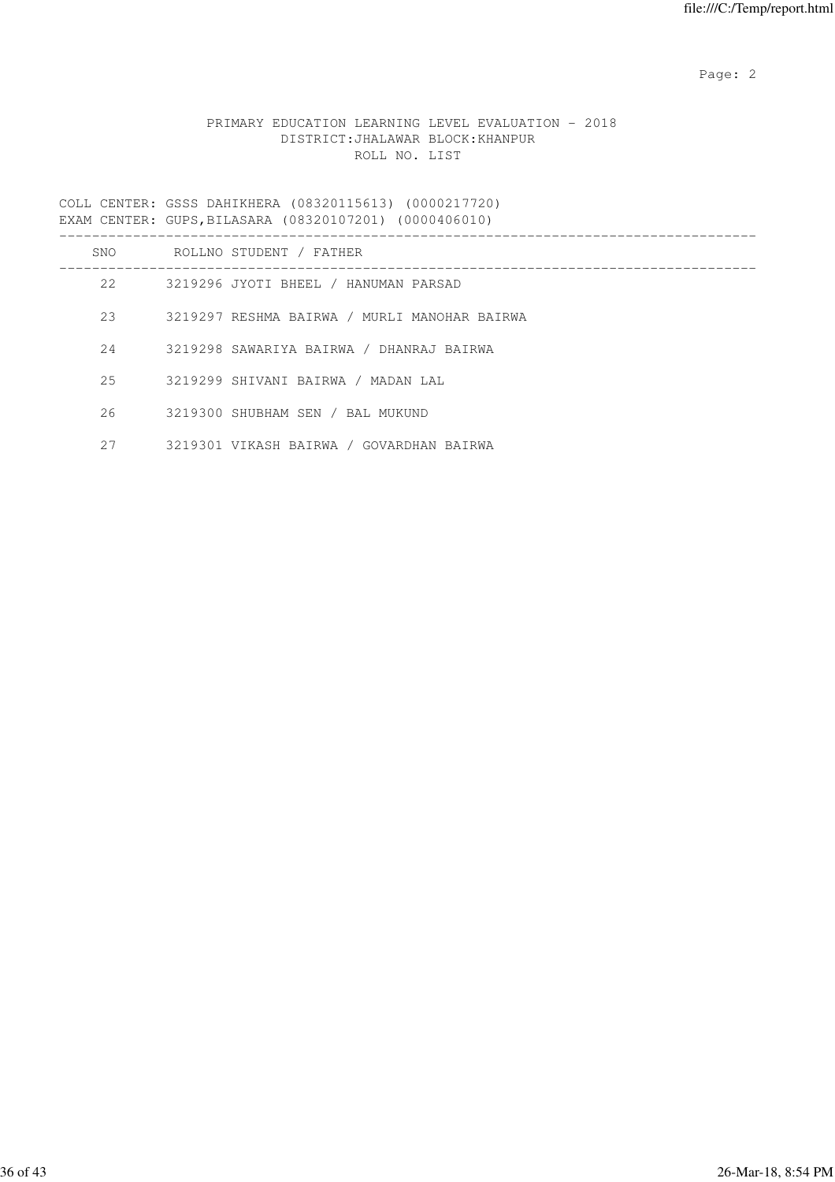### PRIMARY EDUCATION LEARNING LEVEL EVALUATION - 2018 DISTRICT:JHALAWAR BLOCK:KHANPUR ROLL NO. LIST

COLL CENTER: GSSS DAHIKHERA (08320115613) (0000217720) EXAM CENTER: GUPS,BILASARA (08320107201) (0000406010)

| SNO | ROLLNO STUDENT / FATHER                      |
|-----|----------------------------------------------|
| 2.2 | 3219296 JYOTI BHEEL / HANUMAN PARSAD         |
| 23  | 3219297 RESHMA BAIRWA / MURLI MANOHAR BAIRWA |
| 2.4 | 3219298 SAWARIYA BAIRWA / DHANRAJ BAIRWA     |
| 2.5 | 3219299 SHIVANI BAIRWA / MADAN LAL           |
| 26  | 3219300 SHUBHAM SEN / BAL MUKUND             |
| 27  | 3219301 VIKASH BAIRWA / GOVARDHAN BAIRWA     |
|     |                                              |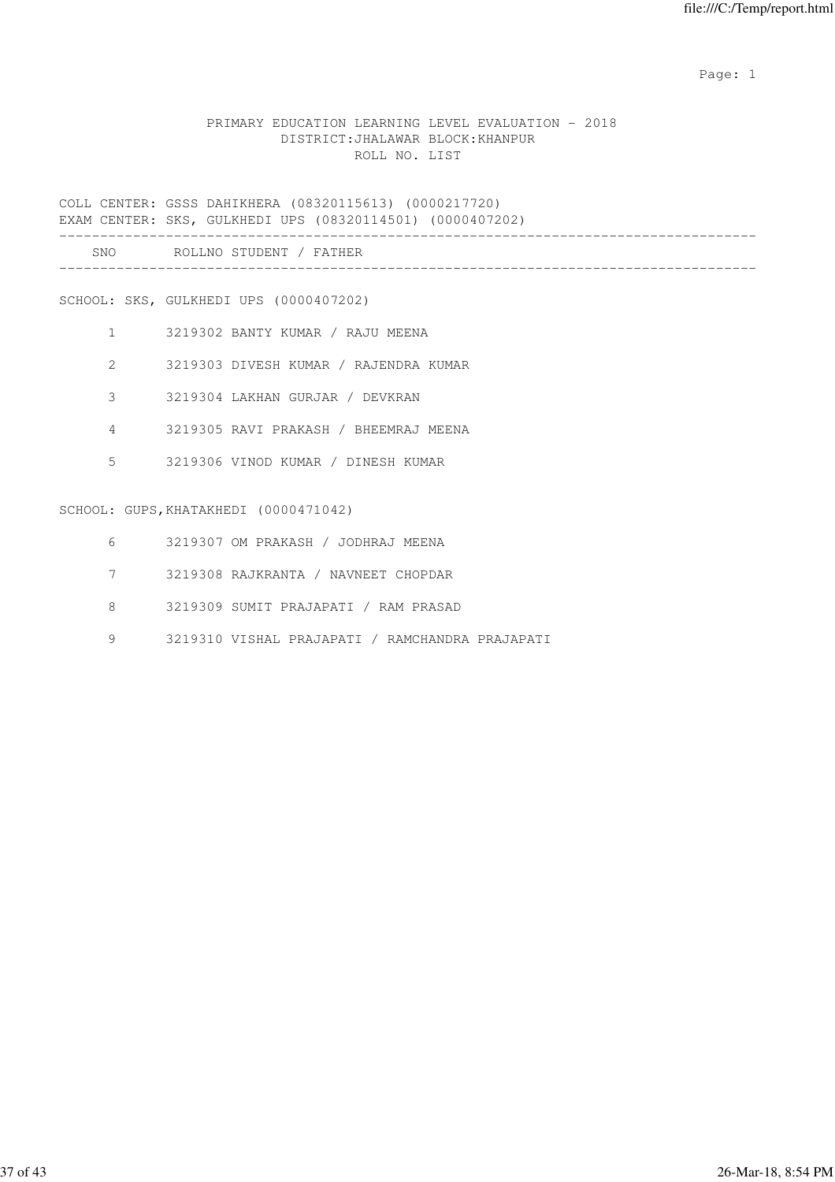### PRIMARY EDUCATION LEARNING LEVEL EVALUATION - 2018 DISTRICT:JHALAWAR BLOCK:KHANPUR ROLL NO. LIST

COLL CENTER: GSSS DAHIKHERA (08320115613) (0000217720) EXAM CENTER: SKS, GULKHEDI UPS (08320114501) (0000407202) ------------------------------------------------------------------------------------- SNO ROLLNO STUDENT / FATHER -------------------------------------------------------------------------------------

SCHOOL: SKS, GULKHEDI UPS (0000407202)

- 1 3219302 BANTY KUMAR / RAJU MEENA
- 2 3219303 DIVESH KUMAR / RAJENDRA KUMAR
- 3 3219304 LAKHAN GURJAR / DEVKRAN
- 4 3219305 RAVI PRAKASH / BHEEMRAJ MEENA
- 5 3219306 VINOD KUMAR / DINESH KUMAR

#### SCHOOL: GUPS, KHATAKHEDI (0000471042)

- 6 3219307 OM PRAKASH / JODHRAJ MEENA
- 7 3219308 RAJKRANTA / NAVNEET CHOPDAR
- 8 3219309 SUMIT PRAJAPATI / RAM PRASAD
- 9 3219310 VISHAL PRAJAPATI / RAMCHANDRA PRAJAPATI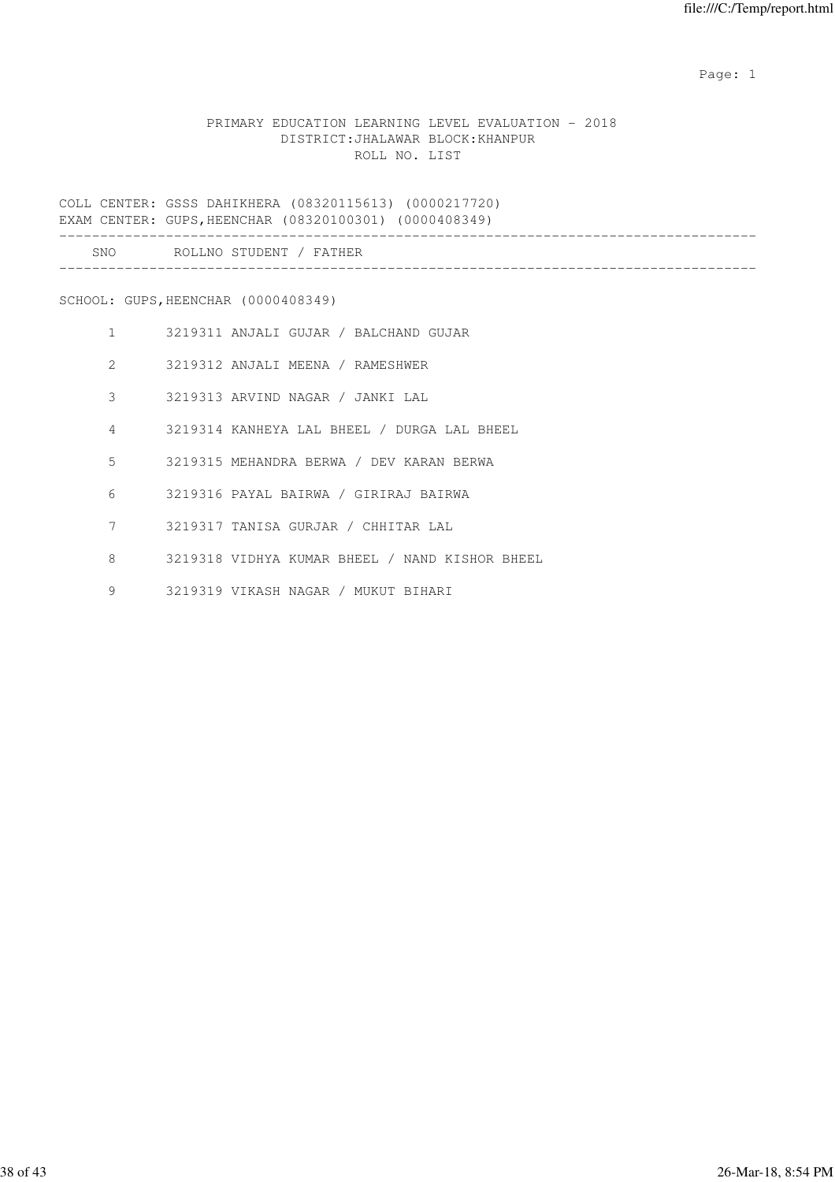### PRIMARY EDUCATION LEARNING LEVEL EVALUATION - 2018 DISTRICT:JHALAWAR BLOCK:KHANPUR ROLL NO. LIST

COLL CENTER: GSSS DAHIKHERA (08320115613) (0000217720) EXAM CENTER: GUPS,HEENCHAR (08320100301) (0000408349)

| SNO |  |
|-----|--|
|     |  |

SCHOOL: GUPS,HEENCHAR (0000408349)

| $\mathbf{1}$   | 3219311 ANJALI GUJAR / BALCHAND GUJAR          |
|----------------|------------------------------------------------|
| $\mathcal{Z}$  | 3219312 ANJALI MEENA / RAMESHWER               |
| 3              | 3219313 ARVIND NAGAR / JANKI LAL               |
| $\overline{4}$ | 3219314 KANHEYA LAL BHEEL / DURGA LAL BHEEL    |
| 5              | 3219315 MEHANDRA BERWA / DEV KARAN BERWA       |
| 6              | 3219316 PAYAL BAIRWA / GIRIRAJ BAIRWA          |
| 7              | 3219317 TANISA GURJAR / CHHITAR LAL            |
| 8              | 3219318 VIDHYA KUMAR BHEEL / NAND KISHOR BHEEL |
| 9              | 3219319 VIKASH NAGAR / MUKUT BIHARI            |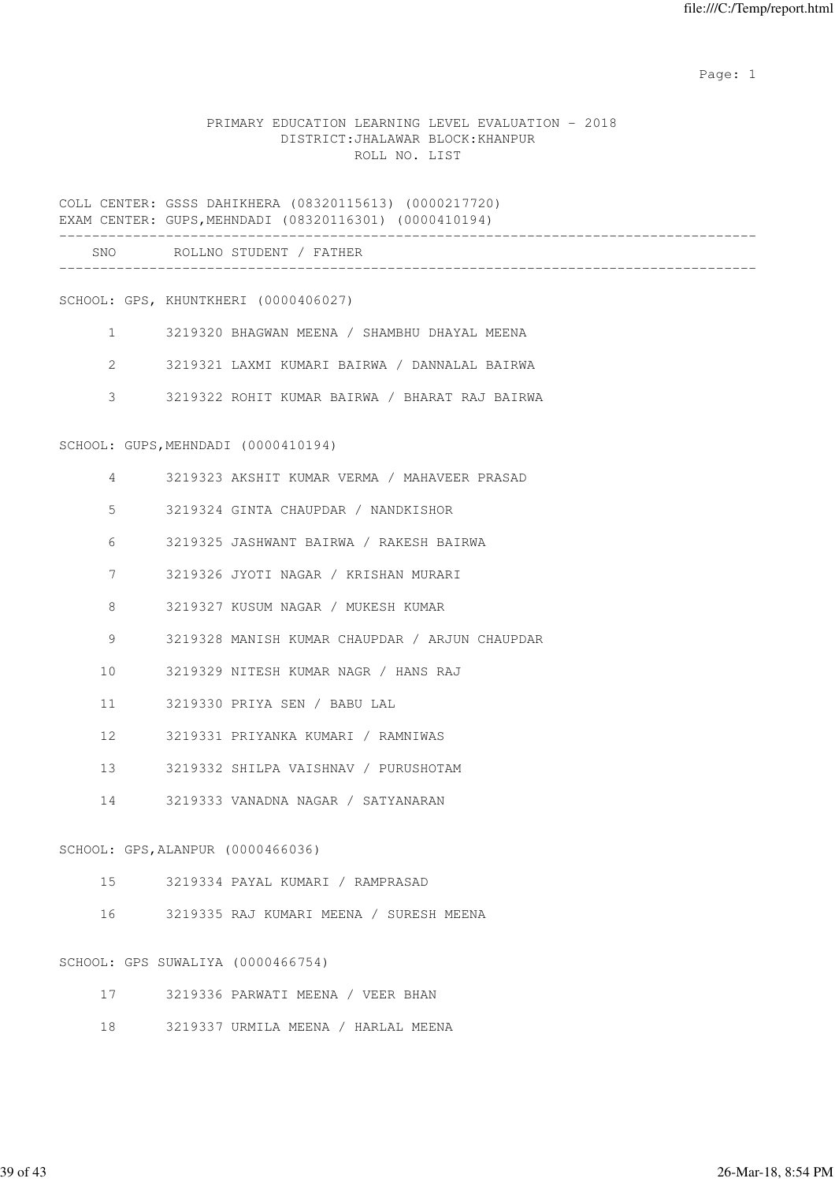### PRIMARY EDUCATION LEARNING LEVEL EVALUATION - 2018 DISTRICT:JHALAWAR BLOCK:KHANPUR ROLL NO. LIST

COLL CENTER: GSSS DAHIKHERA (08320115613) (0000217720) EXAM CENTER: GUPS,MEHNDADI (08320116301) (0000410194) ------------------------------------------------------------------------------------- SNO ROLLNO STUDENT / FATHER ------------------------------------------------------------------------------------- SCHOOL: GPS, KHUNTKHERI (0000406027) 1 3219320 BHAGWAN MEENA / SHAMBHU DHAYAL MEENA 2 3219321 LAXMI KUMARI BAIRWA / DANNALAL BAIRWA 3 3219322 ROHIT KUMAR BAIRWA / BHARAT RAJ BAIRWA SCHOOL: GUPS, MEHNDADI (0000410194) 4 3219323 AKSHIT KUMAR VERMA / MAHAVEER PRASAD 5 3219324 GINTA CHAUPDAR / NANDKISHOR 6 3219325 JASHWANT BAIRWA / RAKESH BAIRWA 7 3219326 JYOTI NAGAR / KRISHAN MURARI 8 3219327 KUSUM NAGAR / MUKESH KUMAR 9 3219328 MANISH KUMAR CHAUPDAR / ARJUN CHAUPDAR 10 3219329 NITESH KUMAR NAGR / HANS RAJ 11 3219330 PRIYA SEN / BABU LAL 12 3219331 PRIYANKA KUMARI / RAMNIWAS 13 3219332 SHILPA VAISHNAV / PURUSHOTAM 14 3219333 VANADNA NAGAR / SATYANARAN SCHOOL: GPS,ALANPUR (0000466036) 15 3219334 PAYAL KUMARI / RAMPRASAD 16 3219335 RAJ KUMARI MEENA / SURESH MEENA SCHOOL: GPS SUWALIYA (0000466754) 17 3219336 PARWATI MEENA / VEER BHAN 18 3219337 URMILA MEENA / HARLAL MEENA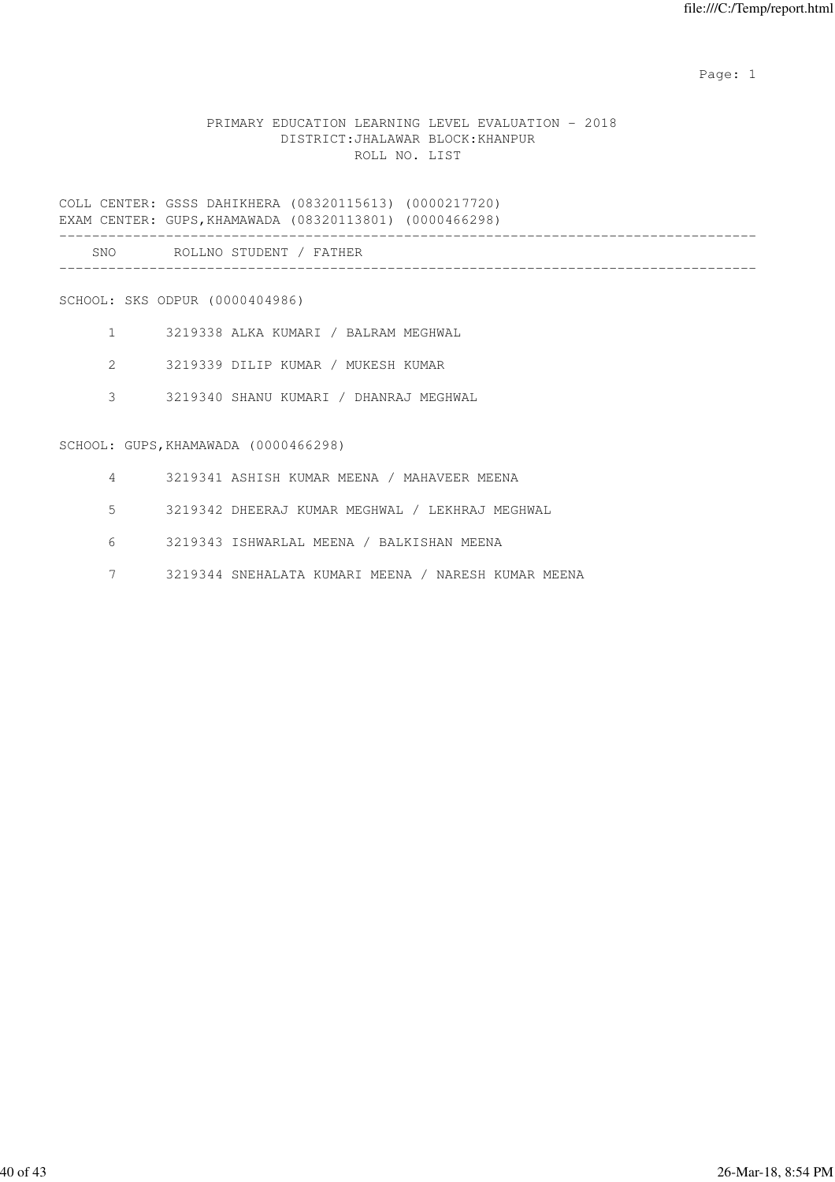## PRIMARY EDUCATION LEARNING LEVEL EVALUATION - 2018 DISTRICT:JHALAWAR BLOCK:KHANPUR ROLL NO. LIST

COLL CENTER: GSSS DAHIKHERA (08320115613) (0000217720) EXAM CENTER: GUPS,KHAMAWADA (08320113801) (0000466298) ------------------------------------------------------------------------------------- SNO ROLLNO STUDENT / FATHER -------------------------------------------------------------------------------------

### SCHOOL: SKS ODPUR (0000404986)

- 1 3219338 ALKA KUMARI / BALRAM MEGHWAL
- 2 3219339 DILIP KUMAR / MUKESH KUMAR
- 3 3219340 SHANU KUMARI / DHANRAJ MEGHWAL

### SCHOOL: GUPS,KHAMAWADA (0000466298)

- 4 3219341 ASHISH KUMAR MEENA / MAHAVEER MEENA
- 5 3219342 DHEERAJ KUMAR MEGHWAL / LEKHRAJ MEGHWAL
- 6 3219343 ISHWARLAL MEENA / BALKISHAN MEENA
- 7 3219344 SNEHALATA KUMARI MEENA / NARESH KUMAR MEENA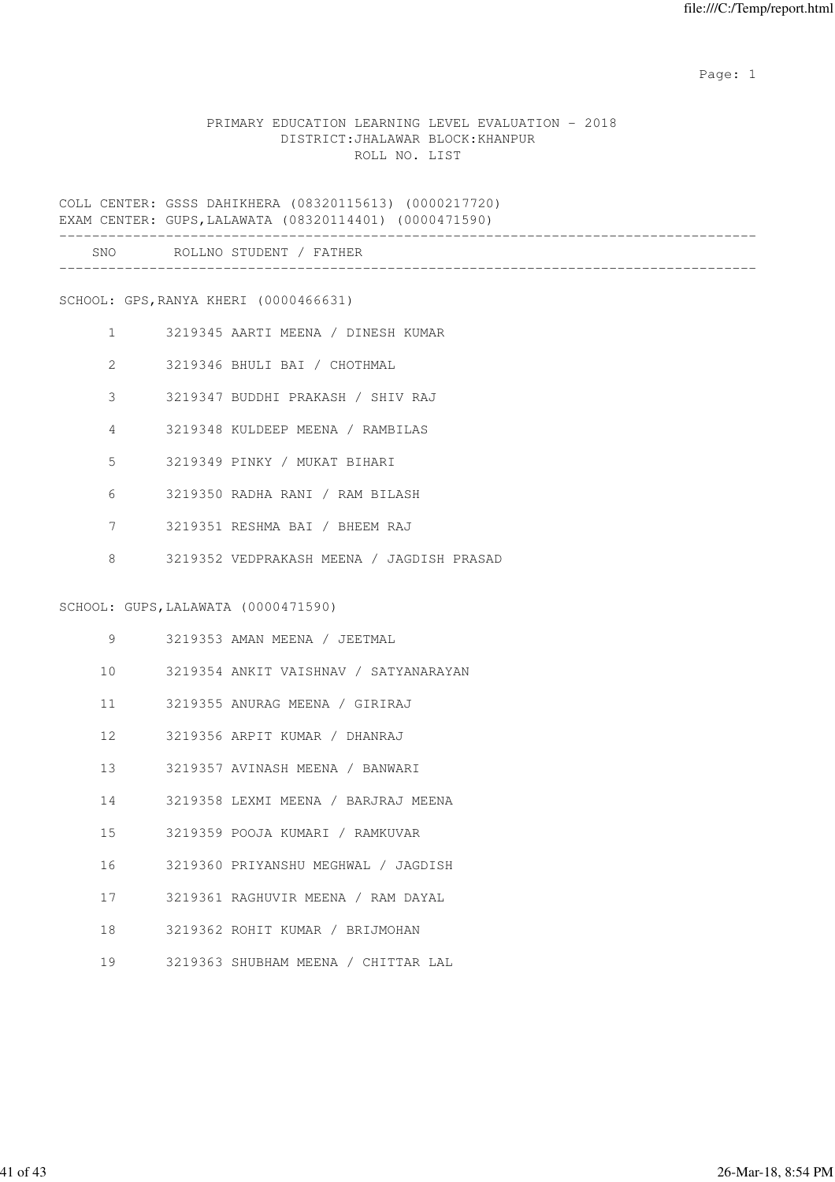### PRIMARY EDUCATION LEARNING LEVEL EVALUATION - 2018 DISTRICT:JHALAWAR BLOCK:KHANPUR ROLL NO. LIST

COLL CENTER: GSSS DAHIKHERA (08320115613) (0000217720) EXAM CENTER: GUPS,LALAWATA (08320114401) (0000471590) ------------------------------------------------------------------------------------- SNO ROLLNO STUDENT / FATHER

-------------------------------------------------------------------------------------

SCHOOL: GPS,RANYA KHERI (0000466631)

- 1 3219345 AARTI MEENA / DINESH KUMAR
- 2 3219346 BHULI BAI / CHOTHMAL
- 3 3219347 BUDDHI PRAKASH / SHIV RAJ
- 4 3219348 KULDEEP MEENA / RAMBILAS
- 5 3219349 PINKY / MUKAT BIHARI
- 6 3219350 RADHA RANI / RAM BILASH
- 7 3219351 RESHMA BAI / BHEEM RAJ
- 8 3219352 VEDPRAKASH MEENA / JAGDISH PRASAD

#### SCHOOL: GUPS,LALAWATA (0000471590)

| 9               | 3219353 AMAN MEENA / JEETMAL          |
|-----------------|---------------------------------------|
| 10 <sup>1</sup> | 3219354 ANKIT VAISHNAV / SATYANARAYAN |
| 11              | 3219355 ANURAG MEENA / GIRIRAJ        |
| 12 <sup>1</sup> | – 3219356 ARPIT KUMAR / DHANRAJ       |
| 13 <sup>7</sup> | 3219357 AVINASH MEENA / BANWARI       |
| 14              | 3219358 LEXMI MEENA / BARJRAJ MEENA   |
| 15              | 3219359 POOJA KUMARI / RAMKUVAR       |
| 16              | 3219360 PRIYANSHU MEGHWAL / JAGDISH   |
| 17              | 3219361 RAGHUVIR MEENA / RAM DAYAL    |
| 18              | 3219362 ROHIT KUMAR / BRIJMOHAN       |
| 19              | 3219363 SHUBHAM MEENA / CHITTAR LAL   |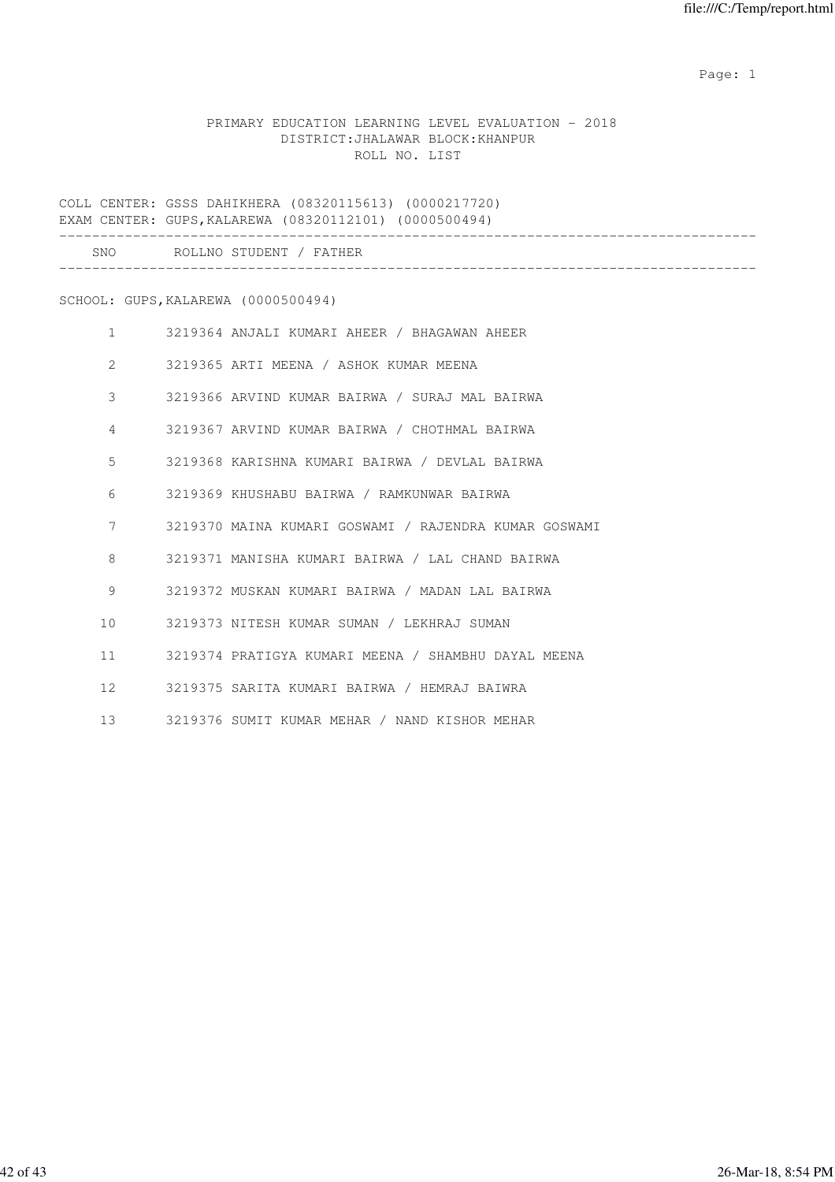### PRIMARY EDUCATION LEARNING LEVEL EVALUATION - 2018 DISTRICT:JHALAWAR BLOCK:KHANPUR ROLL NO. LIST

COLL CENTER: GSSS DAHIKHERA (08320115613) (0000217720) EXAM CENTER: GUPS,KALAREWA (08320112101) (0000500494) ------------------------------------------------------------------------------------- SNO ROLLNO STUDENT / FATHER

-------------------------------------------------------------------------------------

SCHOOL: GUPS,KALAREWA (0000500494)

| $\mathbf{1}$                   | 3219364 ANJALI KUMARI AHEER / BHAGAWAN AHEER          |
|--------------------------------|-------------------------------------------------------|
| $2 \left( \frac{1}{2} \right)$ | 3219365 ARTI MEENA / ASHOK KUMAR MEENA                |
| 3                              | 3219366 ARVIND KUMAR BAIRWA / SURAJ MAL BAIRWA        |
| $\overline{4}$                 | 3219367 ARVIND KUMAR BAIRWA / CHOTHMAL BAIRWA         |
| 5                              | 3219368 KARISHNA KUMARI BAIRWA / DEVLAL BAIRWA        |
| 6                              | 3219369 KHUSHABU BAIRWA / RAMKUNWAR BAIRWA            |
| 7                              | 3219370 MAINA KUMARI GOSWAMI / RAJENDRA KUMAR GOSWAMI |
| 8                              | 3219371 MANISHA KUMARI BAIRWA / LAL CHAND BAIRWA      |
| 9                              | 3219372 MUSKAN KUMARI BAIRWA / MADAN LAL BAIRWA       |
| 10                             | 3219373 NITESH KUMAR SUMAN / LEKHRAJ SUMAN            |
| $11$ and $11$                  | 3219374 PRATIGYA KUMARI MEENA / SHAMBHU DAYAL MEENA   |
| $12 \quad$                     | 3219375 SARITA KUMARI BAIRWA / HEMRAJ BAIWRA          |
| 13 <sup>7</sup>                | 3219376 SUMIT KUMAR MEHAR / NAND KISHOR MEHAR         |